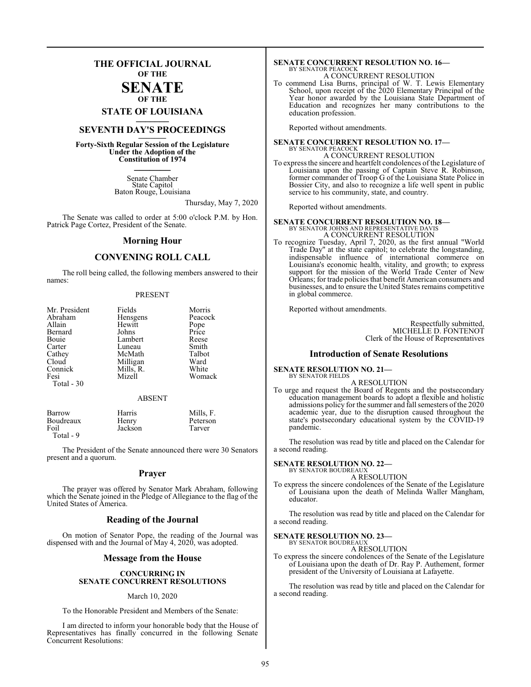### **THE OFFICIAL JOURNAL OF THE**

### **SENATE OF THE**

## **STATE OF LOUISIANA \_\_\_\_\_\_\_**

### **SEVENTH DAY'S PROCEEDINGS \_\_\_\_\_\_\_**

**Forty-Sixth Regular Session of the Legislature Under the Adoption of the Constitution of 1974 \_\_\_\_\_\_\_**

> Senate Chamber State Capitol Baton Rouge, Louisiana

> > Thursday, May 7, 2020

The Senate was called to order at 5:00 o'clock P.M. by Hon. Patrick Page Cortez, President of the Senate.

#### **Morning Hour**

### **CONVENING ROLL CALL**

The roll being called, the following members answered to their names:

#### PRESENT

| Mr. President | Fields    | Morris        |
|---------------|-----------|---------------|
| Abraham       | Hensgens  | Peacock       |
| Allain        | Hewitt    |               |
| Bernard       | Johns     | Pope<br>Price |
| Bouie         | Lambert   | Reese         |
| Carter        | Luneau    | Smith         |
| Cathev        | McMath    | Talbot        |
| Cloud         | Milligan  | Ward          |
| Connick       | Mills, R. | White         |
| Fesi          | Mizell    | Womack        |
| Total - $30$  |           |               |

#### ABSENT

| Boudreaux<br>Peterson<br>Henry<br>Jackson<br>Foil<br>Tarver<br>Total - 9 | Barrow | Harris | Mills, F. |
|--------------------------------------------------------------------------|--------|--------|-----------|
|--------------------------------------------------------------------------|--------|--------|-----------|

The President of the Senate announced there were 30 Senators present and a quorum.

#### **Prayer**

The prayer was offered by Senator Mark Abraham, following which the Senate joined in the Pledge of Allegiance to the flag of the United States of America.

#### **Reading of the Journal**

On motion of Senator Pope, the reading of the Journal was dispensed with and the Journal of May 4, 2020, was adopted.

#### **Message from the House**

#### **CONCURRING IN SENATE CONCURRENT RESOLUTIONS**

#### March 10, 2020

To the Honorable President and Members of the Senate:

I am directed to inform your honorable body that the House of Representatives has finally concurred in the following Senate Concurrent Resolutions:

#### **SENATE CONCURRENT RESOLUTION NO. 16—** BY SENATOR PEACOCK A CONCURRENT RESOLUTION

To commend Lisa Burns, principal of W. T. Lewis Elementary School, upon receipt of the 2020 Elementary Principal of the Year honor awarded by the Louisiana State Department of Education and recognizes her many contributions to the education profession.

Reported without amendments.

#### **SENATE CONCURRENT RESOLUTION NO. 17—** BY SENATOR PEACOCK

A CONCURRENT RESOLUTION

To express the sincere and heartfelt condolences of the Legislature of Louisiana upon the passing of Captain Steve R. Robinson, former commander of Troop G of the Louisiana State Police in Bossier City, and also to recognize a life well spent in public service to his community, state, and country.

Reported without amendments.

#### **SENATE CONCURRENT RESOLUTION NO. 18—**

BY SENATOR JOHNS AND REPRESENTATIVE DAVIS A CONCURRENT RESOLUTION

To recognize Tuesday, April 7, 2020, as the first annual "World Trade Day" at the state capitol; to celebrate the longstanding, indispensable influence of international commerce on Louisiana's economic health, vitality, and growth; to express support for the mission of the World Trade Center of New Orleans; for trade policies that benefit American consumers and businesses, and to ensure the United States remains competitive in global commerce.

Reported without amendments.

Respectfully submitted, MICHELLE D. FONTENOT Clerk of the House of Representatives

#### **Introduction of Senate Resolutions**

**SENATE RESOLUTION NO. 21—** BY SENATOR FIELDS

A RESOLUTION

To urge and request the Board of Regents and the postsecondary education management boards to adopt a flexible and holistic admissions policy for the summer and fall semesters of the 2020 academic year, due to the disruption caused throughout the state's postsecondary educational system by the COVID-19 pandemic.

The resolution was read by title and placed on the Calendar for a second reading.

#### **SENATE RESOLUTION NO. 22—** BY SENATOR BOUDREAUX

A RESOLUTION

To express the sincere condolences of the Senate of the Legislature of Louisiana upon the death of Melinda Waller Mangham, educator.

The resolution was read by title and placed on the Calendar for a second reading.

#### **SENATE RESOLUTION NO. 23—** BY SENATOR BOUDREAU

A RESOLUTION

To express the sincere condolences of the Senate of the Legislature of Louisiana upon the death of Dr. Ray P. Authement, former president of the University of Louisiana at Lafayette.

The resolution was read by title and placed on the Calendar for a second reading.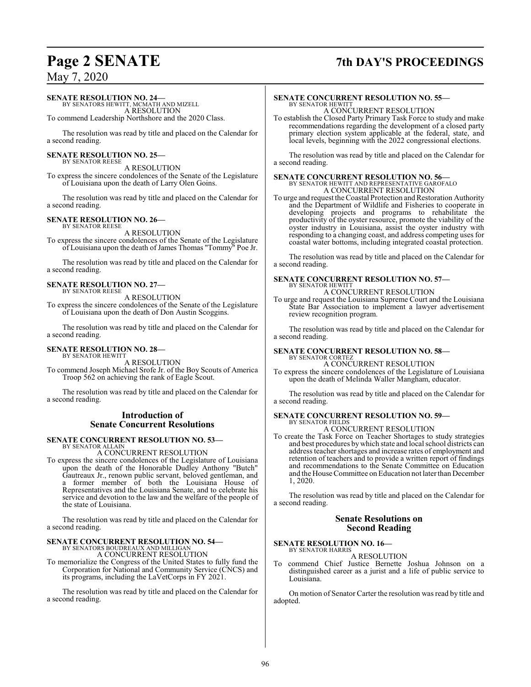### **Page 2 SENATE 7th DAY'S PROCEEDINGS**

May 7, 2020

#### **SENATE RESOLUTION NO. 24—**

BY SENATORS HEWITT, MCMATH AND MIZELL A RESOLUTION

To commend Leadership Northshore and the 2020 Class.

The resolution was read by title and placed on the Calendar for a second reading.

#### **SENATE RESOLUTION NO. 25—** BY SENATOR REESE

A RESOLUTION To express the sincere condolences of the Senate of the Legislature of Louisiana upon the death of Larry Olen Goins.

The resolution was read by title and placed on the Calendar for a second reading.

#### **SENATE RESOLUTION NO. 26—** BY SENATOR REESE

A RESOLUTION

To express the sincere condolences of the Senate of the Legislature of Louisiana upon the death of James Thomas "Tommy" Poe Jr.

The resolution was read by title and placed on the Calendar for a second reading.

#### **SENATE RESOLUTION NO. 27—** BY SENATOR REESE

A RESOLUTION

To express the sincere condolences of the Senate of the Legislature of Louisiana upon the death of Don Austin Scoggins.

The resolution was read by title and placed on the Calendar for a second reading.

#### **SENATE RESOLUTION NO. 28—** BY SENATOR HEWITT

A RESOLUTION

To commend Joseph Michael Srofe Jr. of the Boy Scouts of America Troop 562 on achieving the rank of Eagle Scout.

The resolution was read by title and placed on the Calendar for a second reading.

### **Introduction of Senate Concurrent Resolutions**

#### **SENATE CONCURRENT RESOLUTION NO. 53—** BY SENATOR ALLAIN

A CONCURRENT RESOLUTION

To express the sincere condolences of the Legislature of Louisiana upon the death of the Honorable Dudley Anthony "Butch" Gautreaux Jr., renown public servant, beloved gentleman, and a former member of both the Louisiana House of Representatives and the Louisiana Senate, and to celebrate his service and devotion to the law and the welfare of the people of the state of Louisiana.

The resolution was read by title and placed on the Calendar for a second reading.

### **SENATE CONCURRENT RESOLUTION NO. 54—** BY SENATORS BOUDREAUX AND MILLIGAN

A CONCURRENT RESOLUTION

To memorialize the Congress of the United States to fully fund the Corporation for National and Community Service (CNCS) and its programs, including the LaVetCorps in FY 2021.

The resolution was read by title and placed on the Calendar for a second reading.

### **SENATE CONCURRENT RESOLUTION NO. 55—**

BY SENATOR HEWITT A CONCURRENT RESOLUTION

To establish the Closed Party Primary Task Force to study and make recommendations regarding the development of a closed party primary election system applicable at the federal, state, and local levels, beginning with the 2022 congressional elections.

The resolution was read by title and placed on the Calendar for a second reading.

#### **SENATE CONCURRENT RESOLUTION NO. 56—** BY SENATOR HEWITT AND REPRESENTATIVE GAROFALO A CONCURRENT RESOLUTION

To urge and request the Coastal Protection and Restoration Authority and the Department of Wildlife and Fisheries to cooperate in developing projects and programs to rehabilitate the productivity of the oyster resource, promote the viability of the oyster industry in Louisiana, assist the oyster industry with responding to a changing coast, and address competing uses for coastal water bottoms, including integrated coastal protection.

The resolution was read by title and placed on the Calendar for a second reading.

#### **SENATE CONCURRENT RESOLUTION NO. 57—** BY SENATOR HEWITT

A CONCURRENT RESOLUTION

To urge and request the Louisiana Supreme Court and the Louisiana State Bar Association to implement a lawyer advertisement review recognition program.

The resolution was read by title and placed on the Calendar for a second reading.

## **SENATE CONCURRENT RESOLUTION NO. 58—** BY SENATOR CORTEZ

A CONCURRENT RESOLUTION

To express the sincere condolences of the Legislature of Louisiana upon the death of Melinda Waller Mangham, educator.

The resolution was read by title and placed on the Calendar for a second reading.

#### **SENATE CONCURRENT RESOLUTION NO. 59—** BY SENATOR FIELDS

A CONCURRENT RESOLUTION

To create the Task Force on Teacher Shortages to study strategies and best procedures by which state and local school districts can address teacher shortages and increase rates of employment and retention of teachers and to provide a written report of findings and recommendations to the Senate Committee on Education and the House Committee on Education not later than December 1, 2020.

The resolution was read by title and placed on the Calendar for a second reading.

#### **Senate Resolutions on Second Reading**

## **SENATE RESOLUTION NO. 16—** BY SENATOR HARRIS

A RESOLUTION

To commend Chief Justice Bernette Joshua Johnson on a distinguished career as a jurist and a life of public service to Louisiana.

On motion of Senator Carter the resolution was read by title and adopted.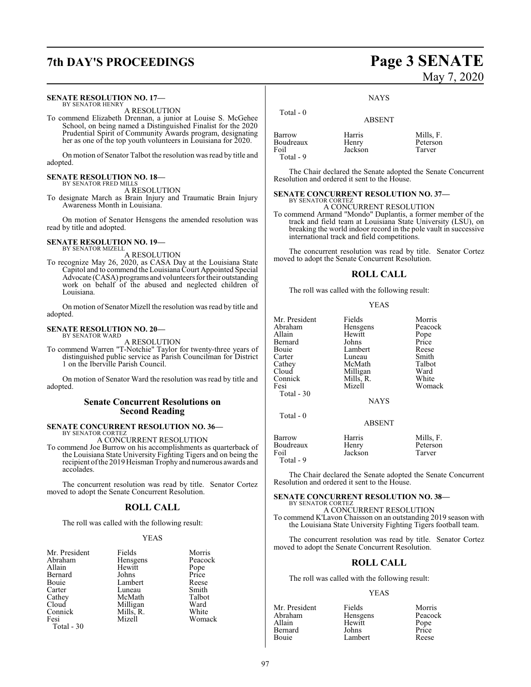## **7th DAY'S PROCEEDINGS Page 3 SENATE**

#### **SENATE RESOLUTION NO. 17—** BY SENATOR HENRY

A RESOLUTION

To commend Elizabeth Drennan, a junior at Louise S. McGehee School, on being named a Distinguished Finalist for the 2020 Prudential Spirit of Community Awards program, designating her as one of the top youth volunteers in Louisiana for 2020.

On motion of Senator Talbot the resolution was read by title and adopted.

### **SENATE RESOLUTION NO. 18—** BY SENATOR FRED MILLS

A RESOLUTION

To designate March as Brain Injury and Traumatic Brain Injury Awareness Month in Louisiana.

On motion of Senator Hensgens the amended resolution was read by title and adopted.

#### **SENATE RESOLUTION NO. 19—** BY SENATOR MIZELL

A RESOLUTION

To recognize May 26, 2020, as CASA Day at the Louisiana State Capitol and to commend the Louisiana Court Appointed Special Advocate (CASA) programs and volunteers for their outstanding work on behalf of the abused and neglected children of Louisiana.

On motion of Senator Mizell the resolution was read by title and adopted.

#### **SENATE RESOLUTION NO. 20—** BY SENATOR WARD

A RESOLUTION

To commend Warren "T-Notchie" Taylor for twenty-three years of distinguished public service as Parish Councilman for District 1 on the Iberville Parish Council.

On motion of Senator Ward the resolution was read by title and adopted.

#### **Senate Concurrent Resolutions on Second Reading**

## **SENATE CONCURRENT RESOLUTION NO. 36—** BY SENATOR CORTEZ

A CONCURRENT RESOLUTION

To commend Joe Burrow on his accomplishments as quarterback of the Louisiana State University Fighting Tigers and on being the recipient ofthe 2019 Heisman Trophy and numerous awards and accolades.

The concurrent resolution was read by title. Senator Cortez moved to adopt the Senate Concurrent Resolution.

### **ROLL CALL**

The roll was called with the following result:

#### YEAS

| Mr. President | Fields    | Morris        |
|---------------|-----------|---------------|
| Abraham       | Hensgens  | Peacock       |
| Allain        | Hewitt    | Pope<br>Price |
| Bernard       | Johns     |               |
| Bouie         | Lambert   | Reese         |
| Carter        | Luneau    | Smith         |
| Cathey        | McMath    | Talbot        |
| Cloud         | Milligan  | Ward          |
| Connick       | Mills, R. | White         |
| Fesi          | Mizell    | Womack        |
| Total - 30    |           |               |

# May 7, 2020

**NAYS** 

| Total - 0                                | <b>ABSENT</b>              |                                 |
|------------------------------------------|----------------------------|---------------------------------|
| Barrow<br>Boudreaux<br>Foil<br>Total - 9 | Harris<br>Henry<br>Jackson | Mills, F.<br>Peterson<br>Tarver |

The Chair declared the Senate adopted the Senate Concurrent Resolution and ordered it sent to the House.

### **SENATE CONCURRENT RESOLUTION NO. 37—**

BY SENATOR CORTEZ A CONCURRENT RESOLUTION

To commend Armand "Mondo" Duplantis, a former member of the track and field team at Louisiana State University (LSU), on breaking the world indoor record in the pole vault in successive international track and field competitions.

The concurrent resolution was read by title. Senator Cortez moved to adopt the Senate Concurrent Resolution.

#### **ROLL CALL**

The roll was called with the following result:

#### YEAS

| Mr. President<br>Abraham<br>Allain<br>Bernard<br>Bouie<br>Carter<br>Cathey<br>Cloud<br>Connick<br>Fesi<br>Total $-30$ | Fields<br>Hensgens<br>Hewitt<br>Johns<br>Lambert<br>Luneau<br>McMath<br>Milligan<br>Mills, R.<br>Mizell<br><b>NAYS</b> | Morris<br>Peacock<br>Pope<br>Price<br>Reese<br>Smith<br>Talbot<br>Ward<br>White<br>Womack |
|-----------------------------------------------------------------------------------------------------------------------|------------------------------------------------------------------------------------------------------------------------|-------------------------------------------------------------------------------------------|
| Total $-0$                                                                                                            | <b>ABSENT</b>                                                                                                          |                                                                                           |
| <b>Barrow</b><br>Boudreaux<br>Foil<br>Total - 9                                                                       | Harris<br>Henry<br>Jackson                                                                                             | Mills, F.<br>Peterson<br>Tarver                                                           |

The Chair declared the Senate adopted the Senate Concurrent Resolution and ordered it sent to the House.

#### **SENATE CONCURRENT RESOLUTION NO. 38—** BY SENATOR CORTEZ

A CONCURRENT RESOLUTION To commend K'Lavon Chaisson on an outstanding 2019 season with the Louisiana State University Fighting Tigers football team.

The concurrent resolution was read by title. Senator Cortez moved to adopt the Senate Concurrent Resolution.

#### **ROLL CALL**

The roll was called with the following result:

#### YEAS

| Mr. President | Fields   | Morris        |
|---------------|----------|---------------|
| Abraham       | Hensgens | Peacock       |
| Allain        | Hewitt   |               |
| Bernard       | Johns    | Pope<br>Price |
| Bouie         | Lambert  | Reese         |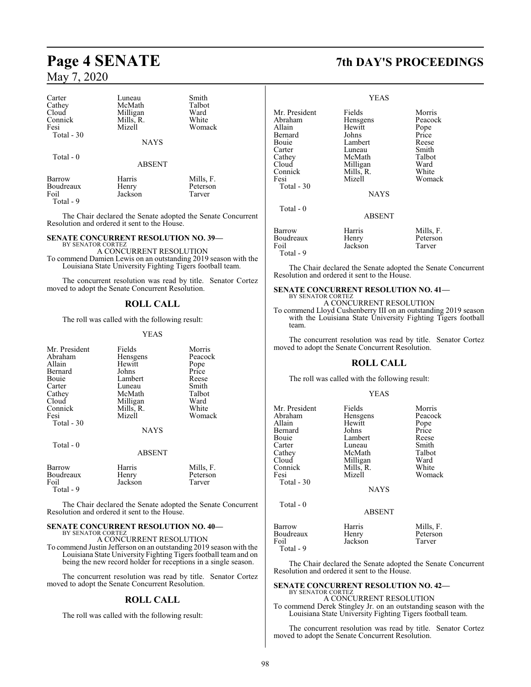| Carter<br>Cathey<br>Cloud<br>Connick<br>Fesi<br>Total - 30 | Luneau<br>McMath<br>Milligan<br>Mills, R.<br>Mizell | Smith<br>Talbot<br>Ward<br>White<br>Womack |  |
|------------------------------------------------------------|-----------------------------------------------------|--------------------------------------------|--|
|                                                            | <b>NAYS</b>                                         |                                            |  |
| Total $-0$                                                 | <b>ABSENT</b>                                       |                                            |  |
| Barrow<br>Boudreaux<br>Foil                                | Harris<br>Henry<br>Jackson                          | Mills, F.<br>Peterson<br>Tarver            |  |

Total - 9

The Chair declared the Senate adopted the Senate Concurrent Resolution and ordered it sent to the House.

### **SENATE CONCURRENT RESOLUTION NO. 39—**

BY SENATOR CORTEZ A CONCURRENT RESOLUTION To commend Damien Lewis on an outstanding 2019 season with the Louisiana State University Fighting Tigers football team.

The concurrent resolution was read by title. Senator Cortez moved to adopt the Senate Concurrent Resolution.

#### **ROLL CALL**

The roll was called with the following result:

#### YEAS

| Mr. President<br>Abraham<br>Allain<br>Bernard<br>Bouie<br>Carter<br>Cathey<br>Cloud | Fields<br>Hensgens<br>Hewitt<br>Johns<br>Lambert<br>Luneau<br>McMath<br>Milligan | Morris<br>Peacock<br>Pope<br>Price<br>Reese<br>Smith<br>Talbot<br>Ward |
|-------------------------------------------------------------------------------------|----------------------------------------------------------------------------------|------------------------------------------------------------------------|
| Connick<br>Fesi<br>Total - 30                                                       | Mills, R.<br>Mizell<br><b>NAYS</b>                                               | White<br>Womack                                                        |
| Total $-0$                                                                          | ABSENT                                                                           |                                                                        |
| Barrow<br>Boudreaux<br>Foil<br>Total - 9                                            | Harris<br>Henry<br>Jackson                                                       | Mills, F.<br>Peterson<br>Tarver                                        |

The Chair declared the Senate adopted the Senate Concurrent Resolution and ordered it sent to the House.

### **SENATE CONCURRENT RESOLUTION NO. 40—**

BY SENATOR CORTEZ A CONCURRENT RESOLUTION

To commend Justin Jefferson on an outstanding 2019 season with the Louisiana State University Fighting Tigers football team and on being the new record holder for receptions in a single season.

The concurrent resolution was read by title. Senator Cortez moved to adopt the Senate Concurrent Resolution.

### **ROLL CALL**

The roll was called with the following result:

## **Page 4 SENATE 7th DAY'S PROCEEDINGS**

|                                                                                                                      | <b>YEAS</b>                                                                                                            |                                                                                           |
|----------------------------------------------------------------------------------------------------------------------|------------------------------------------------------------------------------------------------------------------------|-------------------------------------------------------------------------------------------|
| Mr. President<br>Abraham<br>Allain<br>Bernard<br>Bouie<br>Carter<br>Cathey<br>Cloud<br>Connick<br>Fesi<br>Total - 30 | Fields<br>Hensgens<br>Hewitt<br>Johns<br>Lambert<br>Luneau<br>McMath<br>Milligan<br>Mills, R.<br>Mizell<br><b>NAYS</b> | Morris<br>Peacock<br>Pope<br>Price<br>Reese<br>Smith<br>Talbot<br>Ward<br>White<br>Womack |
| Total - 0                                                                                                            | ABSENT                                                                                                                 |                                                                                           |
| Barrow<br>Boudreaux<br>Foil<br>Total - 9                                                                             | Harris<br>Henry<br>Jackson                                                                                             | Mills, F.<br>Peterson<br>Tarver                                                           |

The Chair declared the Senate adopted the Senate Concurrent Resolution and ordered it sent to the House.

#### **SENATE CONCURRENT RESOLUTION NO. 41—** BY SENATOR CORTEZ

A CONCURRENT RESOLUTION

To commend Lloyd Cushenberry III on an outstanding 2019 season with the Louisiana State University Fighting Tigers football team.

The concurrent resolution was read by title. Senator Cortez moved to adopt the Senate Concurrent Resolution.

### **ROLL CALL**

The roll was called with the following result:

#### YEAS

| Mr. President | Fields        | Morris    |
|---------------|---------------|-----------|
| Abraham       | Hensgens      | Peacock   |
| Allain        | Hewitt        | Pope      |
| Bernard       | Johns         | Price     |
| Bouie         | Lambert       | Reese     |
| Carter        | Luneau        | Smith     |
| Cathey        | McMath        | Talbot    |
| Cloud         | Milligan      | Ward      |
| Connick       | Mills, R.     | White     |
| Fesi          | Mizell        | Womack    |
| Total $-30$   |               |           |
|               | <b>NAYS</b>   |           |
| Total $-0$    |               |           |
|               | <b>ABSENT</b> |           |
| Barrow        | Harris        | Mills, F. |
| Boudreaux     | Henry         | Peterson  |
| Foil          | Jackson       | Tarver    |

Total - 9

The Chair declared the Senate adopted the Senate Concurrent Resolution and ordered it sent to the House.

#### **SENATE CONCURRENT RESOLUTION NO. 42—** BY SENATOR CORTEZ

A CONCURRENT RESOLUTION To commend Derek Stingley Jr. on an outstanding season with the Louisiana State University Fighting Tigers football team.

The concurrent resolution was read by title. Senator Cortez moved to adopt the Senate Concurrent Resolution.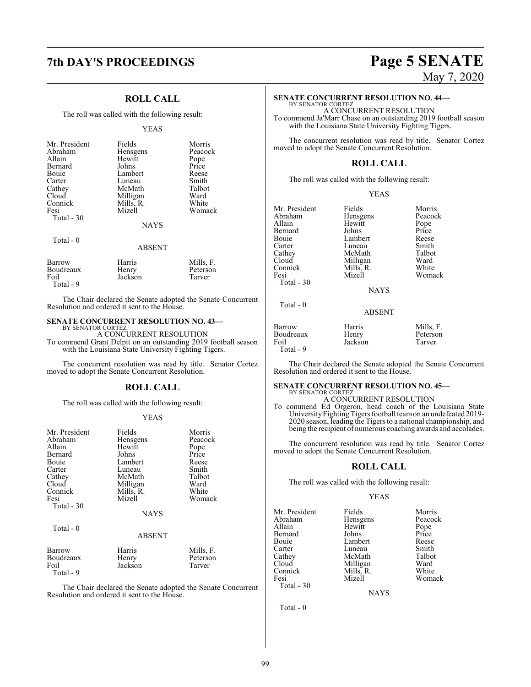### **ROLL CALL**

The roll was called with the following result:

#### YEAS

| Mr. President<br>Abraham<br>Allain<br>Bernard<br>Bouie<br>Carter<br>Cathey<br>Cloud<br>Connick<br>Fesi<br>Total - 30 | Fields<br>Hensgens<br>Hewitt<br>Johns<br>Lambert<br>Luneau<br>McMath<br>Milligan<br>Mills, R.<br>Mizell<br><b>NAYS</b> | Morris<br>Peacock<br>Pope<br>Price<br>Reese<br>Smith<br>Talbot<br>Ward<br>White<br>Womack |
|----------------------------------------------------------------------------------------------------------------------|------------------------------------------------------------------------------------------------------------------------|-------------------------------------------------------------------------------------------|
| Total $-0$                                                                                                           | <b>ABSENT</b>                                                                                                          |                                                                                           |
| Barrow                                                                                                               | Harris                                                                                                                 | Mills, F.                                                                                 |

The Chair declared the Senate adopted the Senate Concurrent Resolution and ordered it sent to the House.

### **SENATE CONCURRENT RESOLUTION NO. 43—** BY SENATOR CORTEZ

Boudreaux Henry Peterson<br>
Foil Jackson Tarver Jackson

Total - 9

A CONCURRENT RESOLUTION To commend Grant Delpit on an outstanding 2019 football season with the Louisiana State University Fighting Tigers.

The concurrent resolution was read by title. Senator Cortez moved to adopt the Senate Concurrent Resolution.

#### **ROLL CALL**

The roll was called with the following result:

#### YEAS

| Mr. President<br>Abraham<br>Allain | Fields<br>Hensgens<br>Hewitt | Morris<br>Peacock<br>Pope |
|------------------------------------|------------------------------|---------------------------|
| Bernard                            | Johns                        | Price                     |
| Bouie                              | Lambert                      | Reese                     |
| Carter                             | Luneau                       | Smith                     |
| Cathey                             | McMath                       | Talbot                    |
| Cloud                              | Milligan                     | Ward                      |
| Connick                            | Mills, R.                    | White                     |
| Fesi                               | Mizell                       | Womack                    |
| Total - 30                         |                              |                           |
|                                    | <b>NAYS</b>                  |                           |
| Total - 0                          |                              |                           |
|                                    | <b>ABSENT</b>                |                           |
| Barrow                             | Harris                       | Mills, F.                 |
| Boudreaux                          | Henry                        | Peterson                  |
| Foil                               | Jackson                      | Tarver                    |
| Total - 9                          |                              |                           |

The Chair declared the Senate adopted the Senate Concurrent Resolution and ordered it sent to the House.

## **7th DAY'S PROCEEDINGS Page 5 SENATE** May 7, 2020

#### **SENATE CONCURRENT RESOLUTION NO. 44—**

BY SENATOR CORTEZ A CONCURRENT RESOLUTION To commend Ja'Marr Chase on an outstanding 2019 football season with the Louisiana State University Fighting Tigers.

The concurrent resolution was read by title. Senator Cortez moved to adopt the Senate Concurrent Resolution.

#### **ROLL CALL**

The roll was called with the following result:

#### YEAS

| Mr. President | Fields      | Morris  |
|---------------|-------------|---------|
| Abraham       | Hensgens    | Peacock |
| Allain        | Hewitt      | Pope    |
| Bernard       | Johns       | Price   |
| Bouie         | Lambert     | Reese   |
| Carter        | Luneau      | Smith   |
| Cathey        | McMath      | Talbot  |
| Cloud         | Milligan    | Ward    |
| Connick       | Mills, R.   | White   |
| Fesi          | Mizell      | Womack  |
| Total - 30    |             |         |
|               | <b>NAYS</b> |         |
|               |             |         |

### Total - 0

| Barrow    | Harris  | Mills, F. |
|-----------|---------|-----------|
| Boudreaux | Henry   | Peterson  |
| Foil      | Jackson | Tarver    |
| Total - 9 |         |           |

The Chair declared the Senate adopted the Senate Concurrent Resolution and ordered it sent to the House.

ABSENT

#### **SENATE CONCURRENT RESOLUTION NO. 45—** BY SENATOR CORTEZ

A CONCURRENT RESOLUTION

To commend Ed Orgeron, head coach of the Louisiana State University Fighting Tigers football team on an undefeated 2019-2020 season, leading the Tigers to a national championship, and being the recipient of numerous coaching awards and accolades.

The concurrent resolution was read by title. Senator Cortez moved to adopt the Senate Concurrent Resolution.

#### **ROLL CALL**

The roll was called with the following result:

#### YEAS

| Mr. President | Fields    | Morris |
|---------------|-----------|--------|
| Abraham       | Hensgens  | Peaco  |
| Allain        | Hewitt    | Pope   |
| Bernard       | Johns     | Price  |
| Bouie         | Lambert   | Reese  |
| Carter        | Luneau    | Smith  |
| Cathey        | McMath    | Talbot |
| Cloud         | Milligan  | Ward   |
| Connick       | Mills, R. | White  |
| Fesi          | Mizell    | Woma   |
| Total $-30$   |           |        |

Fields Morris<br>
Hensgens Peacock Lambert Reese<br>
Luneau Smith Luneau Smith<br>
McMath Talbot McMath Talbo<br>
Milligan Ward

Womack

NAYS

Total - 0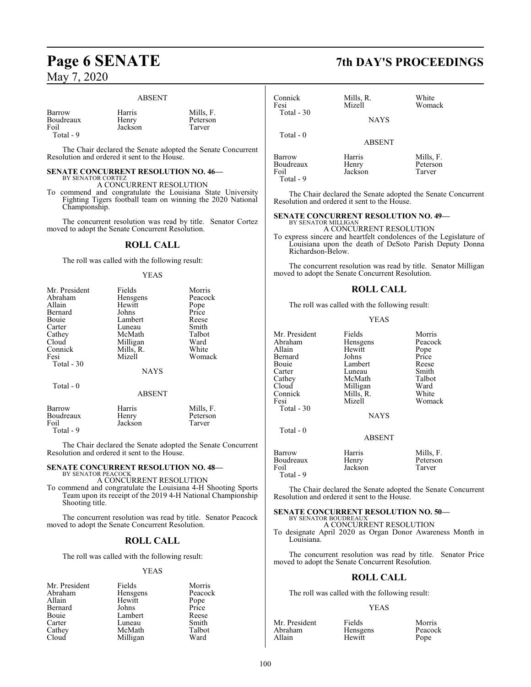#### ABSENT

| Barrow<br>Boudreaux<br>Foil<br>Total - 9 | Harris<br>Henry<br>Jackson | Mills. F.<br>Peterson<br>Tarver |
|------------------------------------------|----------------------------|---------------------------------|
|                                          |                            |                                 |

The Chair declared the Senate adopted the Senate Concurrent Resolution and ordered it sent to the House.

#### **SENATE CONCURRENT RESOLUTION NO. 46—** BY SENATOR CORTEZ

A CONCURRENT RESOLUTION

To commend and congratulate the Louisiana State University Fighting Tigers football team on winning the 2020 National Championship.

The concurrent resolution was read by title. Senator Cortez moved to adopt the Senate Concurrent Resolution.

#### **ROLL CALL**

The roll was called with the following result:

#### YEAS

| Mr. President | Fields        | Morris    |
|---------------|---------------|-----------|
| Abraham       | Hensgens      | Peacock   |
| Allain        | Hewitt        | Pope      |
| Bernard       | Johns         | Price     |
| Bouie         | Lambert       | Reese     |
| Carter        | Luneau        | Smith     |
| Cathey        | McMath        | Talbot    |
| Cloud         | Milligan      | Ward      |
| Connick       | Mills, R.     | White     |
| Fesi          | Mizell        | Womack    |
| Total - 30    |               |           |
|               | <b>NAYS</b>   |           |
|               |               |           |
| Total $-0$    |               |           |
|               | <b>ABSENT</b> |           |
| Barrow        | Harris        | Mills, F. |
| Boudreaux     | Henry         | Peterson  |
| Foil          | Jackson       | Tarver    |

Total - 9

The Chair declared the Senate adopted the Senate Concurrent Resolution and ordered it sent to the House.

### **SENATE CONCURRENT RESOLUTION NO. 48—** BY SENATOR PEACOCK

A CONCURRENT RESOLUTION

To commend and congratulate the Louisiana 4-H Shooting Sports Team upon its receipt of the 2019 4-H National Championship Shooting title.

The concurrent resolution was read by title. Senator Peacock moved to adopt the Senate Concurrent Resolution.

#### **ROLL CALL**

The roll was called with the following result:

#### YEAS

| Mr. President | Fields   | Morris        |
|---------------|----------|---------------|
| Abraham       | Hensgens | Peacock       |
| Allain        | Hewitt   | Pope<br>Price |
| Bernard       | Johns    |               |
| Bouie         | Lambert  | Reese         |
| Carter        | Luneau   | Smith         |
| Cathey        | McMath   | Talbot        |
| Cloud         | Milligan | Ward          |

## **Page 6 SENATE 7th DAY'S PROCEEDINGS**

| Connick<br>Fesi<br>Total - 30              | Mills, R.<br>Mizell<br><b>NAYS</b> | White<br>Womack                 |  |
|--------------------------------------------|------------------------------------|---------------------------------|--|
| Total $-0$                                 | <b>ABSENT</b>                      |                                 |  |
| Barrow<br>Boudreaux<br>Foil<br>$Total - 9$ | Harris<br>Henry<br>Jackson         | Mills, F.<br>Peterson<br>Tarver |  |

The Chair declared the Senate adopted the Senate Concurrent Resolution and ordered it sent to the House.

### **SENATE CONCURRENT RESOLUTION NO. 49—** BY SENATOR MILLIGAN

A CONCURRENT RESOLUTION

To express sincere and heartfelt condolences of the Legislature of Louisiana upon the death of DeSoto Parish Deputy Donna Richardson-Below.

The concurrent resolution was read by title. Senator Milligan moved to adopt the Senate Concurrent Resolution.

#### **ROLL CALL**

The roll was called with the following result:

#### YEAS

| Mr. President<br>Abraham<br>Allain<br>Bernard<br>Bouie<br>Carter<br>Cathey<br>Cloud<br>Connick<br>Fesi<br>Total - 30 | Fields<br>Hensgens<br>Hewitt<br>Johns<br>Lambert<br>Luneau<br>McMath<br>Milligan<br>Mills, R.<br>Mizell | Morris<br>Peacock<br>Pope<br>Price<br>Reese<br>Smith<br>Talbot<br>Ward<br>White<br>Womack |
|----------------------------------------------------------------------------------------------------------------------|---------------------------------------------------------------------------------------------------------|-------------------------------------------------------------------------------------------|
| Total - 0                                                                                                            | <b>NAYS</b><br><b>ABSENT</b>                                                                            |                                                                                           |
| Barrow                                                                                                               | Harris                                                                                                  | Mills, F.                                                                                 |
| Boudreaux<br>Foil<br>Total - 9                                                                                       | Henry<br>Jackson                                                                                        | Peterson<br>Tarver                                                                        |

The Chair declared the Senate adopted the Senate Concurrent Resolution and ordered it sent to the House.

#### **SENATE CONCURRENT RESOLUTION NO. 50—** BY SENATOR BOUDREAUX

A CONCURRENT RESOLUTION

To designate April 2020 as Organ Donor Awareness Month in Louisiana.

The concurrent resolution was read by title. Senator Price moved to adopt the Senate Concurrent Resolution.

#### **ROLL CALL**

The roll was called with the following result:

#### YEAS

| Mr. President | Fields          | Morris  |
|---------------|-----------------|---------|
| Abraham       | <b>Hensgens</b> | Peacock |
| Allain        | Hewitt          | Pope    |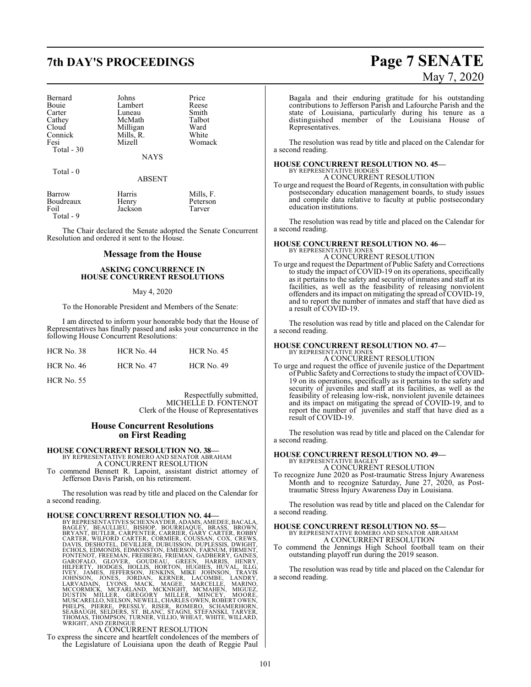## **7th DAY'S PROCEEDINGS Page 7 SENATE**

| Bernard    | Johns       | Price  |
|------------|-------------|--------|
| Bouie      | Lambert     | Reese  |
| Carter     | Luneau      | Smith  |
| Cathey     | McMath      | Talbot |
| Cloud      | Milligan    | Ward   |
| Connick    | Mills, R.   | White  |
| Fesi       | Mizell      | Womack |
| Total - 30 |             |        |
|            | <b>NAYS</b> |        |

Total - 0

#### ABSENT

| Barrow<br>Boudreaux<br>Foil<br>Total - 9 | Harris<br>Henry<br>Jackson | Mills, F.<br>Peterson<br>Tarver |
|------------------------------------------|----------------------------|---------------------------------|
|                                          |                            |                                 |

The Chair declared the Senate adopted the Senate Concurrent Resolution and ordered it sent to the House.

#### **Message from the House**

#### **ASKING CONCURRENCE IN HOUSE CONCURRENT RESOLUTIONS**

#### May 4, 2020

To the Honorable President and Members of the Senate:

I am directed to inform your honorable body that the House of Representatives has finally passed and asks your concurrence in the following House Concurrent Resolutions:

| HCR No. 38        | <b>HCR No. 44</b> | <b>HCR</b> No. 45 |
|-------------------|-------------------|-------------------|
| <b>HCR No. 46</b> | <b>HCR No. 47</b> | <b>HCR No. 49</b> |

HCR No. 55

Respectfully submitted, MICHELLE D. FONTENOT Clerk of the House of Representatives

#### **House Concurrent Resolutions on First Reading**

### **HOUSE CONCURRENT RESOLUTION NO. 38—** BY REPRESENTATIVE ROMERO AND SENATOR ABRAHAM

A CONCURRENT RESOLUTION

To commend Bennett R. Lapoint, assistant district attorney of Jefferson Davis Parish, on his retirement.

The resolution was read by title and placed on the Calendar for a second reading.

HOUSE CONCURRENT RESOLUTION NO. 44—<br>BY REPRESENTATIVES SCHEXNAYDER, ADAMS, AMEDEE, BACALA,<br>BAGLEY, BEAULIEU, BISHOP, BOURRIAQUE, BRASS, BROWN,<br>BRYANT, BUTLER, CARPENTER, CARRIER, GARY CARTER, ROBBY<br>CARTER, WILFORD CARTER,

To express the sincere and heartfelt condolences of the members of the Legislature of Louisiana upon the death of Reggie Paul

# May 7, 2020

Bagala and their enduring gratitude for his outstanding contributions to Jefferson Parish and Lafourche Parish and the state of Louisiana, particularly during his tenure as a distinguished member of the Louisiana House of Representatives.

The resolution was read by title and placed on the Calendar for a second reading.

#### **HOUSE CONCURRENT RESOLUTION NO. 45—** BY REPRESENTATIVE HODGES

A CONCURRENT RESOLUTION

To urge and request the Board of Regents, in consultation with public postsecondary education management boards, to study issues and compile data relative to faculty at public postsecondary education institutions.

The resolution was read by title and placed on the Calendar for a second reading.

## **HOUSE CONCURRENT RESOLUTION NO. 46—** BY REPRESENTATIVE JONES

A CONCURRENT RESOLUTION

To urge and request the Department of Public Safety and Corrections to study the impact of COVID-19 on its operations, specifically as it pertains to the safety and security of inmates and staff at its facilities, as well as the feasibility of releasing nonviolent offenders and its impact on mitigating the spread of COVID-19, and to report the number of inmates and staff that have died as a result of COVID-19.

The resolution was read by title and placed on the Calendar for a second reading.

#### **HOUSE CONCURRENT RESOLUTION NO. 47—**

BY REPRESENTATIVE JONES A CONCURRENT RESOLUTION

To urge and request the office of juvenile justice of the Department of Public Safety and Corrections to study the impact of COVID-19 on its operations, specifically as it pertains to the safety and security of juveniles and staff at its facilities, as well as the feasibility of releasing low-risk, nonviolent juvenile detainees and its impact on mitigating the spread of COVID-19, and to report the number of juveniles and staff that have died as a result of COVID-19.

The resolution was read by title and placed on the Calendar for a second reading.

## **HOUSE CONCURRENT RESOLUTION NO. 49—** BY REPRESENTATIVE BAGLEY

A CONCURRENT RESOLUTION

To recognize June 2020 as Post-traumatic Stress Injury Awareness Month and to recognize Saturday, June 27, 2020, as Posttraumatic Stress Injury Awareness Day in Louisiana.

The resolution was read by title and placed on the Calendar for a second reading.

### **HOUSE CONCURRENT RESOLUTION NO. 55—**

BY REPRESENTATIVE ROMERO AND SENATOR ABRAHAM A CONCURRENT RESOLUTION

To commend the Jennings High School football team on their outstanding playoff run during the 2019 season.

The resolution was read by title and placed on the Calendar for a second reading.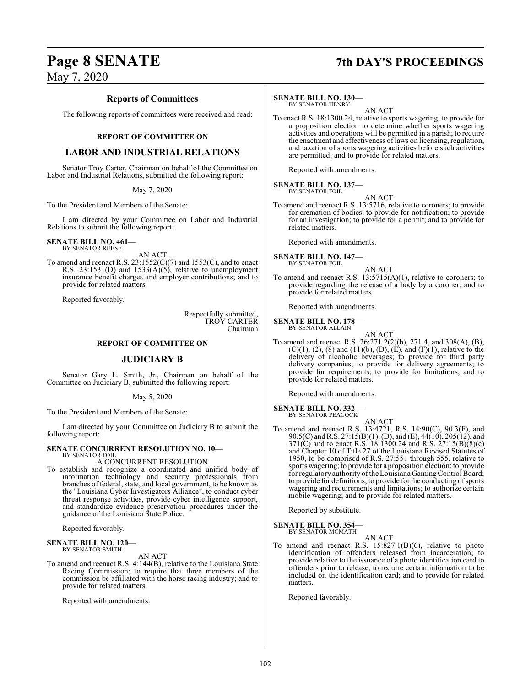### **Reports of Committees**

The following reports of committees were received and read:

#### **REPORT OF COMMITTEE ON**

### **LABOR AND INDUSTRIAL RELATIONS**

Senator Troy Carter, Chairman on behalf of the Committee on Labor and Industrial Relations, submitted the following report:

May 7, 2020

To the President and Members of the Senate:

I am directed by your Committee on Labor and Industrial Relations to submit the following report:

**SENATE BILL NO. 461—** BY SENATOR REESE

AN ACT To amend and reenact R.S.  $23:1552(C)(7)$  and  $1553(C)$ , and to enact R.S.  $23:1531(D)$  and  $1533(A)(5)$ , relative to unemployment insurance benefit charges and employer contributions; and to provide for related matters.

Reported favorably.

Respectfully submitted, TROY CARTER Chairman

### **REPORT OF COMMITTEE ON**

### **JUDICIARY B**

Senator Gary L. Smith, Jr., Chairman on behalf of the Committee on Judiciary B, submitted the following report:

May 5, 2020

To the President and Members of the Senate:

I am directed by your Committee on Judiciary B to submit the following report:

#### **SENATE CONCURRENT RESOLUTION NO. 10—** BY SENATOR FOIL

A CONCURRENT RESOLUTION

To establish and recognize a coordinated and unified body of information technology and security professionals from branches of federal, state, and local government, to be known as the "Louisiana Cyber Investigators Alliance", to conduct cyber threat response activities, provide cyber intelligence support, and standardize evidence preservation procedures under the guidance of the Louisiana State Police.

Reported favorably.

**SENATE BILL NO. 120—** BY SENATOR SMITH

AN ACT

To amend and reenact R.S. 4:144(B), relative to the Louisiana State Racing Commission; to require that three members of the commission be affiliated with the horse racing industry; and to provide for related matters.

Reported with amendments.

#### **SENATE BILL NO. 130—**

BY SENATOR HENRY AN ACT

To enact R.S. 18:1300.24, relative to sports wagering; to provide for a proposition election to determine whether sports wagering activities and operations will be permitted in a parish; to require the enactment and effectiveness of laws on licensing, regulation, and taxation of sports wagering activities before such activities are permitted; and to provide for related matters.

Reported with amendments.

**SENATE BILL NO. 137—** BY SENATOR FOIL

AN ACT

To amend and reenact R.S. 13:5716, relative to coroners; to provide for cremation of bodies; to provide for notification; to provide for an investigation; to provide for a permit; and to provide for related matters.

Reported with amendments.

**SENATE BILL NO. 147—**<br>BY SENATOR FOIL

AN ACT

To amend and reenact R.S. 13:5715(A)(1), relative to coroners; to provide regarding the release of a body by a coroner; and to provide for related matters.

Reported with amendments.

#### **SENATE BILL NO. 178—**

- BY SENATOR ALLAIN
- AN ACT To amend and reenact R.S. 26:271.2(2)(b), 271.4, and 308(A), (B),  $(C)(1)$ ,  $(2)$ ,  $(8)$  and  $(11)(b)$ ,  $(D)$ ,  $(E)$ , and  $(F)(1)$ , relative to the delivery of alcoholic beverages; to provide for third party delivery companies; to provide for delivery agreements; to provide for requirements; to provide for limitations; and to provide for related matters.

Reported with amendments.

## **SENATE BILL NO. 332—** BY SENATOR PEACOCK

- 
- AN ACT To amend and reenact R.S. 13:4721, R.S. 14:90(C), 90.3(F), and 90.5(C) andR.S. 27:15(B)(1), (D), and (E), 44(10), 205(12), and 371(C) and to enact R.S. 18:1300.24 and R.S. 27:15(B)(8)(c) and Chapter 10 of Title 27 of the Louisiana Revised Statutes of 1950, to be comprised of R.S. 27:551 through 555, relative to sports wagering; to provide for a proposition election; to provide for regulatory authority of the Louisiana Gaming Control Board; to provide for definitions; to provide for the conducting of sports wagering and requirements and limitations; to authorize certain mobile wagering; and to provide for related matters.

Reported by substitute.

#### **SENATE BILL NO. 354—** BY SENATOR MCMATH

AN ACT To amend and reenact R.S. 15:827.1(B)(6), relative to photo identification of offenders released from incarceration; to provide relative to the issuance of a photo identification card to offenders prior to release; to require certain information to be included on the identification card; and to provide for related matters.

Reported favorably.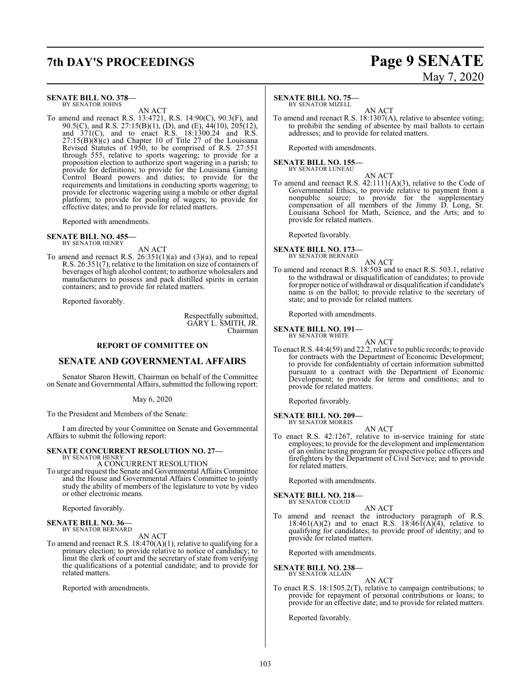## **7th DAY'S PROCEEDINGS Page 9 SENATE**

#### **SENATE BILL NO. 378—** BY SENATOR JOHNS

AN ACT

To amend and reenact R.S. 13:4721, R.S. 14:90(C), 90.3(F), and 90.5(C), and R.S. 27:15(B)(1), (D), and (E), 44(10), 205(12), and 371(C), and to enact R.S. 18:1300.24 and R.S. 27:15(B)(8)(c) and Chapter 10 of Title 27 of the Louisiana Revised Statutes of 1950, to be comprised of R.S. 27:551 through 555, relative to sports wagering; to provide for a proposition election to authorize sport wagering in a parish; to provide for definitions; to provide for the Louisiana Gaming Control Board powers and duties; to provide for the requirements and limitations in conducting sports wagering; to provide for electronic wagering using a mobile or other digital platform; to provide for pooling of wagers; to provide for effective dates; and to provide for related matters.

Reported with amendments.

### **SENATE BILL NO. 455—** BY SENATOR HENRY

AN ACT

To amend and reenact R.S.  $26:351(1)(a)$  and  $(3)(a)$ , and to repeal R.S. 26:351(7), relative to the limitation on size of containers of beverages of high alcohol content; to authorize wholesalers and manufacturers to possess and pack distilled spirits in certain containers; and to provide for related matters.

Reported favorably.

Respectfully submitted, GARY L. SMITH, JR. Chairman

#### **REPORT OF COMMITTEE ON**

#### **SENATE AND GOVERNMENTAL AFFAIRS**

Senator Sharon Hewitt, Chairman on behalf of the Committee on Senate and Governmental Affairs, submitted the following report:

May 6, 2020

To the President and Members of the Senate:

I am directed by your Committee on Senate and Governmental Affairs to submit the following report:

#### **SENATE CONCURRENT RESOLUTION NO. 27—**

BY SENATOR HENRY A CONCURRENT RESOLUTION

To urge and request the Senate and Governmental Affairs Committee and the House and Governmental Affairs Committee to jointly study the ability of members of the legislature to vote by video or other electronic means.

Reported favorably.

### **SENATE BILL NO. 36—** BY SENATOR BERNARD

AN ACT

To amend and reenact R.S.  $18:470(A)(1)$ , relative to qualifying for a primary election; to provide relative to notice of candidacy; to limit the clerk of court and the secretary of state from verifying the qualifications of a potential candidate; and to provide for related matters.

Reported with amendments.

# May 7, 2020

#### **SENATE BILL NO. 75—**

BY SENATOR MIZELL

AN ACT To amend and reenact R.S. 18:1307(A), relative to absentee voting; to prohibit the sending of absentee by mail ballots to certain addresses; and to provide for related matters.

Reported with amendments.

**SENATE BILL NO. 155—** BY SENATOR LUNEAU

AN ACT

To amend and reenact R.S. 42:1111(A)(3), relative to the Code of Governmental Ethics, to provide relative to payment from a nonpublic source; to provide for the supplementary compensation of all members of the Jimmy D. Long, Sr. Louisiana School for Math, Science, and the Arts; and to provide for related matters.

Reported favorably.

#### **SENATE BILL NO. 173—** BY SENATOR BERNARD

AN ACT

To amend and reenact R.S. 18:503 and to enact R.S. 503.1, relative to the withdrawal or disqualification of candidates; to provide for proper notice of withdrawal or disqualification if candidate's name is on the ballot; to provide relative to the secretary of state; and to provide for related matters.

Reported with amendments.

**SENATE BILL NO. 191—** BY SENATOR WHITE

AN ACT

To enact R.S. 44:4(59) and 22.2, relative to public records; to provide for contracts with the Department of Economic Development; to provide for confidentiality of certain information submitted pursuant to a contract with the Department of Economic Development; to provide for terms and conditions; and to provide for related matters.

Reported favorably.

#### **SENATE BILL NO. 209—** BY SENATOR MORRIS

AN ACT

To enact R.S. 42:1267, relative to in-service training for state employees; to provide for the development and implementation of an online testing program for prospective police officers and firefighters by the Department of Civil Service; and to provide for related matters.

Reported with amendments.

### **SENATE BILL NO. 218—**

BY SENATOR CLOUD

To amend and reenact the introductory paragraph of R.S. 18:461(A)(2) and to enact R.S. 18:461(A)(4), relative to qualifying for candidates; to provide proof of identity; and to provide for related matters.

AN ACT

Reported with amendments.

#### **SENATE BILL NO. 238—** BY SENATOR ALLAIN

AN ACT

To enact R.S. 18:1505.2(T), relative to campaign contributions; to provide for repayment of personal contributions or loans; to provide for an effective date; and to provide for related matters.

Reported favorably.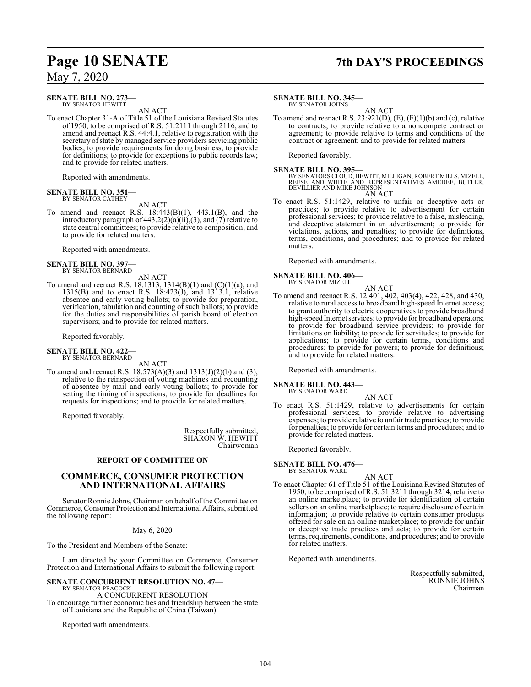#### **SENATE BILL NO. 273—** BY SENATOR HEWITT

AN ACT

To enact Chapter 31-A of Title 51 of the Louisiana Revised Statutes of 1950, to be comprised of R.S. 51:2111 through 2116, and to amend and reenact R.S. 44:4.1, relative to registration with the secretary of state by managed service providers servicing public bodies; to provide requirements for doing business; to provide for definitions; to provide for exceptions to public records law; and to provide for related matters.

Reported with amendments.

#### **SENATE BILL NO. 351—** BY SENATOR CATHEY

AN ACT

To amend and reenact R.S.  $18:443(B)(1)$ ,  $443.1(B)$ , and the introductory paragraph of 443.2(2)(a)(ii),(3), and (7) relative to state central committees; to provide relative to composition; and to provide for related matters.

Reported with amendments.

## **SENATE BILL NO. 397—** BY SENATOR BERNARD

AN ACT

To amend and reenact R.S. 18:1313, 1314(B)(1) and (C)(1)(a), and 1315(B) and to enact R.S. 18:423(J), and 1313.1, relative absentee and early voting ballots; to provide for preparation, verification, tabulation and counting of such ballots; to provide for the duties and responsibilities of parish board of election supervisors; and to provide for related matters.

Reported favorably.

### **SENATE BILL NO. 422—** BY SENATOR BERNARD

AN ACT

To amend and reenact R.S. 18:573(A)(3) and 1313(J)(2)(b) and (3), relative to the reinspection of voting machines and recounting of absentee by mail and early voting ballots; to provide for setting the timing of inspections; to provide for deadlines for requests for inspections; and to provide for related matters.

Reported favorably.

Respectfully submitted, SHARON W. HEWITT Chairwoman

#### **REPORT OF COMMITTEE ON**

### **COMMERCE, CONSUMER PROTECTION AND INTERNATIONAL AFFAIRS**

Senator Ronnie Johns, Chairman on behalf of the Committee on Commerce, Consumer Protection and International Affairs, submitted the following report:

May 6, 2020

To the President and Members of the Senate:

I am directed by your Committee on Commerce, Consumer Protection and International Affairs to submit the following report:

#### **SENATE CONCURRENT RESOLUTION NO. 47—** BY SENATOR PEACOCI

A CONCURRENT RESOLUTION To encourage further economic ties and friendship between the state of Louisiana and the Republic of China (Taiwan).

Reported with amendments.

## **Page 10 SENATE 7th DAY'S PROCEEDINGS**

#### **SENATE BILL NO. 345—**

BY SENATOR JOHNS

AN ACT To amend and reenact R.S.  $23:921(D)$ ,  $(E)$ ,  $(F)(1)(b)$  and  $(c)$ , relative to contracts; to provide relative to a noncompete contract or agreement; to provide relative to terms and conditions of the contract or agreement; and to provide for related matters.

Reported favorably.

#### **SENATE BILL NO. 395—**

BY SENATORS CLOUD, HEWITT, MILLIGAN, ROBERT MILLS, MIZELL,<br>REESE AND WHITE AND REPRESENTATIVES AMEDEE, BUTLER,<br>DEVILLIER AND MIKE JOHNSON AN ACT

To enact R.S. 51:1429, relative to unfair or deceptive acts or practices; to provide relative to advertisement for certain professional services; to provide relative to a false, misleading, and deceptive statement in an advertisement; to provide for violations, actions, and penalties; to provide for definitions, terms, conditions, and procedures; and to provide for related matters.

Reported with amendments.

**SENATE BILL NO. 406—** BY SENATOR MIZELL

AN ACT

To amend and reenact R.S. 12:401, 402, 403(4), 422, 428, and 430, relative to rural access to broadband high-speed Internet access; to grant authority to electric cooperatives to provide broadband high-speed Internet services; to provide for broadband operators; to provide for broadband service providers; to provide for limitations on liability; to provide for servitudes; to provide for applications; to provide for certain terms, conditions and procedures; to provide for powers; to provide for definitions; and to provide for related matters.

Reported with amendments.

#### **SENATE BILL NO. 443—** BY SENATOR WARD

AN ACT

To enact R.S. 51:1429, relative to advertisements for certain professional services; to provide relative to advertising expenses; to provide relative to unfair trade practices; to provide for penalties; to provide for certain terms and procedures; and to provide for related matters.

Reported favorably.

**SENATE BILL NO. 476—**

BY SENATOR WARD

AN ACT To enact Chapter 61 of Title 51 of the Louisiana Revised Statutes of 1950, to be comprised of R.S. 51:3211 through 3214, relative to an online marketplace; to provide for identification of certain sellers on an online marketplace; to require disclosure of certain information; to provide relative to certain consumer products offered for sale on an online marketplace; to provide for unfair or deceptive trade practices and acts; to provide for certain terms, requirements, conditions, and procedures; and to provide for related matters.

Reported with amendments.

Respectfully submitted, RONNIE JOHNS Chairman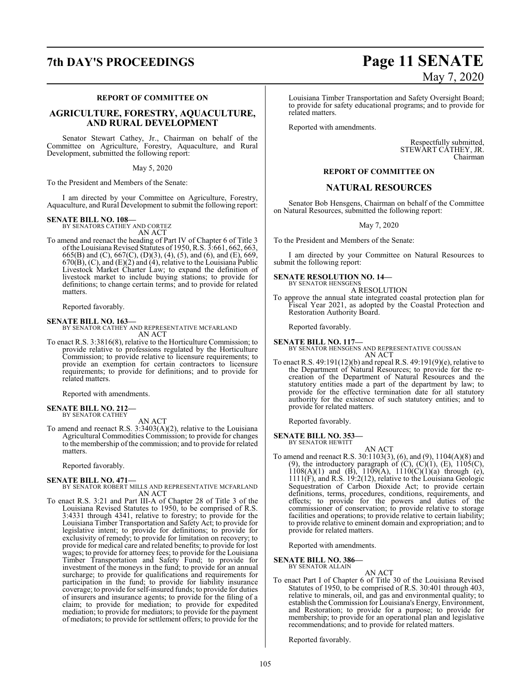#### **REPORT OF COMMITTEE ON**

### **AGRICULTURE, FORESTRY, AQUACULTURE, AND RURAL DEVELOPMENT**

Senator Stewart Cathey, Jr., Chairman on behalf of the Committee on Agriculture, Forestry, Aquaculture, and Rural Development, submitted the following report:

May 5, 2020

To the President and Members of the Senate:

I am directed by your Committee on Agriculture, Forestry, Aquaculture, and Rural Development to submit the following report:

### **SENATE BILL NO. 108—** BY SENATORS CATHEY AND CORTEZ

AN ACT

To amend and reenact the heading of Part IV of Chapter 6 of Title 3 ofthe Louisiana Revised Statutes of 1950, R.S. 3:661, 662, 663, 665(B) and (C), 667(C), (D)(3), (4), (5), and (6), and (E), 669,  $670(B)$ , (C), and  $(E)(2)$  and  $(4)$ , relative to the Louisiana Public Livestock Market Charter Law; to expand the definition of livestock market to include buying stations; to provide for definitions; to change certain terms; and to provide for related matters.

Reported favorably.

**SENATE BILL NO. 163—** BY SENATOR CATHEY AND REPRESENTATIVE MCFARLAND AN ACT

To enact R.S. 3:3816(8), relative to the Horticulture Commission; to provide relative to professions regulated by the Horticulture Commission; to provide relative to licensure requirements; to provide an exemption for certain contractors to licensure requirements; to provide for definitions; and to provide for related matters.

Reported with amendments.

### **SENATE BILL NO. 212—** BY SENATOR CATHEY

AN ACT

To amend and reenact R.S. 3:3403(A)(2), relative to the Louisiana Agricultural Commodities Commission; to provide for changes to the membership of the commission; and to provide for related matters.

Reported favorably.

**SENATE BILL NO. 471—** BY SENATOR ROBERT MILLS AND REPRESENTATIVE MCFARLAND AN ACT

To enact R.S. 3:21 and Part III-A of Chapter 28 of Title 3 of the Louisiana Revised Statutes to 1950, to be comprised of R.S. 3:4331 through 4341, relative to forestry; to provide for the Louisiana Timber Transportation and Safety Act; to provide for legislative intent; to provide for definitions; to provide for exclusivity of remedy; to provide for limitation on recovery; to provide for medical care and related benefits; to provide for lost wages; to provide for attorney fees; to provide for the Louisiana Timber Transportation and Safety Fund; to provide for investment of the moneys in the fund; to provide for an annual surcharge; to provide for qualifications and requirements for participation in the fund; to provide for liability insurance coverage; to provide for self-insured funds; to provide for duties of insurers and insurance agents; to provide for the filing of a claim; to provide for mediation; to provide for expedited mediation; to provide for mediators; to provide for the payment of mediators; to provide for settlement offers; to provide for the

## **7th DAY'S PROCEEDINGS Page 11 SENATE** May 7, 2020

Louisiana Timber Transportation and Safety Oversight Board; to provide for safety educational programs; and to provide for related matters.

Reported with amendments.

Respectfully submitted, STEWART CATHEY, JR. Chairman

#### **REPORT OF COMMITTEE ON**

#### **NATURAL RESOURCES**

Senator Bob Hensgens, Chairman on behalf of the Committee on Natural Resources, submitted the following report:

May 7, 2020

To the President and Members of the Senate:

I am directed by your Committee on Natural Resources to submit the following report:

#### **SENATE RESOLUTION NO. 14—** BY SENATOR HENSGENS

A RESOLUTION

To approve the annual state integrated coastal protection plan for Fiscal Year 2021, as adopted by the Coastal Protection and Restoration Authority Board.

Reported favorably.

#### **SENATE BILL NO. 117—** BY SENATOR HENSGENS AND REPRESENTATIVE COUSSAN AN ACT

To enact R.S. 49:191(12)(b) and repeal R.S. 49:191(9)(e), relative to the Department of Natural Resources; to provide for the recreation of the Department of Natural Resources and the statutory entities made a part of the department by law; to provide for the effective termination date for all statutory authority for the existence of such statutory entities; and to provide for related matters.

Reported favorably.

**SENATE BILL NO. 353—** BY SENATOR HEWITT

AN ACT To amend and reenact R.S. 30:1103(3), (6), and (9), 1104(A)(8) and (9), the introductory paragraph of  $(C)$ ,  $(C)(1)$ ,  $(E)$ ,  $1105(C)$ ,  $1108(A)(1)$  and  $(B)$ ,  $1109(A)$ ,  $1110(C)(1)(a)$  through (e), 1111(F), and R.S. 19:2(12), relative to the Louisiana Geologic Sequestration of Carbon Dioxide Act; to provide certain definitions, terms, procedures, conditions, requirements, and effects; to provide for the powers and duties of the commissioner of conservation; to provide relative to storage facilities and operations; to provide relative to certain liability; to provide relative to eminent domain and expropriation; and to provide for related matters.

Reported with amendments.

**SENATE BILL NO. 386—** BY SENATOR ALLAIN

AN ACT

To enact Part I of Chapter 6 of Title 30 of the Louisiana Revised Statutes of 1950, to be comprised of R.S. 30:401 through 403, relative to minerals, oil, and gas and environmental quality; to establish the Commission for Louisiana's Energy, Environment, and Restoration; to provide for a purpose; to provide for membership; to provide for an operational plan and legislative recommendations; and to provide for related matters.

Reported favorably.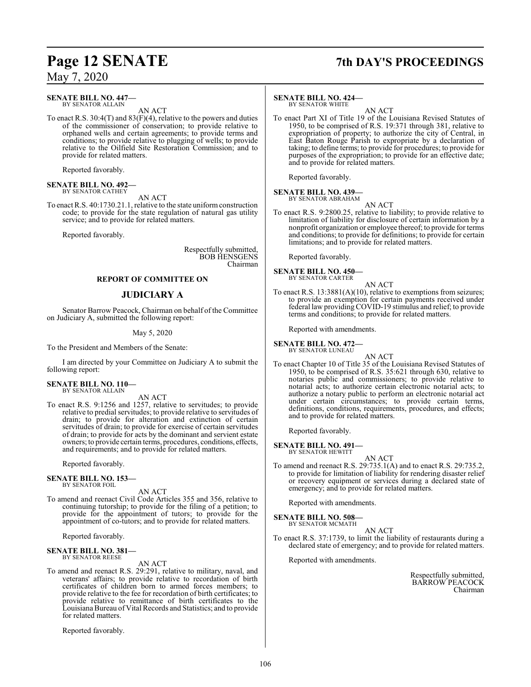#### **SENATE BILL NO. 447—** BY SENATOR ALLAIN

AN ACT

To enact R.S. 30:4(T) and 83(F)(4), relative to the powers and duties of the commissioner of conservation; to provide relative to orphaned wells and certain agreements; to provide terms and conditions; to provide relative to plugging of wells; to provide relative to the Oilfield Site Restoration Commission; and to provide for related matters.

Reported favorably.

#### **SENATE BILL NO. 492—** BY SENATOR CATHEY

AN ACT To enact R.S. 40:1730.21.1, relative to the state uniformconstruction code; to provide for the state regulation of natural gas utility service; and to provide for related matters.

Reported favorably.

Respectfully submitted, BOB HENSGENS Chairman

#### **REPORT OF COMMITTEE ON**

#### **JUDICIARY A**

Senator Barrow Peacock, Chairman on behalf of the Committee on Judiciary A, submitted the following report:

May 5, 2020

To the President and Members of the Senate:

I am directed by your Committee on Judiciary A to submit the following report:

#### **SENATE BILL NO. 110—** BY SENATOR ALLAIN

AN ACT

To enact R.S. 9:1256 and 1257, relative to servitudes; to provide relative to predial servitudes; to provide relative to servitudes of drain; to provide for alteration and extinction of certain servitudes of drain; to provide for exercise of certain servitudes of drain; to provide for acts by the dominant and servient estate owners; to provide certain terms, procedures, conditions, effects, and requirements; and to provide for related matters.

Reported favorably.

#### **SENATE BILL NO. 153—** BY SENATOR FOIL

AN ACT

To amend and reenact Civil Code Articles 355 and 356, relative to continuing tutorship; to provide for the filing of a petition; to provide for the appointment of tutors; to provide for the appointment of co-tutors; and to provide for related matters.

Reported favorably.

#### **SENATE BILL NO. 381—** BY SENATOR REESE

AN ACT

To amend and reenact R.S. 29:291, relative to military, naval, and veterans' affairs; to provide relative to recordation of birth certificates of children born to armed forces members; to provide relative to the fee for recordation of birth certificates; to provide relative to remittance of birth certificates to the LouisianaBureau of Vital Records and Statistics; and to provide for related matters.

Reported favorably.

## **Page 12 SENATE 7th DAY'S PROCEEDINGS**

#### **SENATE BILL NO. 424—**

BY SENATOR WHITE

AN ACT To enact Part XI of Title 19 of the Louisiana Revised Statutes of 1950, to be comprised of R.S. 19:371 through 381, relative to expropriation of property; to authorize the city of Central, in East Baton Rouge Parish to expropriate by a declaration of taking; to define terms; to provide for procedures; to provide for purposes of the expropriation; to provide for an effective date; and to provide for related matters.

Reported favorably.

#### **SENATE BILL NO. 439—** BY SENATOR ABRAHAM

AN ACT

To enact R.S. 9:2800.25, relative to liability; to provide relative to limitation of liability for disclosure of certain information by a nonprofit organization or employee thereof; to provide for terms and conditions; to provide for definitions; to provide for certain limitations; and to provide for related matters.

Reported favorably.

**SENATE BILL NO. 450—** BY SENATOR CARTER

AN ACT

To enact R.S. 13:3881(A)(10), relative to exemptions from seizures; to provide an exemption for certain payments received under federal law providing COVID-19 stimulus and relief; to provide terms and conditions; to provide for related matters.

Reported with amendments.

#### **SENATE BILL NO. 472—**

BY SENATOR LUNEAU AN ACT

To enact Chapter 10 of Title 35 of the Louisiana Revised Statutes of 1950, to be comprised of R.S. 35:621 through 630, relative to notaries public and commissioners; to provide relative to notarial acts; to authorize certain electronic notarial acts; to authorize a notary public to perform an electronic notarial act under certain circumstances; to provide certain terms, definitions, conditions, requirements, procedures, and effects; and to provide for related matters.

Reported favorably.

**SENATE BILL NO. 491—** BY SENATOR HEWITT

AN ACT

To amend and reenact R.S. 29:735.1(A) and to enact R.S. 29:735.2, to provide for limitation of liability for rendering disaster relief or recovery equipment or services during a declared state of emergency; and to provide for related matters.

Reported with amendments.

**SENATE BILL NO. 508—** BY SENATOR MCMATH

AN ACT

To enact R.S. 37:1739, to limit the liability of restaurants during a declared state of emergency; and to provide for related matters.

Reported with amendments.

Respectfully submitted, BARROW PEACOCK Chairman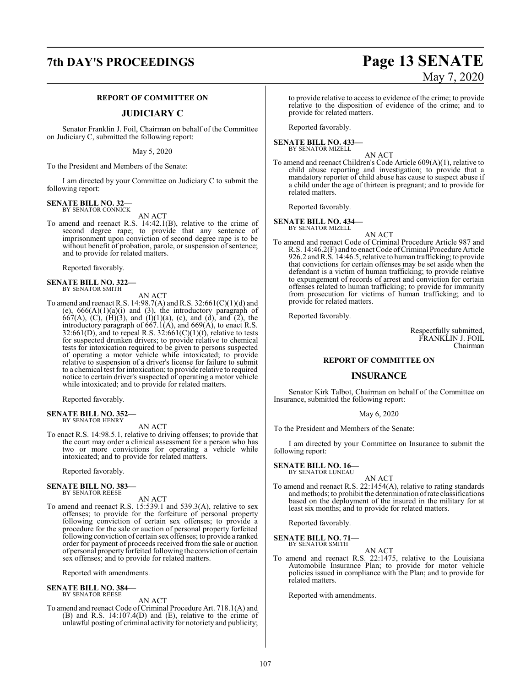#### **REPORT OF COMMITTEE ON**

#### **JUDICIARY C**

Senator Franklin J. Foil, Chairman on behalf of the Committee on Judiciary C, submitted the following report:

May 5, 2020

To the President and Members of the Senate:

I am directed by your Committee on Judiciary C to submit the following report:

#### **SENATE BILL NO. 32—** BY SENATOR CONNICK

AN ACT

To amend and reenact R.S. 14:42.1(B), relative to the crime of second degree rape; to provide that any sentence of imprisonment upon conviction of second degree rape is to be without benefit of probation, parole, or suspension of sentence; and to provide for related matters.

Reported favorably.

**SENATE BILL NO. 322—** BY SENATOR SMITH

AN ACT

To amend and reenact R.S. 14:98.7(A) and R.S. 32:661(C)(1)(d) and (e),  $666(A)(1)(a)(i)$  and (3), the introductory paragraph of  $667(A)$ , (C), (H)(3), and (I)(1)(a), (c), and (d), and (2), the introductory paragraph of  $667.1(A)$ , and  $669(A)$ , to enact R.S. 32:661(D), and to repeal R.S. 32:661(C)(1)(f), relative to tests for suspected drunken drivers; to provide relative to chemical tests for intoxication required to be given to persons suspected of operating a motor vehicle while intoxicated; to provide relative to suspension of a driver's license for failure to submit to a chemical test forintoxication; to provide relative to required notice to certain driver's suspected of operating a motor vehicle while intoxicated; and to provide for related matters.

Reported favorably.

**SENATE BILL NO. 352—** BY SENATOR HENRY

AN ACT

To enact R.S. 14:98.5.1, relative to driving offenses; to provide that the court may order a clinical assessment for a person who has two or more convictions for operating a vehicle while intoxicated; and to provide for related matters.

Reported favorably.

## **SENATE BILL NO. 383—** BY SENATOR REESE

AN ACT

To amend and reenact R.S. 15:539.1 and 539.3(A), relative to sex offenses; to provide for the forfeiture of personal property following conviction of certain sex offenses; to provide a procedure for the sale or auction of personal property forfeited following conviction of certain sex offenses; to provide a ranked order for payment of proceeds received from the sale or auction of personal property forfeited following the conviction of certain sex offenses; and to provide for related matters.

Reported with amendments.

#### **SENATE BILL NO. 384—** BY SENATOR REESE

AN ACT

To amend and reenact Code of Criminal Procedure Art. 718.1(A) and (B) and R.S. 14:107.4(D) and (E), relative to the crime of unlawful posting of criminal activity for notoriety and publicity;

#### to provide relative to access to evidence of the crime; to provide relative to the disposition of evidence of the crime; and to provide for related matters.

Reported favorably.

### **SENATE BILL NO. 433—** BY SENATOR MIZELL

AN ACT

To amend and reenact Children's Code Article 609(A)(1), relative to child abuse reporting and investigation; to provide that a mandatory reporter of child abuse has cause to suspect abuse if a child under the age of thirteen is pregnant; and to provide for related matters.

Reported favorably.

#### **SENATE BILL NO. 434—**

BY SENATOR MIZELL AN ACT

To amend and reenact Code of Criminal Procedure Article 987 and R.S. 14:46.2(F) and to enact Code ofCriminal Procedure Article 926.2 and R.S. 14:46.5, relative to human trafficking; to provide that convictions for certain offenses may be set aside when the defendant is a victim of human trafficking; to provide relative to expungement of records of arrest and conviction for certain offenses related to human trafficking; to provide for immunity from prosecution for victims of human trafficking; and to provide for related matters.

Reported favorably.

Respectfully submitted, FRANKLIN J. FOIL Chairman

#### **REPORT OF COMMITTEE ON**

#### **INSURANCE**

Senator Kirk Talbot, Chairman on behalf of the Committee on Insurance, submitted the following report:

#### May 6, 2020

To the President and Members of the Senate:

I am directed by your Committee on Insurance to submit the following report:

### **SENATE BILL NO. 16—** BY SENATOR LUNEAU

AN ACT To amend and reenact R.S. 22:1454(A), relative to rating standards andmethods; to prohibit the determination ofrate classifications based on the deployment of the insured in the military for at least six months; and to provide for related matters.

Reported favorably.

#### **SENATE BILL NO. 71—** BY SENATOR SMITH

- AN ACT
- To amend and reenact R.S. 22:1475, relative to the Louisiana Automobile Insurance Plan; to provide for motor vehicle policies issued in compliance with the Plan; and to provide for related matters.

Reported with amendments.

## **7th DAY'S PROCEEDINGS Page 13 SENATE** May 7, 2020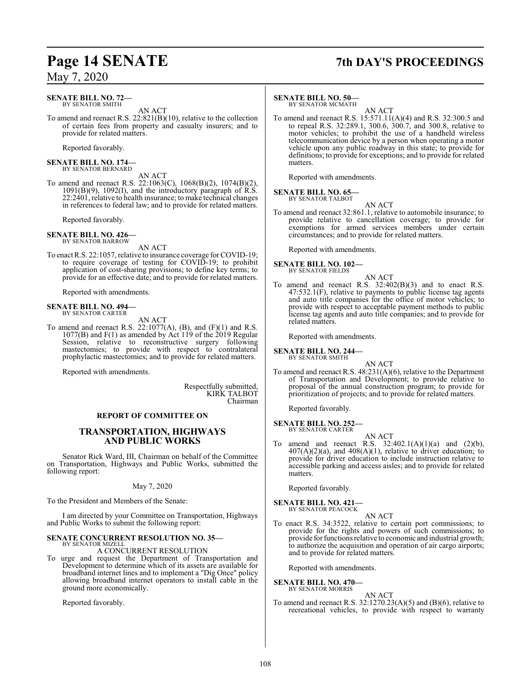## **Page 14 SENATE 7th DAY'S PROCEEDINGS**

### **SENATE BILL NO. 72—**

BY SENATOR SMITH

AN ACT To amend and reenact R.S. 22:821(B)(10), relative to the collection of certain fees from property and casualty insurers; and to provide for related matters.

Reported favorably.

**SENATE BILL NO. 174—** BY SENATOR BERNARD

AN ACT

To amend and reenact R.S. 22:1063(C), 1068(B)(2), 1074(B)(2), 1091(B)(9), 1092(I), and the introductory paragraph of R.S. 22:2401, relative to health insurance; to make technical changes in references to federal law; and to provide for related matters.

Reported favorably.

**SENATE BILL NO. 426—** BY SENATOR BARROW

AN ACT

To enact R.S. 22:1057, relative to insurance coverage for COVID-19; to require coverage of testing for COVID-19; to prohibit application of cost-sharing provisions; to define key terms; to provide for an effective date; and to provide for related matters.

Reported with amendments.

#### **SENATE BILL NO. 494—** BY SENATOR CARTER

AN ACT

To amend and reenact R.S.  $22:1077(A)$ , (B), and (F)(1) and R.S. 1077(B) and F(1) as amended by Act 119 of the 2019 Regular Session, relative to reconstructive surgery following mastectomies; to provide with respect to contralateral prophylactic mastectomies; and to provide for related matters.

Reported with amendments.

Respectfully submitted, KIRK TALBOT Chairman

#### **REPORT OF COMMITTEE ON**

### **TRANSPORTATION, HIGHWAYS AND PUBLIC WORKS**

Senator Rick Ward, III, Chairman on behalf of the Committee on Transportation, Highways and Public Works, submitted the following report:

#### May 7, 2020

To the President and Members of the Senate:

I am directed by your Committee on Transportation, Highways and Public Works to submit the following report:

#### **SENATE CONCURRENT RESOLUTION NO. 35—** BY SENATOR MIZELL

A CONCURRENT RESOLUTION

To urge and request the Department of Transportation and Development to determine which of its assets are available for broadband internet lines and to implement a "Dig Once" policy allowing broadband internet operators to install cable in the ground more economically.

Reported favorably.

#### **SENATE BILL NO. 50—**

BY SENATOR MCMATH

AN ACT To amend and reenact R.S. 15:571.11(A)(4) and R.S. 32:300.5 and to repeal R.S. 32:289.1, 300.6, 300.7, and 300.8, relative to motor vehicles; to prohibit the use of a handheld wireless telecommunication device by a person when operating a motor vehicle upon any public roadway in this state; to provide for definitions; to provide for exceptions; and to provide for related matters.

Reported with amendments.

#### **SENATE BILL NO. 65—** BY SENATOR TALBOT

AN ACT

To amend and reenact 32:861.1, relative to automobile insurance; to provide relative to cancellation coverage; to provide for exemptions for armed services members under certain circumstances; and to provide for related matters.

Reported with amendments.

## **SENATE BILL NO. 102—** BY SENATOR FIELDS

- 
- To amend and reenact R.S. 32:402(B)(3) and to enact R.S. 47:532.1(F), relative to payments to public license tag agents and auto title companies for the office of motor vehicles; to provide with respect to acceptable payment methods to public license tag agents and auto title companies; and to provide for related matters.

AN ACT

Reported with amendments.

#### **SENATE BILL NO. 244—** BY SENATOR SMITH

AN ACT To amend and reenact R.S. 48:231(A)(6), relative to the Department of Transportation and Development; to provide relative to proposal of the annual construction program; to provide for prioritization of projects; and to provide for related matters.

Reported favorably.

#### **SENATE BILL NO. 252—** BY SENATOR CARTER

AN ACT To amend and reenact R.S.  $32:402.1(A)(1)(a)$  and  $(2)(b)$ ,  $407(A)(2)(a)$ , and  $408(A)(1)$ , relative to driver education; to provide for driver education to include instruction relative to accessible parking and access aisles; and to provide for related matters.

Reported favorably.

#### **SENATE BILL NO. 421—** BY SENATOR PEACOCK

AN ACT

To enact R.S. 34:3522, relative to certain port commissions; to provide for the rights and powers of such commissions; to provide for functions relative to economic and industrial growth; to authorize the acquisition and operation of air cargo airports; and to provide for related matters.

Reported with amendments.

**SENATE BILL NO. 470—** BY SENATOR MORRIS

AN ACT

To amend and reenact R.S. 32:1270.23(A)(5) and (B)(6), relative to recreational vehicles, to provide with respect to warranty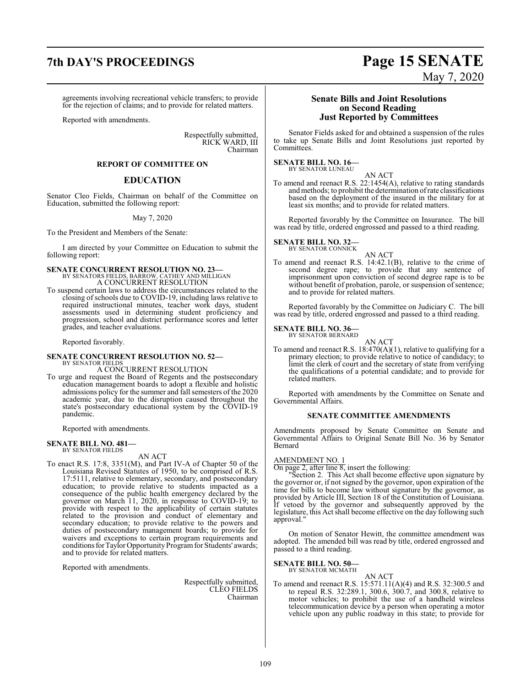## **7th DAY'S PROCEEDINGS Page 15 SENATE**

agreements involving recreational vehicle transfers; to provide for the rejection of claims; and to provide for related matters.

Reported with amendments.

Respectfully submitted, RICK WARD, III Chairman

#### **REPORT OF COMMITTEE ON**

#### **EDUCATION**

Senator Cleo Fields, Chairman on behalf of the Committee on Education, submitted the following report:

May 7, 2020

To the President and Members of the Senate:

I am directed by your Committee on Education to submit the following report:

#### **SENATE CONCURRENT RESOLUTION NO. 23—** BY SENATORS FIELDS, BARROW, CATHEY AND MILLIGAN

A CONCURRENT RESOLUTION To suspend certain laws to address the circumstances related to the closing of schools due to COVID-19, including laws relative to required instructional minutes, teacher work days, student assessments used in determining student proficiency and progression, school and district performance scores and letter grades, and teacher evaluations.

Reported favorably.

#### **SENATE CONCURRENT RESOLUTION NO. 52—** BY SENATOR FIELDS

### A CONCURRENT RESOLUTION

To urge and request the Board of Regents and the postsecondary education management boards to adopt a flexible and holistic admissions policy for the summer and fall semesters of the 2020 academic year, due to the disruption caused throughout the state's postsecondary educational system by the COVID-19 pandemic.

Reported with amendments.

#### **SENATE BILL NO. 481—** BY SENATOR FIELDS

AN ACT

To enact R.S. 17:8, 3351(M), and Part IV-A of Chapter 50 of the Louisiana Revised Statutes of 1950, to be comprised of R.S. 17:5111, relative to elementary, secondary, and postsecondary education; to provide relative to students impacted as a consequence of the public health emergency declared by the governor on March 11, 2020, in response to COVID-19; to provide with respect to the applicability of certain statutes related to the provision and conduct of elementary and secondary education; to provide relative to the powers and duties of postsecondary management boards; to provide for waivers and exceptions to certain program requirements and conditions for Taylor Opportunity Program for Students' awards; and to provide for related matters.

Reported with amendments.

Respectfully submitted, CLEO FIELDS Chairman

### **Senate Bills and Joint Resolutions on Second Reading Just Reported by Committees**

Senator Fields asked for and obtained a suspension of the rules to take up Senate Bills and Joint Resolutions just reported by Committees.

#### **SENATE BILL NO. 16—** BY SENATOR LUNEAU

AN ACT To amend and reenact R.S. 22:1454(A), relative to rating standards andmethods; to prohibit the determination ofrate classifications based on the deployment of the insured in the military for at least six months; and to provide for related matters.

Reported favorably by the Committee on Insurance. The bill was read by title, ordered engrossed and passed to a third reading.

#### **SENATE BILL NO. 32—** BY SENATOR CONNICK

AN ACT

To amend and reenact R.S. 14:42.1(B), relative to the crime of second degree rape; to provide that any sentence of imprisonment upon conviction of second degree rape is to be without benefit of probation, parole, or suspension of sentence; and to provide for related matters.

Reported favorably by the Committee on Judiciary C. The bill was read by title, ordered engrossed and passed to a third reading.

#### **SENATE BILL NO. 36—**

BY SENATOR BERNARD AN ACT

To amend and reenact R.S. 18:470(A)(1), relative to qualifying for a primary election; to provide relative to notice of candidacy; to limit the clerk of court and the secretary of state from verifying the qualifications of a potential candidate; and to provide for related matters.

Reported with amendments by the Committee on Senate and Governmental Affairs.

#### **SENATE COMMITTEE AMENDMENTS**

Amendments proposed by Senate Committee on Senate and Governmental Affairs to Original Senate Bill No. 36 by Senator Bernard

#### AMENDMENT NO. 1

On page 2, after line 8, insert the following:

"Section 2. This Act shall become effective upon signature by the governor or, if not signed by the governor, upon expiration of the time for bills to become law without signature by the governor, as provided by Article III, Section 18 of the Constitution of Louisiana. If vetoed by the governor and subsequently approved by the legislature, this Act shall become effective on the day following such approval."

On motion of Senator Hewitt, the committee amendment was adopted. The amended bill was read by title, ordered engrossed and passed to a third reading.

#### **SENATE BILL NO. 50—** BY SENATOR MCMATH

AN ACT

To amend and reenact R.S. 15:571.11(A)(4) and R.S. 32:300.5 and to repeal R.S. 32:289.1, 300.6, 300.7, and 300.8, relative to motor vehicles; to prohibit the use of a handheld wireless telecommunication device by a person when operating a motor vehicle upon any public roadway in this state; to provide for

109

# May 7, 2020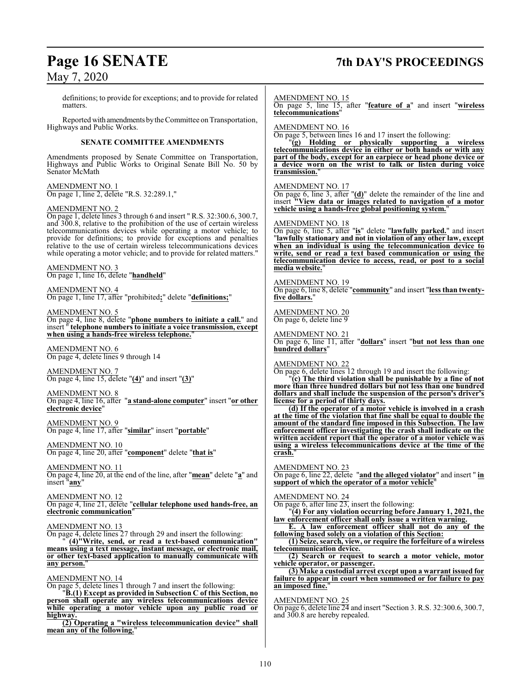### **Page 16 SENATE 7th DAY'S PROCEEDINGS**

May 7, 2020 definitions; to provide for exceptions; and to provide for related matters. Reported with amendments bythe Committee on Transportation, Highways and Public Works. **SENATE COMMITTEE AMENDMENTS** Amendments proposed by Senate Committee on Transportation, Highways and Public Works to Original Senate Bill No. 50 by Senator McMath AMENDMENT NO. 1 On page 1, line 2, delete "R.S. 32:289.1," AMENDMENT NO. 2 On page 1, delete lines 3 through 6 and insert " R.S. 32:300.6, 300.7, and 300.8, relative to the prohibition of the use of certain wireless telecommunications devices while operating a motor vehicle; to provide for definitions; to provide for exceptions and penalties relative to the use of certain wireless telecommunications devices while operating a motor vehicle; and to provide for related matters." AMENDMENT NO. 3 On page 1, line 16, delete "**handheld**" AMENDMENT NO. 4 On page 1, line 17, after "prohibited**;**" delete "**definitions;**" AMENDMENT NO. 5 On page 4, line 8, delete "**phone numbers to initiate a call.**" and insert " **telephone numbers to initiate a voice transmission, except when using a hands-free wireless telephone.**" AMENDMENT NO. 6 On page 4, delete lines 9 through 14 AMENDMENT NO. 7 On page 4, line 15, delete "**(4)**" and insert "**(3)**" AMENDMENT NO. 8 On page 4, line 16, after "**a stand-alone computer**" insert "**or other electronic device**" AMENDMENT NO. 9 On page 4, line 17, after "**similar**" insert "**portable**" AMENDMENT NO. 10 On page 4, line 20, after "**component**" delete "**that is**" AMENDMENT NO. 11 On page 4, line 20, at the end of the line, after "**mean**" delete "**a**" and insert "**any**" AMENDMENT NO. 12 On page 4, line 21, delete "**cellular telephone used hands-free, an electronic communication**" AMENDMENT NO. 13 On page 4, delete lines 27 through 29 and insert the following: " **(4)"Write, send, or read a text-based communication" means using a text message, instant message, or electronic mail, or other text-based application to manually communicate with** any person. AMENDMENT NO. 14 On page 5, delete lines 1 through 7 and insert the following: "**B.(1) Except as provided in Subsection C of this Section, no person shall operate any wireless telecommunications device while operating a motor vehicle upon any public road or highway. (2) Operating a "wireless telecommunication device" shall mean any of the following.**" AMENDMENT NO. 15 On page 5, line 15, after "**feature of a**" and insert "**wireless telecommunications**" AMENDMENT NO. 16 On page 5, between lines 16 and 17 insert the following: "**(g) Holding or physically supporting a wireless telecommunications device in either or both hands or with any part of the body, except for an earpiece or head phone device or a device worn on the wrist to talk or listen during voice transmission.**" AMENDMENT NO. 17 On page 6, line 3, after "**(d)**" delete the remainder of the line and insert **"View data or images related to navigation of a motor vehicle using a hands-free global positioning system.**" AMENDMENT NO. 18 On page 6, line 5, after "**is**" delete "**lawfully parked.**" and insert "**lawfully stationary and not in violation of any other law, except when an individual is using the telecommunication device to write, send or read a text based communication or using the telecommunication device to access, read, or post to a social media website.**" AMENDMENT NO. 19 On page 6, line 8, delete "**community**" and insert "**less than twentyfive dollars.**" AMENDMENT NO. 20 On page 6, delete line 9 AMENDMENT NO. 21 On page 6, line 11, after "**dollars**" insert "**but not less than one hundred dollars**" AMENDMENT NO. 22 On page 6, delete lines 12 through 19 and insert the following: "**(c) The third violation shall be punishable by a fine of not more than three hundred dollars but not less than one hundred dollars and shall include the suspension of the person's driver's license for a period of thirty days. (d) If the operator of a motor vehicle is involved in a crash at the time of the violation that fine shall be equal to double the amount of the standard fine imposed in this Subsection. The law enforcement officer investigating the crash shall indicate on the written accident report that the operator of a motor vehicle was using a wireless telecommunications device at the time of the crash.**" AMENDMENT NO. 23 On page 6, line 22, delete "**and the alleged violator**" and insert " **in support of which the operator of a motor vehicle**" AMENDMENT NO. 24  $\overline{\text{On page 6, after line 23}}$  insert the following: "**(4) For any violation occurring before January 1, 2021, the law enforcement officer shall only issue a written warning. E. A law enforcement officer shall not do any of the following based solely on a violation of this Section: (1) Seize, search, view, or require the forfeiture of a wireless telecommunication device. (2) Search or request to search a motor vehicle, motor vehicle operator, or passenger. (3) Make a custodial arrest except upon a warrant issued for failure to appear in court when summoned or for failure to pay an imposed fine.**" AMENDMENT NO. 25 On page 6, delete line 24 and insert "Section 3. R.S. 32:300.6, 300.7, and 300.8 are hereby repealed.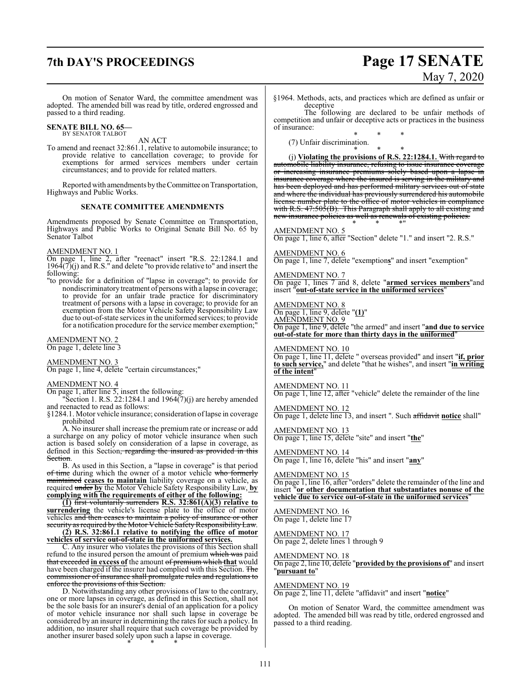## **7th DAY'S PROCEEDINGS Page 17 SENATE** May 7, 2020

On motion of Senator Ward, the committee amendment was adopted. The amended bill was read by title, ordered engrossed and passed to a third reading.

**SENATE BILL NO. 65—** BY SENATOR TALBOT

AN ACT

To amend and reenact 32:861.1, relative to automobile insurance; to provide relative to cancellation coverage; to provide for exemptions for armed services members under certain circumstances; and to provide for related matters.

Reported with amendments by the Committee on Transportation, Highways and Public Works.

#### **SENATE COMMITTEE AMENDMENTS**

Amendments proposed by Senate Committee on Transportation, Highways and Public Works to Original Senate Bill No. 65 by Senator Talbot

#### AMENDMENT NO. 1

On page 1, line 2, after "reenact" insert "R.S. 22:1284.1 and  $196\overline{4}(7)(j)$  and R.S." and delete "to provide relative to" and insert the following:

"to provide for a definition of "lapse in coverage"; to provide for nondiscriminatory treatment of persons with a lapse in coverage; to provide for an unfair trade practice for discriminatory treatment of persons with a lapse in coverage; to provide for an exemption from the Motor Vehicle Safety Responsibility Law due to out-of-state services in the uniformed services; to provide for a notification procedure for the service member exemption;"

#### AMENDMENT NO. 2 On page 1, delete line 3

AMENDMENT NO. 3

On page 1, line 4, delete "certain circumstances;"

#### AMENDMENT NO. 4

On page 1, after line 5, insert the following:

"Section 1. R.S. 22:1284.1 and  $1964(7)(j)$  are hereby amended and reenacted to read as follows:

§1284.1. Motor vehicle insurance; consideration oflapse in coverage prohibited

A. No insurer shall increase the premium rate or increase or add a surcharge on any policy of motor vehicle insurance when such action is based solely on consideration of a lapse in coverage, as defined in this Section, regarding the insured as provided in this **Section** 

B. As used in this Section, a "lapse in coverage" is that period of time during which the owner of a motor vehicle who formerly maintained **ceases to maintain** liability coverage on a vehicle, as required under **by** the Motor Vehicle Safety Responsibility Law, **by complying with the requirements of either of the following:**

**(1)** first voluntarily surrenders **R.S. 32:861(A)(3) relative to surrendering** the vehicle's license plate to the office of motor vehicles <del>and then ceases to maintain a policy of insurance or other</del> security as required by the Motor Vehicle SafetyResponsibility Law. **(2) R.S. 32:861.1 relative to notifying the office of motor**

**vehicles of service out-of-state in the uniformed services.** C. Any insurer who violates the provisions of this Section shall

refund to the insured person the amount of premium which was paid that exceeded **in excess of** the amount of premium which **that** would have been charged if the insurer had complied with this Section. The commissioner of insurance shall promulgate rules and regulations to enforce the provisions of this Section.

D. Notwithstanding any other provisions of law to the contrary, one or more lapses in coverage, as defined in this Section, shall not be the sole basis for an insurer's denial of an application for a policy of motor vehicle insurance nor shall such lapse in coverage be considered by an insurer in determining the rates for such a policy. In addition, no insurer shall require that such coverage be provided by another insurer based solely upon such a lapse in coverage. \* \* \*

§1964. Methods, acts, and practices which are defined as unfair or deceptive

The following are declared to be unfair methods of competition and unfair or deceptive acts or practices in the business of insurance:

\* \* \* (7) Unfair discrimination.

\* \* \* (j) **Violating the provisions of R.S. 22:1284.1.** With regard to automobile liability insurance, refusing to issue insurance coverage or increasing insurance premiums solely based upon a lapse in insurance coverage where the insured is serving in the military and has been deployed and has performed military services out of state and where the individual has previously surrendered his automobile license number plate to the office of motor vehicles in compliance with R.S. 47:505(B). This Paragraph shall apply to all existing and new insurance policies as well as renewals of existing policies. \* \* \*"

#### AMENDMENT NO. 5

On page 1, line 6, after "Section" delete "1." and insert "2. R.S."

#### AMENDMENT NO. 6

On page 1, line 7, delete "exemption**s**" and insert "exemption"

#### AMENDMENT NO. 7

On page 1, lines 7 and 8, delete "**armed services members**"and insert "**out-of-state service in the uniformed services**"

#### AMENDMENT NO. 8

On page 1, line 9, delete "**(1)**"

AMENDMENT NO. 9 On page 1, line 9, delete "the armed" and insert "**and due to service out-of-state for more than thirty days in the uniformed**"

AMENDMENT NO. 10 On page 1, line 11, delete " overseas provided" and insert "**if, prior to such service,**" and delete "that he wishes", and insert "**in writing of the intent**"

AMENDMENT NO. 11 On page 1, line 12, after "vehicle" delete the remainder of the line

AMENDMENT NO. 12 On page 1, delete line 13, and insert ". Such affidavit **notice** shall"

AMENDMENT NO. 13 On page 1, line 15, delete "site" and insert "**the**"

AMENDMENT NO. 14 On page 1, line 16, delete "his" and insert "**any**"

AMENDMENT NO. 15

On page 1, line 16, after "orders" delete the remainder of the line and insert "**or other documentation that substantiates nonuse of the vehicle due to service out-of-state in the uniformed services**"

AMENDMENT NO. 16 On page 1, delete line 17

AMENDMENT NO. 17 On page 2, delete lines 1 through 9

#### AMENDMENT NO. 18

On page 2, line 10, delete "**provided by the provisions of**" and insert "**pursuant to**"

#### AMENDMENT NO. 19

On page 2, line 11, delete "affidavit" and insert "**notice**"

On motion of Senator Ward, the committee amendment was adopted. The amended bill was read by title, ordered engrossed and passed to a third reading.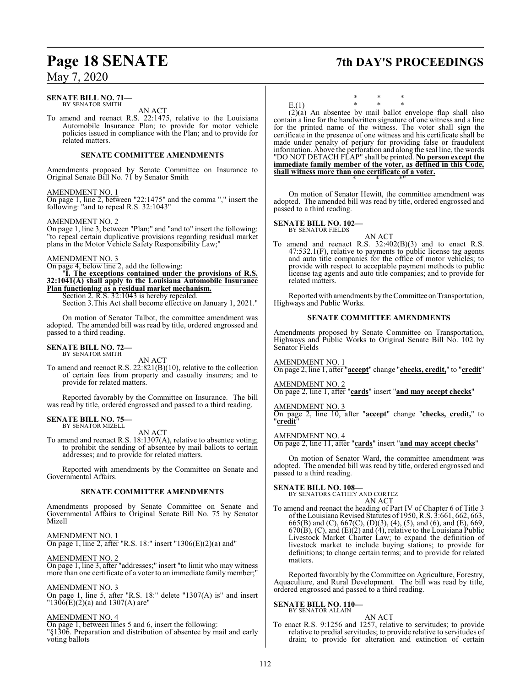### **Page 18 SENATE 7th DAY'S PROCEEDINGS**

### May 7, 2020

#### **SENATE BILL NO. 71—** BY SENATOR SMITH

AN ACT

To amend and reenact R.S. 22:1475, relative to the Louisiana Automobile Insurance Plan; to provide for motor vehicle policies issued in compliance with the Plan; and to provide for related matters.

#### **SENATE COMMITTEE AMENDMENTS**

Amendments proposed by Senate Committee on Insurance to Original Senate Bill No. 71 by Senator Smith

#### AMENDMENT NO. 1

On page 1, line 2, between "22:1475" and the comma "," insert the following: "and to repeal R.S. 32:1043"

#### AMENDMENT NO. 2

On page 1, line 3, between "Plan;" and "and to" insert the following: "to repeal certain duplicative provisions regarding residual market plans in the Motor Vehicle Safety Responsibility Law;"

#### AMENDMENT NO. 3

On page 4, below line 2, add the following:

"**I. The exceptions contained under the provisions of R.S. 32:1041(A) shall apply to the Louisiana Automobile Insurance Plan functioning as a residual market mechanism.**

Section 2. R.S. 32:1043 is hereby repealed.

Section 3.This Act shall become effective on January 1, 2021."

On motion of Senator Talbot, the committee amendment was adopted. The amended bill was read by title, ordered engrossed and passed to a third reading.

#### **SENATE BILL NO. 72—** BY SENATOR SMITH

AN ACT

To amend and reenact R.S. 22:821(B)(10), relative to the collection of certain fees from property and casualty insurers; and to provide for related matters.

Reported favorably by the Committee on Insurance. The bill was read by title, ordered engrossed and passed to a third reading.

#### **SENATE BILL NO. 75—** BY SENATOR MIZELL

AN ACT

To amend and reenact R.S. 18:1307(A), relative to absentee voting; to prohibit the sending of absentee by mail ballots to certain addresses; and to provide for related matters.

Reported with amendments by the Committee on Senate and Governmental Affairs.

#### **SENATE COMMITTEE AMENDMENTS**

Amendments proposed by Senate Committee on Senate and Governmental Affairs to Original Senate Bill No. 75 by Senator Mizell

AMENDMENT NO. 1

On page 1, line 2, after "R.S. 18:" insert "1306(E)(2)(a) and"

AMENDMENT NO. 2

On page 1, line 3, after "addresses;" insert "to limit who may witness more than one certificate of a voter to an immediate family member;"

#### AMENDMENT NO. 3

On page 1, line 5, after "R.S. 18:" delete "1307(A) is" and insert  $1306(E)(2)$ (a) and 1307(A) are"

#### AMENDMENT NO. 4

On page 1, between lines 5 and 6, insert the following:

"§1306. Preparation and distribution of absentee by mail and early voting ballots

\* \* \* E.(1) \* \* \*

(2)(a) An absentee by mail ballot envelope flap shall also contain a line for the handwritten signature of one witness and a line for the printed name of the witness. The voter shall sign the certificate in the presence of one witness and his certificate shall be made under penalty of perjury for providing false or fraudulent information. Above the perforation and along the seal line, the words "DO NOT DETACH FLAP" shall be printed. **No person except the immediate family member of the voter, as defined in this Code, shall witness more than one certificate of a voter.**

On motion of Senator Hewitt, the committee amendment was adopted. The amended bill was read by title, ordered engrossed and passed to a third reading.

\* \* \*"

#### **SENATE BILL NO. 102—**

BY SENATOR FIELDS

AN ACT To amend and reenact R.S. 32:402(B)(3) and to enact R.S. 47:532.1(F), relative to payments to public license tag agents and auto title companies for the office of motor vehicles; to provide with respect to acceptable payment methods to public license tag agents and auto title companies; and to provide for related matters.

Reported with amendments by the Committee on Transportation, Highways and Public Works.

#### **SENATE COMMITTEE AMENDMENTS**

Amendments proposed by Senate Committee on Transportation, Highways and Public Works to Original Senate Bill No. 102 by Senator Fields

AMENDMENT NO. 1

On page 2, line 1, after "**accept**" change "**checks, credit,**" to "**credit**"

#### AMENDMENT NO. 2

On page 2, line 1, after "**cards**" insert "**and may accept checks**"

#### AMENDMENT NO. 3

On page 2, line 10, after "**accept**" change "**checks, credit,**" to "**credit**"

#### AMENDMENT NO. 4

On page 2, line 11, after "**cards**" insert "**and may accept checks**"

On motion of Senator Ward, the committee amendment was adopted. The amended bill was read by title, ordered engrossed and passed to a third reading.

#### **SENATE BILL NO. 108—**

BY SENATORS CATHEY AND CORTEZ

### AN ACT

To amend and reenact the heading of Part IV of Chapter 6 of Title 3 ofthe Louisiana Revised Statutes of 1950, R.S. 3:661, 662, 663, 665(B) and (C), 667(C), (D)(3), (4), (5), and (6), and (E), 669,  $670(B)$ , (C), and (E)(2) and (4), relative to the Louisiana Public Livestock Market Charter Law; to expand the definition of livestock market to include buying stations; to provide for definitions; to change certain terms; and to provide for related matters.

Reported favorably by the Committee on Agriculture, Forestry, Aquaculture, and Rural Development. The bill was read by title, ordered engrossed and passed to a third reading.

#### **SENATE BILL NO. 110—** BY SENATOR ALLAIN

AN ACT To enact R.S. 9:1256 and 1257, relative to servitudes; to provide relative to predial servitudes; to provide relative to servitudes of drain; to provide for alteration and extinction of certain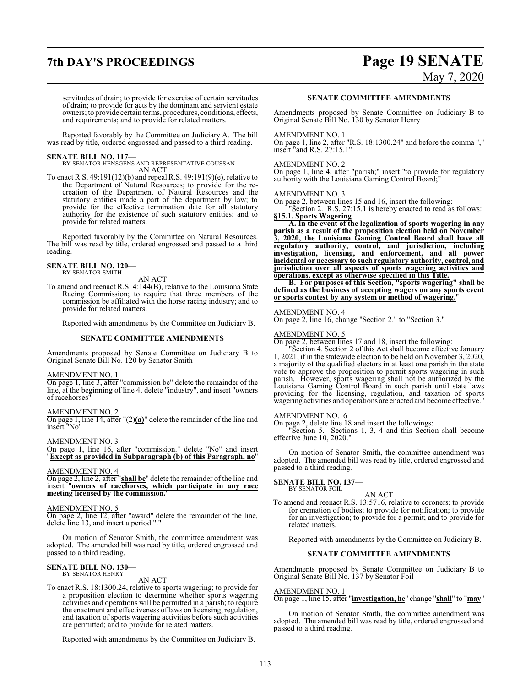# **7th DAY'S PROCEEDINGS Page 19 SENATE**

May 7, 2020

servitudes of drain; to provide for exercise of certain servitudes of drain; to provide for acts by the dominant and servient estate owners; to provide certain terms, procedures, conditions, effects, and requirements; and to provide for related matters.

Reported favorably by the Committee on Judiciary A. The bill was read by title, ordered engrossed and passed to a third reading.

**SENATE BILL NO. 117—** BY SENATOR HENSGENS AND REPRESENTATIVE COUSSAN AN ACT

To enact R.S. 49:191(12)(b) and repeal R.S. 49:191(9)(e), relative to the Department of Natural Resources; to provide for the recreation of the Department of Natural Resources and the statutory entities made a part of the department by law; to provide for the effective termination date for all statutory authority for the existence of such statutory entities; and to provide for related matters.

Reported favorably by the Committee on Natural Resources. The bill was read by title, ordered engrossed and passed to a third reading.

### **SENATE BILL NO. 120—** BY SENATOR SMITH

AN ACT

To amend and reenact R.S. 4:144(B), relative to the Louisiana State Racing Commission; to require that three members of the commission be affiliated with the horse racing industry; and to provide for related matters.

Reported with amendments by the Committee on Judiciary B.

#### **SENATE COMMITTEE AMENDMENTS**

Amendments proposed by Senate Committee on Judiciary B to Original Senate Bill No. 120 by Senator Smith

#### AMENDMENT NO. 1

On page 1, line 3, after "commission be" delete the remainder of the line, at the beginning of line 4, delete "industry", and insert "owners" of racehorses"

#### AMENDMENT NO. 2

On page 1, line 14, after "(2)**(a)**" delete the remainder of the line and insert "No"

AMENDMENT NO. 3

On page 1, line 16, after "commission." delete "No" and insert "**Except as provided in Subparagraph (b) of this Paragraph, no**"

#### AMENDMENT NO. 4

On page 2, line 2, after "**shall be**" delete the remainder of the line and insert "**owners of racehorses, which participate in any race meeting licensed by the commission.**"

#### AMENDMENT NO. 5

On page 2, line 12, after "award" delete the remainder of the line, delete line 13, and insert a period "."

On motion of Senator Smith, the committee amendment was adopted. The amended bill was read by title, ordered engrossed and passed to a third reading.

#### **SENATE BILL NO. 130—** BY SENATOR HENRY

#### AN ACT

To enact R.S. 18:1300.24, relative to sports wagering; to provide for a proposition election to determine whether sports wagering activities and operations will be permitted in a parish; to require the enactment and effectiveness oflaws on licensing, regulation, and taxation of sports wagering activities before such activities are permitted; and to provide for related matters.

Reported with amendments by the Committee on Judiciary B.

#### **SENATE COMMITTEE AMENDMENTS**

Amendments proposed by Senate Committee on Judiciary B to Original Senate Bill No. 130 by Senator Henry

#### AMENDMENT NO. 1

On page 1, line 2, after "R.S. 18:1300.24" and before the comma "," insert "and R.S. 27:15.1"

#### AMENDMENT NO. 2

On page 1, line 4, after "parish;" insert "to provide for regulatory authority with the Louisiana Gaming Control Board;"

#### AMENDMENT NO. 3

On page 2, between lines 15 and 16, insert the following: "Section 2. R.S. 27:15.1 is hereby enacted to read as follows: **§15.1. Sports Wagering**

**A. In the event of the legalization of sports wagering in any parish as a result of the proposition election held on November 3, 2020, the Louisiana Gaming Control Board shall have all regulatory authority, control, and jurisdiction, including investigation, licensing, and enforcement, and all power incidental or necessary to such regulatory authority, control, and jurisdiction over all aspects of sports wagering activities and operations, except as otherwise specified in this Title.**

**B. For purposes of this Section, "sports wagering" shall be defined as the business of accepting wagers on any sports event or sports contest by any system or method of wagering.**"

#### AMENDMENT NO. 4

On page 2, line 16, change "Section 2." to "Section 3."

#### AMENDMENT NO. 5

On page 2, between lines 17 and 18, insert the following:

"Section 4. Section 2 of this Act shall become effective January 1, 2021, if in the statewide election to be held on November 3, 2020, a majority of the qualified electors in at least one parish in the state vote to approve the proposition to permit sports wagering in such parish. However, sports wagering shall not be authorized by the Louisiana Gaming Control Board in such parish until state laws providing for the licensing, regulation, and taxation of sports wagering activities and operations are enacted and become effective."

#### AMENDMENT NO. 6

On page 2, delete line 18 and insert the followings:

"Section 5. Sections 1, 3, 4 and this Section shall become effective June 10, 2020."

On motion of Senator Smith, the committee amendment was adopted. The amended bill was read by title, ordered engrossed and passed to a third reading.

#### **SENATE BILL NO. 137—**

BY SENATOR FOIL

AN ACT To amend and reenact R.S. 13:5716, relative to coroners; to provide for cremation of bodies; to provide for notification; to provide for an investigation; to provide for a permit; and to provide for related matters.

Reported with amendments by the Committee on Judiciary B.

### **SENATE COMMITTEE AMENDMENTS**

Amendments proposed by Senate Committee on Judiciary B to Original Senate Bill No. 137 by Senator Foil

#### AMENDMENT NO. 1

On page 1, line 15, after "**investigation, he**" change "**shall**" to "**may**"

On motion of Senator Smith, the committee amendment was adopted. The amended bill was read by title, ordered engrossed and passed to a third reading.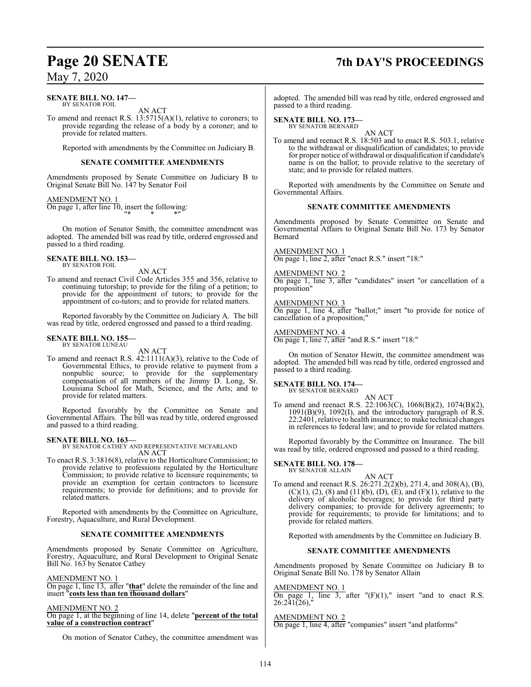#### **SENATE BILL NO. 147—** BY SENATOR FOIL

AN ACT

To amend and reenact R.S. 13:5715(A)(1), relative to coroners; to provide regarding the release of a body by a coroner; and to provide for related matters.

Reported with amendments by the Committee on Judiciary B.

### **SENATE COMMITTEE AMENDMENTS**

Amendments proposed by Senate Committee on Judiciary B to Original Senate Bill No. 147 by Senator Foil

AMENDMENT NO. 1 On page 1, after line 10, insert the following: "\* \* \*"

On motion of Senator Smith, the committee amendment was adopted. The amended bill was read by title, ordered engrossed and passed to a third reading.

#### **SENATE BILL NO. 153—** BY SENATOR FOIL

AN ACT

To amend and reenact Civil Code Articles 355 and 356, relative to continuing tutorship; to provide for the filing of a petition; to provide for the appointment of tutors; to provide for the appointment of co-tutors; and to provide for related matters.

Reported favorably by the Committee on Judiciary A. The bill was read by title, ordered engrossed and passed to a third reading.

#### **SENATE BILL NO. 155** BY SENATOR LUNEAU

AN ACT

To amend and reenact R.S. 42:1111(A)(3), relative to the Code of Governmental Ethics, to provide relative to payment from a nonpublic source; to provide for the supplementary compensation of all members of the Jimmy D. Long, Sr. Louisiana School for Math, Science, and the Arts; and to provide for related matters.

Reported favorably by the Committee on Senate and Governmental Affairs. The bill was read by title, ordered engrossed and passed to a third reading.

#### **SENATE BILL NO. 163—**

BY SENATOR CATHEY AND REPRESENTATIVE MCFARLAND AN ACT

To enact R.S. 3:3816(8), relative to the Horticulture Commission; to provide relative to professions regulated by the Horticulture Commission; to provide relative to licensure requirements; to provide an exemption for certain contractors to licensure requirements; to provide for definitions; and to provide for related matters.

Reported with amendments by the Committee on Agriculture, Forestry, Aquaculture, and Rural Development.

### **SENATE COMMITTEE AMENDMENTS**

Amendments proposed by Senate Committee on Agriculture, Forestry, Aquaculture, and Rural Development to Original Senate Bill No. 163 by Senator Cathey

#### AMENDMENT NO. 1

On page 1, line 13, after "**that**" delete the remainder of the line and insert "**costs less than ten thousand dollars**"

#### AMENDMENT NO. 2

On page 1, at the beginning of line 14, delete "**percent of the total value of a construction contract**"

On motion of Senator Cathey, the committee amendment was

## **Page 20 SENATE 7th DAY'S PROCEEDINGS**

adopted. The amended bill was read by title, ordered engrossed and passed to a third reading.

### **SENATE BILL NO. 173—**

BY SENATOR BERNARD

AN ACT To amend and reenact R.S. 18:503 and to enact R.S. 503.1, relative to the withdrawal or disqualification of candidates; to provide for proper notice of withdrawal or disqualification if candidate's name is on the ballot; to provide relative to the secretary of state; and to provide for related matters.

Reported with amendments by the Committee on Senate and Governmental Affairs.

#### **SENATE COMMITTEE AMENDMENTS**

Amendments proposed by Senate Committee on Senate and Governmental Affairs to Original Senate Bill No. 173 by Senator Bernard

#### AMENDMENT NO. 1

On page 1, line 2, after "enact R.S." insert "18:"

#### AMENDMENT NO. 2

On page 1, line 3, after "candidates" insert "or cancellation of a proposition"

#### AMENDMENT NO. 3

On page 1, line 4, after "ballot;" insert "to provide for notice of cancellation of a proposition;"

#### AMENDMENT NO. 4

On page 1, line 7, after "and R.S." insert "18:"

On motion of Senator Hewitt, the committee amendment was adopted. The amended bill was read by title, ordered engrossed and passed to a third reading.

### **SENATE BILL NO. 174—**

BY SENATOR BERNARD

AN ACT To amend and reenact R.S. 22:1063(C), 1068(B)(2), 1074(B)(2),  $1091(B)(9)$ ,  $1092(I)$ , and the introductory paragraph of  $\hat{R}.\hat{S}$ . 22:2401, relative to health insurance; to make technical changes in references to federal law; and to provide for related matters.

Reported favorably by the Committee on Insurance. The bill was read by title, ordered engrossed and passed to a third reading.

#### **SENATE BILL NO. 178—** BY SENATOR ALLAIN

AN ACT To amend and reenact R.S. 26:271.2(2)(b), 271.4, and 308(A), (B),  $(C)(1)$ ,  $(2)$ ,  $(8)$  and  $(11)(b)$ ,  $(D)$ ,  $(E)$ , and  $(F)(1)$ , relative to the delivery of alcoholic beverages; to provide for third party delivery companies; to provide for delivery agreements; to provide for requirements; to provide for limitations; and to provide for related matters.

Reported with amendments by the Committee on Judiciary B.

#### **SENATE COMMITTEE AMENDMENTS**

Amendments proposed by Senate Committee on Judiciary B to Original Senate Bill No. 178 by Senator Allain

#### AMENDMENT NO. 1

On page 1, line 3, after  $"F(0,1)"$  insert "and to enact R.S. 26:241(26),"

#### AMENDMENT NO. 2

On page 1, line 4, after "companies" insert "and platforms"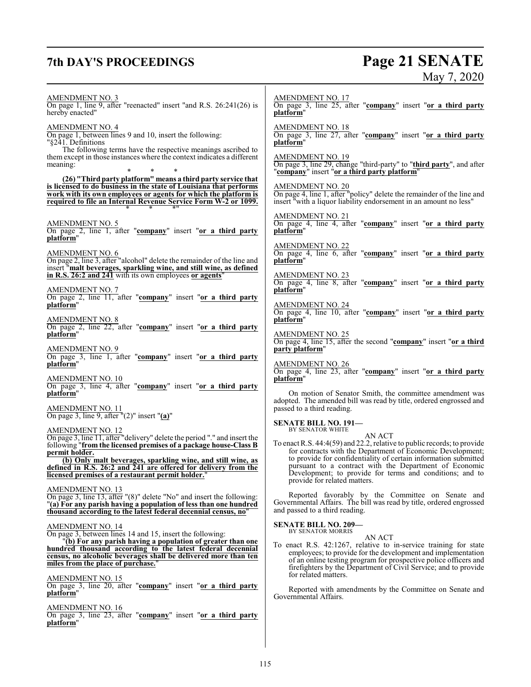## **7th DAY'S PROCEEDINGS Page 21 SENATE**

# May 7, 2020

AMENDMENT NO. 3 On page 1, line 9, after "reenacted" insert "and R.S. 26:241(26) is hereby enacted" AMENDMENT NO. 4 On page 1, between lines 9 and 10, insert the following: "§241. Definitions The following terms have the respective meanings ascribed to them except in those instances where the context indicates a different meaning: \* \* \* **(26) "Third party platform" means a third party service that is licensed to do business in the state of Louisiana that performs work with its own employees or agents for which the platform is required to file an Internal Revenue Service Form W-2 or 1099.** \* \* \*" AMENDMENT NO. 5 On page 2, line 1, after "**company**" insert "**or a third party platform**" AMENDMENT NO. 6 On page 2, line 3, after "alcohol" delete the remainder of the line and insert "**malt beverages, sparkling wine, and still wine, as defined in R.S. 26:2 and 241** with its own employees **or agents**" AMENDMENT NO. 7 On page 2, line 11, after "**company**" insert "**or a third party platform**" AMENDMENT NO. 8 On page 2, line 22, after "**company**" insert "**or a third party platform**" AMENDMENT NO. 9 On page 3, line 1, after "**company**" insert "**or a third party platform**" AMENDMENT NO. 10 On page 3, line 4, after "**company**" insert "**or a third party platform**" AMENDMENT NO. 11 On page 3, line 9, after "(2)" insert "**(a)**" AMENDMENT NO. 12 On page 3, line 11, after "delivery" delete the period "." and insert the following "**from the licensed premises of a package house-Class B permit holder. (b) Only malt beverages, sparkling wine, and still wine, as defined in R.S. 26:2 and 241 are offered for delivery from the licensed premises of a restaurant permit holder.**" AMENDMENT NO. 13 On page 3, line 13, after "(8)" delete "No" and insert the following: "**(a) For any parish having a population of less than one hundred thousand according to the latest federal decennial census, no**" AMENDMENT NO. 14 On page 3, between lines 14 and 15, insert the following: "**(b) For any parish having a population of greater than one hundred thousand according to the latest federal decennial census, no alcoholic beverages shall be delivered more than ten miles from the place of purchase.**" AMENDMENT NO. 15 On page 3, line 20, after "**company**" insert "**or a third party platform**" AMENDMENT NO. 16 On page 3, line 23, after "**company**" insert "**or a third party platform**" AMENDMENT NO. 17 On page 3, line 25, after "**company**" insert "**or a third party platform**" AMENDMENT NO. 18 On page 3, line 27, after "**company**" insert "**or a third party platform**" AMENDMENT NO. 19 On page 3, line 29, change "third-party" to "**third party**", and after "**company**" insert "**or a third party platform**" AMENDMENT NO. 20 On page 4, line 1, after "policy" delete the remainder of the line and insert "with a liquor liability endorsement in an amount no less" AMENDMENT NO. 21 On page 4, line 4, after "**company**" insert "**or a third party platform**" AMENDMENT NO. 22 On page 4, line 6, after "**company**" insert "**or a third party platform**" AMENDMENT NO. 23 On page 4, line 8, after "**company**" insert "**or a third party platform**" AMENDMENT NO. 24 On page 4, line 10, after "**company**" insert "**or a third party platform**" AMENDMENT NO. 25 On page 4, line 15, after the second "**company**" insert "**or a third party platform**" AMENDMENT NO. 26 On page 4, line 23, after "**company**" insert "**or a third party platform**" On motion of Senator Smith, the committee amendment was adopted. The amended bill was read by title, ordered engrossed and passed to a third reading. **SENATE BILL NO. 191—** BY SENATOR WHITE AN ACT To enact R.S. 44:4(59) and 22.2, relative to public records; to provide for contracts with the Department of Economic Development; to provide for confidentiality of certain information submitted pursuant to a contract with the Department of Economic Development; to provide for terms and conditions; and to provide for related matters. Reported favorably by the Committee on Senate and Governmental Affairs. The bill was read by title, ordered engrossed and passed to a third reading. **SENATE BILL NO. 209—** BY SENATOR MORRIS AN ACT To enact R.S. 42:1267, relative to in-service training for state employees; to provide for the development and implementation of an online testing program for prospective police officers and firefighters by the Department of Civil Service; and to provide for related matters. Reported with amendments by the Committee on Senate and Governmental Affairs.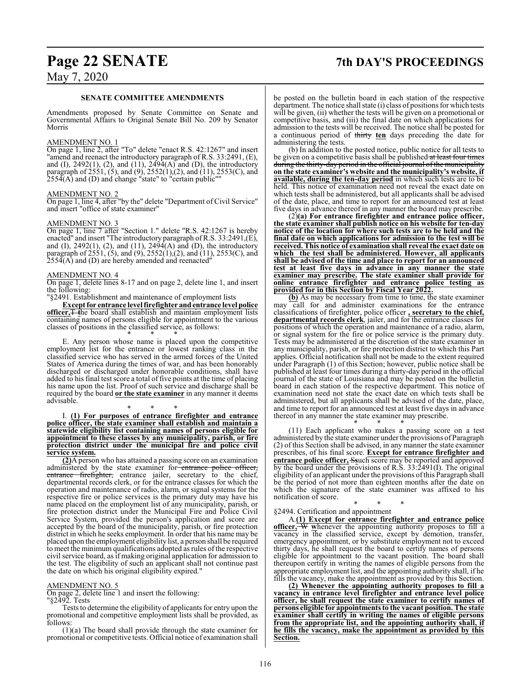## **Page 22 SENATE 7th DAY'S PROCEEDINGS**

### May 7, 2020

#### **SENATE COMMITTEE AMENDMENTS**

Amendments proposed by Senate Committee on Senate and Governmental Affairs to Original Senate Bill No. 209 by Senator Morris

#### AMENDMENT NO. 1

On page 1, line 2, after "To" delete "enact R.S. 42:1267" and insert "amend and reenact the introductory paragraph of R.S. 33:2491, (E), and (I),  $2492(1)$ , (2), and (11),  $2494(A)$  and (D), the introductory paragraph of 2551, (5), and (9), 2552(1),(2), and (11), 2553(C), and  $2554(A)$  and (D) and change "state" to "certain public""

#### AMENDMENT NO. 2

On page 1, line 4, after "by the" delete "Department of Civil Service" and insert "office of state examiner"

#### AMENDMENT NO. 3

On page 1, line 7 after "Section 1." delete "R.S. 42:1267 is hereby enacted" and insert "The introductory paragraph ofR.S. 33:2491,(E), and (I),  $2492(1)$ , (2), and (11),  $2494(A)$  and (D), the introductory paragraph of 2551, (5), and (9), 2552(1),(2), and (11), 2553(C), and  $255\overline{4}$ (A) and (D) are hereby amended and reenacted"

#### AMENDMENT NO. 4

On page 1, delete lines 8-17 and on page 2, delete line 1, and insert the following:

"§2491. Establishment and maintenance of employment lists

**Except for entrance level firefighter andentrance level police officer,**T **t**he board shall establish and maintain employment lists containing names of persons eligible for appointment to the various classes of positions in the classified service, as follows:

\* \* \* E. Any person whose name is placed upon the competitive employment list for the entrance or lowest ranking class in the classified service who has served in the armed forces of the United States of America during the times of war, and has been honorably discharged or discharged under honorable conditions, shall have added to his final test score a total of five points at the time of placing his name upon the list. Proof of such service and discharge shall be required by the board **or the state examiner** in any manner it deems advisable.

#### \* \* \* I. **(1) For purposes of entrance firefighter and entrance police officer, the state examiner shall establish and maintain a statewide eligibility list containing names of persons eligible for appointment to these classes by any municipality, parish, or fire protection district under the municipal fire and police civil service system.**

**(2)**A person who has attained a passing score on an examination administered by the state examiner for entrance entrance firefighter, entrance jailer, secretary to the chief, departmental records clerk, or for the entrance classes for which the operation and maintenance of radio, alarm, or signal systems for the respective fire or police services is the primary duty may have his name placed on the employment list of any municipality, parish, or fire protection district under the Municipal Fire and Police Civil Service System, provided the person's application and score are accepted by the board of the municipality, parish, or fire protection district in which he seeks employment. In order that his name may be placed upon the employment eligibility list, a person shall be required to meet the minimum qualifications adopted as rules ofthe respective civil service board, as if making original application for admission to the test. The eligibility of such an applicant shall not continue past the date on which his original eligibility expired."

#### AMENDMENT NO. 5

On page 2, delete line 1 and insert the following:

#### "§2492. Tests

Tests to determine the eligibility of applicants for entry upon the promotional and competitive employment lists shall be provided, as follows:

(1)(a) The board shall provide through the state examiner for promotional or competitive tests. Official notice of examination shall be posted on the bulletin board in each station of the respective department. The notice shall state (i) class of positions for which tests will be given, (ii) whether the tests will be given on a promotional or competitive basis, and (iii) the final date on which applications for admission to the tests will be received. The notice shall be posted for a continuous period of thirty **ten** days preceding the date for administering the tests.

(b) In addition to the posted notice, public notice for all tests to be given on a competitive basis shall be published at least four times during the thirty-day period in the official journal of the municipality **on the state examiner's website and the municipality's website, if available, during the ten-day period** in which such tests are to be held. This notice of examination need not reveal the exact date on which tests shall be administered, but all applicants shall be advised of the date, place, and time to report for an announced test at least five days in advance thereof in any manner the board may prescribe.

(2)**(a) For entrance firefighter and entrance police officer, the state examiner shall publish notice on his website for ten-day notice of the location for where such tests are to be held and the final date on which applications for admission to the test will be received. This notice of examination shall reveal the exact date on which the test shall be administered. However, all applicants shall be advised of the time and place to report for an announced test at least five days in advance in any manner the state examiner may prescribe. The state examiner shall provide for online entrance firefighter and entrance police testing as provided for in this Section by Fiscal Year 2022.**

**(b)** As may be necessary from time to time, the state examiner may call for and administer examinations for the entrance classifications of firefighter, police officer **, secretary to the chief, departmental records clerk**, jailer, and for the entrance classes for positions of which the operation and maintenance of a radio, alarm, or signal system for the fire or police service is the primary duty. Tests may be administered at the discretion of the state examiner in any municipality, parish, or fire protection district to which this Part applies. Official notification shall not be made to the extent required under Paragraph (1) of this Section; however, public notice shall be published at least four times during a thirty-day period in the official journal of the state of Louisiana and may be posted on the bulletin board in each station of the respective department. This notice of examination need not state the exact date on which tests shall be administered, but all applicants shall be advised of the date, place, and time to report for an announced test at least five days in advance thereof in any manner the state examiner may prescribe.

\* \* \* (11) Each applicant who makes a passing score on a test administered by the state examiner under the provisions of Paragraph (2) of this Section shall be advised, in any manner the state examiner prescribes, of his final score. **Except for entrance firefighter and entrance police officer,** S**s**uch score may be reported and approved by the board under the provisions of R.S. 33:2491(I). The original eligibility of an applicant under the provisions ofthis Paragraph shall be the period of not more than eighteen months after the date on which the signature of the state examiner was affixed to his notification of score.

#### \* \* \* §2494. Certification and appointment

A.**(1) Except for entrance firefighter and entrance police officer,** W **w**henever the appointing authority proposes to fill a vacancy in the classified service, except by demotion, transfer, emergency appointment, or by substitute employment not to exceed thirty days, he shall request the board to certify names of persons eligible for appointment to the vacant position. The board shall thereupon certify in writing the names of eligible persons from the appropriate employment list, and the appointing authority shall, if he fills the vacancy, make the appointment as provided by this Section.

**(2) Whenever the appointing authority proposes to fill a vacancy in entrance level firefighter and entrance level police officer, he shall request the state examiner to certify names of persons eligible for appointments to the vacant position. The state examiner shall certify in writing the names of eligible persons from the appropriate list, and the appointing authority shall, if he fills the vacancy, make the appointment as provided by this Section.**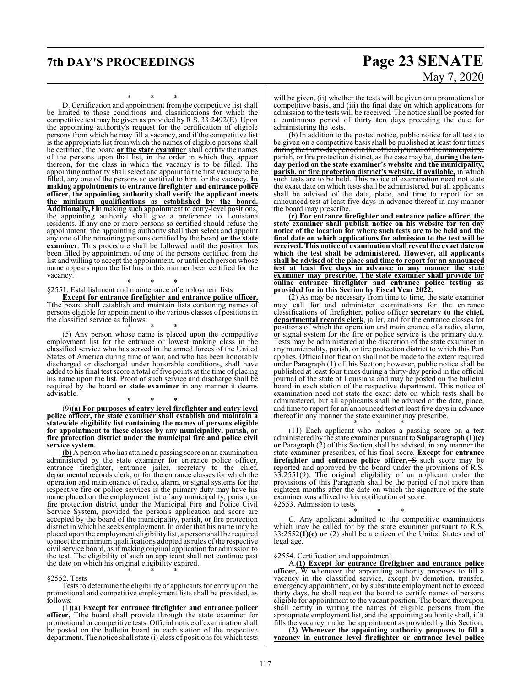### **7th DAY'S PROCEEDINGS Page 23 SENATE**

May 7, 2020

\* \* \*

D. Certification and appointment from the competitive list shall be limited to those conditions and classifications for which the competitive test may be given as provided by R.S. 33:2492(E). Upon the appointing authority's request for the certification of eligible persons from which he may fill a vacancy, and if the competitive list is the appropriate list from which the names of eligible persons shall be certified, the board **or the state examiner** shall certify the names of the persons upon that list, in the order in which they appear thereon, for the class in which the vacancy is to be filled. The appointing authority shall select and appoint to the first vacancy to be filled, any one of the persons so certified to him for the vacancy. **In making appointments to entrance firefighter and entrance police officer, the appointing authority shall verify the applicant meets the minimum qualifications as established by the board. Additionally,** I **i**n making such appointment to entry-level positions, the appointing authority shall give a preference to Louisiana residents. If any one or more persons so certified should refuse the appointment, the appointing authority shall then select and appoint any one of the remaining persons certified by the board **or the state examiner**. This procedure shall be followed until the position has been filled by appointment of one of the persons certified from the list and willing to accept the appointment, or until each person whose name appears upon the list has in this manner been certified for the vacancy.

\* \* \* §2551. Establishment and maintenance of employment lists

**Except for entrance firefighter and entrance police officer,** T**t**he board shall establish and maintain lists containing names of persons eligible for appointment to the various classes of positions in the classified service as follows:

\* \* \* (5) Any person whose name is placed upon the competitive employment list for the entrance or lowest ranking class in the classified service who has served in the armed forces of the United States of America during time of war, and who has been honorably discharged or discharged under honorable conditions, shall have added to his final test score a total of five points at the time of placing his name upon the list. Proof of such service and discharge shall be required by the board **or state examiner** in any manner it deems advisable.

\* \* \* (9)**(a) For purposes of entry level firefighter and entry level police officer, the state examiner shall establish and maintain a statewide eligibility list containing the names of persons eligible for appointment to these classes by any municipality, parish, or fire protection district under the municipal fire and police civil service system.**

**(b)** A person who has attained a passing score on an examination administered by the state examiner for entrance police officer, entrance firefighter, entrance jailer, secretary to the chief, departmental records clerk, or for the entrance classes for which the operation and maintenance of radio, alarm, or signal systems for the respective fire or police services is the primary duty may have his name placed on the employment list of any municipality, parish, or fire protection district under the Municipal Fire and Police Civil Service System, provided the person's application and score are accepted by the board of the municipality, parish, or fire protection district in which he seeks employment. In order that his name may be placed upon the employment eligibility list, a person shall be required to meet the minimum qualifications adopted as rules ofthe respective civil service board, as if making original application for admission to the test. The eligibility of such an applicant shall not continue past the date on which his original eligibility expired. \* \* \*

#### §2552. Tests

Tests to determine the eligibility of applicants for entry upon the promotional and competitive employment lists shall be provided, as follows:

(1)(a) **Except for entrance firefighter and entrance policer officer,** T**t**he board shall provide through the state examiner for promotional or competitive tests. Official notice of examination shall be posted on the bulletin board in each station of the respective department. The notice shall state (i) class of positions for which tests

will be given, (ii) whether the tests will be given on a promotional or competitive basis, and (iii) the final date on which applications for admission to the tests will be received. The notice shall be posted for a continuous period of thirty **ten** days preceding the date for administering the tests.

(b) In addition to the posted notice, public notice for all tests to be given on a competitive basis shall be published at least four times during the thirty-day period in the official journal ofthe municipality, parish, or fire protection district, as the case may be, **during the tenday period on the state examiner's website and the municipality, parish, or fire protection district's website, if available,** in which such tests are to be held. This notice of examination need not state the exact date on which tests shall be administered, but all applicants shall be advised of the date, place, and time to report for an announced test at least five days in advance thereof in any manner the board may prescribe.

**(c) For entrance firefighter and entrance police officer, the state examiner shall publish notice on his website for ten-day notice of the location for where such tests are to be held and the final date on which applications for admission to the test will be received. This notice of examination shall reveal the exact date on which the test shall be administered. However, all applicants shall be advised of the place and time to report for an announced test at least five days in advance in any manner the state examiner may prescribe. The state examiner shall provide for online entrance firefighter and entrance police testing as provided for in this Section by Fiscal Year 2022.**

(2) As may be necessary from time to time, the state examiner may call for and administer examinations for the entrance classifications of firefighter, police officer **secretary to the chief, departmental records clerk**, jailer, and for the entrance classes for positions of which the operation and maintenance of a radio, alarm, or signal system for the fire or police service is the primary duty. Tests may be administered at the discretion of the state examiner in any municipality, parish, or fire protection district to which this Part applies. Official notification shall not be made to the extent required under Paragraph (1) of this Section; however, public notice shall be published at least four times during a thirty-day period in the official journal of the state of Louisiana and may be posted on the bulletin board in each station of the respective department. This notice of examination need not state the exact date on which tests shall be administered, but all applicants shall be advised of the date, place, and time to report for an announced test at least five days in advance thereof in any manner the state examiner may prescribe.

\* \* \* (11) Each applicant who makes a passing score on a test administered by the state examiner pursuant to **Subparagraph (1)(c) or** Paragraph (2) of this Section shall be advised, in any manner the state examiner prescribes, of his final score. **Except for entrance firefighter and entrance police officer,** S **s**uch score may be reported and approved by the board under the provisions of R.S. 33:2551(9). The original eligibility of an applicant under the provisions of this Paragraph shall be the period of not more than eighteen months after the date on which the signature of the state examiner was affixed to his notification of score. §2553. Admission to tests

\* \* \* C. Any applicant admitted to the competitive examinations which may be called for by the state examiner pursuant to R.S. 33:2552**(1)(c) or** (2) shall be a citizen of the United States and of legal age.

#### §2554. Certification and appointment

A.**(1) Except for entrance firefighter and entrance police officer,** W **w**henever the appointing authority proposes to fill a vacancy in the classified service, except by demotion, transfer, emergency appointment, or by substitute employment not to exceed thirty days, he shall request the board to certify names of persons eligible for appointment to the vacant position. The board thereupon shall certify in writing the names of eligible persons from the appropriate employment list, and the appointing authority shall, if it fills the vacancy, make the appointment as provided by this Section.

**(2) Whenever the appointing authority proposes to fill a vacancy in entrance level firefighter or entrance level police**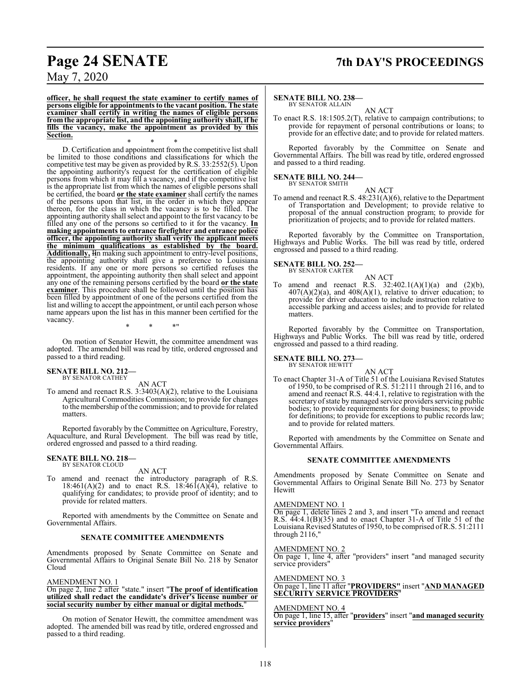### **Page 24 SENATE 7th DAY'S PROCEEDINGS**

May 7, 2020

**officer, he shall request the state examiner to certify names of persons eligible for appointments to the vacant position. The state examiner shall certify in writing the names of eligible persons fromthe appropriate list, and the appointing authority shall, if he fills the vacancy, make the appointment as provided by this Section.**

\* \* \* D. Certification and appointment from the competitive list shall be limited to those conditions and classifications for which the competitive test may be given as provided by R.S. 33:2552(5). Upon the appointing authority's request for the certification of eligible persons from which it may fill a vacancy, and if the competitive list is the appropriate list from which the names of eligible persons shall be certified, the board **or the state examiner** shall certify the names of the persons upon that list, in the order in which they appear thereon, for the class in which the vacancy is to be filled. The appointing authority shall select and appoint to the first vacancy to be filled any one of the persons so certified to it for the vacancy. **In making appointments to entrance firefighter and entrance police officer, the appointing authority shall verify the applicant meets the minimum qualifications as established by the board. Additionally,** I**i**n making such appointment to entry-level positions, the appointing authority shall give a preference to Louisiana residents. If any one or more persons so certified refuses the appointment, the appointing authority then shall select and appoint any one of the remaining persons certified by the board **or the state examiner**. This procedure shall be followed until the position has been filled by appointment of one of the persons certified from the list and willing to accept the appointment, or until each person whose name appears upon the list has in this manner been certified for the vacancy.

\* \* \*"

On motion of Senator Hewitt, the committee amendment was adopted. The amended bill was read by title, ordered engrossed and passed to a third reading.

### **SENATE BILL NO. 212—** BY SENATOR CATHEY

AN ACT

To amend and reenact R.S. 3:3403(A)(2), relative to the Louisiana Agricultural Commodities Commission; to provide for changes to the membership of the commission; and to provide for related matters.

Reported favorably by the Committee on Agriculture, Forestry, Aquaculture, and Rural Development. The bill was read by title, ordered engrossed and passed to a third reading.

#### **SENATE BILL NO. 218—** BY SENATOR CLOUD

AN ACT

To amend and reenact the introductory paragraph of R.S. 18:461(A)(2) and to enact R.S. 18:461(A)(4), relative to qualifying for candidates; to provide proof of identity; and to provide for related matters.

Reported with amendments by the Committee on Senate and Governmental Affairs.

#### **SENATE COMMITTEE AMENDMENTS**

Amendments proposed by Senate Committee on Senate and Governmental Affairs to Original Senate Bill No. 218 by Senator Cloud

#### AMENDMENT NO. 1

On page 2, line 2 after "state." insert "**The proof of identification utilized shall redact the candidate's driver's license number or social security number by either manual or digital methods.**"

On motion of Senator Hewitt, the committee amendment was adopted. The amended bill was read by title, ordered engrossed and passed to a third reading.

#### **SENATE BILL NO. 238—**

BY SENATOR ALLAIN AN ACT

To enact R.S. 18:1505.2(T), relative to campaign contributions; to provide for repayment of personal contributions or loans; to provide for an effective date; and to provide for related matters.

Reported favorably by the Committee on Senate and Governmental Affairs. The bill was read by title, ordered engrossed and passed to a third reading.

#### **SENATE BILL NO. 244—** BY SENATOR SMITH

AN ACT To amend and reenact R.S. 48:231(A)(6), relative to the Department of Transportation and Development; to provide relative to proposal of the annual construction program; to provide for prioritization of projects; and to provide for related matters.

Reported favorably by the Committee on Transportation, Highways and Public Works. The bill was read by title, ordered engrossed and passed to a third reading.

### **SENATE BILL NO. 252—** BY SENATOR CARTER

AN ACT To amend and reenact R.S.  $32:402.1(A)(1)(a)$  and  $(2)(b)$ ,  $407(A)(2)(a)$ , and  $408(A)(1)$ , relative to driver education; to provide for driver education to include instruction relative to accessible parking and access aisles; and to provide for related matters.

Reported favorably by the Committee on Transportation, Highways and Public Works. The bill was read by title, ordered engrossed and passed to a third reading.

**SENATE BILL NO. 273—** BY SENATOR HEWITT

AN ACT

To enact Chapter 31-A of Title 51 of the Louisiana Revised Statutes of 1950, to be comprised of R.S. 51:2111 through 2116, and to amend and reenact R.S. 44:4.1, relative to registration with the secretary of state by managed service providers servicing public bodies; to provide requirements for doing business; to provide for definitions; to provide for exceptions to public records law; and to provide for related matters.

Reported with amendments by the Committee on Senate and Governmental Affairs.

#### **SENATE COMMITTEE AMENDMENTS**

Amendments proposed by Senate Committee on Senate and Governmental Affairs to Original Senate Bill No. 273 by Senator Hewitt

#### AMENDMENT NO. 1

On page 1, delete lines 2 and 3, and insert "To amend and reenact R.S. 44:4.1(B)(35) and to enact Chapter 31-A of Title 51 of the Louisiana Revised Statutes of 1950, to be comprised ofR.S. 51:2111 through 2116,"

#### AMENDMENT NO. 2

On page 1, line 4, after "providers" insert "and managed security service providers"

AMENDMENT NO. 3 On page 1, line 11 after "**PROVIDERS"** insert "**AND MANAGED SECURITY SERVICE PROVIDERS**"

#### AMENDMENT NO. 4

On page 1, line 15, after "**providers**" insert "**and managed security service providers**"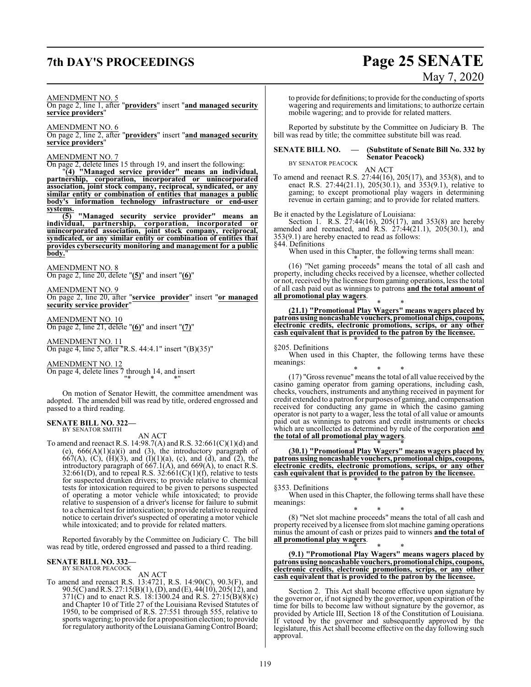## **7th DAY'S PROCEEDINGS Page 25 SENATE**

# May 7, 2020

#### AMENDMENT NO. 5

On page 2, line 1, after "**providers**" insert "**and managed security service providers**"

AMENDMENT NO. 6

On page 2, line 2, after "**providers**" insert "**and managed security service providers**"

#### AMENDMENT NO. 7

On page 2, delete lines 15 through 19, and insert the following: "**(4) "Managed service provider" means an individual, partnership, corporation, incorporated or unincorporated association, joint stock company, reciprocal, syndicated, or any similar entity or combination of entities that manages a public body's information technology infrastructure or end-user systems.**

**(5) "Managed security service provider" means an individual, partnership, corporation, incorporated or unincorporated association, joint stock company, reciprocal, syndicated, or any similar entity or combination of entities that provides cybersecurity monitoring and management for a public** body.'

#### AMENDMENT NO. 8

On page 2, line 20, delete "**(5)**" and insert "**(6)**"

AMENDMENT NO. 9 On page 2, line 20, after "**service provider**" insert "**or managed security service provider**"

AMENDMENT NO. 10 On page 2, line 21, delete "**(6)**" and insert "**(7)**"

AMENDMENT NO. 11

On page 4, line 5, after "R.S. 44:4.1" insert "(B)(35)"

AMENDMENT NO. 12 On page 4, delete lines 7 through 14, and insert "\* \* \*"

On motion of Senator Hewitt, the committee amendment was adopted. The amended bill was read by title, ordered engrossed and passed to a third reading.

#### **SENATE BILL NO. 322—** BY SENATOR SMITH

AN ACT

To amend and reenact R.S. 14:98.7(A) and R.S. 32:661(C)(1)(d) and  $(e)$ ,  $666(A)(1)(a)(i)$  and  $(3)$ , the introductory paragraph of 667(A), (C), (H)(3), and (I)(1)(a), (c), and (d), and (2), the introductory paragraph of  $667.1(A)$ , and  $669(A)$ , to enact R.S. 32:661(D), and to repeal R.S. 32:661(C)(1)(f), relative to tests for suspected drunken drivers; to provide relative to chemical tests for intoxication required to be given to persons suspected of operating a motor vehicle while intoxicated; to provide relative to suspension of a driver's license for failure to submit to a chemical test for intoxication; to provide relative to required notice to certain driver's suspected of operating a motor vehicle while intoxicated; and to provide for related matters.

Reported favorably by the Committee on Judiciary C. The bill was read by title, ordered engrossed and passed to a third reading.

### **SENATE BILL NO. 332—** BY SENATOR PEACOCK

#### AN ACT

To amend and reenact R.S. 13:4721, R.S. 14:90(C), 90.3(F), and 90.5(C) andR.S. 27:15(B)(1), (D), and (E), 44(10), 205(12), and 371(C) and to enact R.S. 18:1300.24 and R.S. 27:15(B)(8)(c) and Chapter 10 of Title 27 of the Louisiana Revised Statutes of 1950, to be comprised of R.S. 27:551 through 555, relative to sports wagering; to provide for a proposition election; to provide for regulatory authority of the Louisiana Gaming Control Board;

to provide for definitions; to provide for the conducting of sports wagering and requirements and limitations; to authorize certain mobile wagering; and to provide for related matters.

Reported by substitute by the Committee on Judiciary B. The bill was read by title; the committee substitute bill was read.

#### **SENATE BILL NO. — (Substitute of Senate Bill No. 332 by Senator Peacock)**

BY SENATOR PEACOCK AN ACT

To amend and reenact R.S. 27:44(16), 205(17), and 353(8), and to enact R.S. 27:44(21.1), 205(30.1), and 353(9.1), relative to gaming; to except promotional play wagers in determining revenue in certain gaming; and to provide for related matters.

Be it enacted by the Legislature of Louisiana:

Section 1. R.S. 27:44(16), 205(17), and 353(8) are hereby amended and reenacted, and R.S. 27:44(21.1), 205(30.1), and 353(9.1) are hereby enacted to read as follows:

§44. Definitions

When used in this Chapter, the following terms shall mean:

\* \* \* (16) "Net gaming proceeds" means the total of all cash and property, including checks received by a licensee, whether collected or not, received by the licensee from gaming operations, less the total of all cash paid out as winnings to patrons **and the total amount of all promotional play wagers**.

\* \* \* **(21.1) "Promotional Play Wagers" means wagers placed by patrons using noncashable vouchers, promotional chips, coupons, electronic credits, electronic promotions, scrips, or any other cash equivalent that is provided to the patron by the licensee.** \* \* \*

§205. Definitions

When used in this Chapter, the following terms have these meanings:

\* \* \* (17) "Gross revenue" means the total of all value received by the casino gaming operator from gaming operations, including cash, checks, vouchers, instruments and anything received in payment for credit extended to a patron for purposes of gaming, and compensation received for conducting any game in which the casino gaming operator is not party to a wager, less the total of all value or amounts paid out as winnings to patrons and credit instruments or checks which are uncollected as determined by rule of the corporation **and the total of all promotional play wagers**.

\* \* \* **(30.1) "Promotional Play Wagers" means wagers placed by patrons using noncashable vouchers, promotional chips, coupons, electronic credits, electronic promotions, scrips, or any other cash equivalent that is provided to the patron by the licensee.** \* \* \*

§353. Definitions

When used in this Chapter, the following terms shall have these meanings:

\* \* \* (8) "Net slot machine proceeds" means the total of all cash and property received by a licensee from slot machine gaming operations minus the amount of cash or prizes paid to winners **and the total of all promotional play wagers**.

\* \* \* **(9.1) "Promotional Play Wagers" means wagers placed by patrons using noncashable vouchers, promotional chips, coupons, electronic credits, electronic promotions, scrips, or any other cash equivalent that is provided to the patron by the licensee.**

Section 2. This Act shall become effective upon signature by the governor or, if not signed by the governor, upon expiration of the time for bills to become law without signature by the governor, as provided by Article III, Section 18 of the Constitution of Louisiana. If vetoed by the governor and subsequently approved by the legislature, this Act shall become effective on the day following such approval.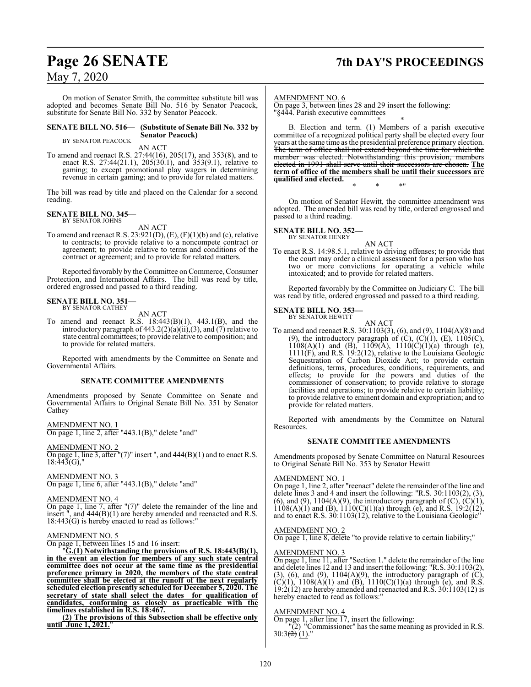On motion of Senator Smith, the committee substitute bill was adopted and becomes Senate Bill No. 516 by Senator Peacock, substitute for Senate Bill No. 332 by Senator Peacock.

**SENATE BILL NO. 516— (Substitute of Senate Bill No. 332 by Senator Peacock)**

BY SENATOR PEACOCK

AN ACT

To amend and reenact R.S. 27:44(16), 205(17), and 353(8), and to enact R.S. 27:44(21.1), 205(30.1), and 353(9.1), relative to gaming; to except promotional play wagers in determining revenue in certain gaming; and to provide for related matters.

The bill was read by title and placed on the Calendar for a second reading.

#### **SENATE BILL NO. 345—**

BY SENATOR JOHNS

AN ACT To amend and reenact R.S.  $23:921(D)$ ,  $(E)$ ,  $(F)(1)(b)$  and  $(c)$ , relative to contracts; to provide relative to a noncompete contract or agreement; to provide relative to terms and conditions of the contract or agreement; and to provide for related matters.

Reported favorably by the Committee on Commerce, Consumer Protection, and International Affairs. The bill was read by title, ordered engrossed and passed to a third reading.

## **SENATE BILL NO. 351—** BY SENATOR CATHEY

AN ACT

To amend and reenact R.S. 18:443(B)(1), 443.1(B), and the introductory paragraph of 443.2(2)(a)(ii),(3), and (7) relative to state central committees; to provide relative to composition; and to provide for related matters.

Reported with amendments by the Committee on Senate and Governmental Affairs.

#### **SENATE COMMITTEE AMENDMENTS**

Amendments proposed by Senate Committee on Senate and Governmental Affairs to Original Senate Bill No. 351 by Senator Cathey

#### AMENDMENT NO. 1

On page 1, line 2, after "443.1(B)," delete "and"

#### AMENDMENT NO. 2

On page 1, line 3, after " $(7)$ " insert ", and  $444(B)(1)$  and to enact R.S.  $18:443(G)$ ,

### AMENDMENT NO. 3

On page 1, line 6, after "443.1(B)," delete "and"

#### AMENDMENT NO. 4

On page 1, line 7, after "(7)" delete the remainder of the line and insert  $\overline{ }$ , and 444(B)(1) are hereby amended and reenacted and R.S.  $18:443(G)$  is hereby enacted to read as follows:

#### AMENDMENT NO. 5

On page 1, between lines 15 and 16 insert:

"**G.(1) Notwithstanding the provisions of R.S. 18:443(B)(1), in the event an election for members of any such state central committee does not occur at the same time as the presidential preference primary in 2020, the members of the state central committee shall be elected at the runoff of the next regularly <u>scheduled</u>** election presently scheduled for December 5, 2020. The **secretary of state shall select the dates for qualification of candidates, conforming as closely as practicable with the timelines established in R.S. 18:467.**

**(2) The provisions of this Subsection shall be effective only until June 1, 2021.**"

### **Page 26 SENATE 7th DAY'S PROCEEDINGS**

AMENDMENT NO. 6

On page 3, between lines 28 and 29 insert the following: "§444. Parish executive committees

\* \* \* B. Election and term. (1) Members of a parish executive committee of a recognized political party shall be elected every four years at the same time as the presidential preference primary election. The term of office shall not extend beyond the time for which the member was elected. Notwithstanding this provision, members elected in 1991 shall serve until their successors are chosen. **The term of office of the members shall be until their successors are qualified and elected.**

On motion of Senator Hewitt, the committee amendment was adopted. The amended bill was read by title, ordered engrossed and passed to a third reading.

\* \* \*"

#### **SENATE BILL NO. 352—**

BY SENATOR HENRY

AN ACT To enact R.S. 14:98.5.1, relative to driving offenses; to provide that the court may order a clinical assessment for a person who has two or more convictions for operating a vehicle while intoxicated; and to provide for related matters.

Reported favorably by the Committee on Judiciary C. The bill was read by title, ordered engrossed and passed to a third reading.

#### **SENATE BILL NO. 353—** BY SENATOR HEWITT

AN ACT

To amend and reenact R.S. 30:1103(3), (6), and (9), 1104(A)(8) and (9), the introductory paragraph of  $(C)$ ,  $(C)(1)$ ,  $(E)$ ,  $1105(C)$ ,  $1108(A)(1)$  and  $(B)$ ,  $1109(A)$ ,  $1110(C)(1)(a)$  through (e), 1111(F), and R.S. 19:2(12), relative to the Louisiana Geologic Sequestration of Carbon Dioxide Act; to provide certain definitions, terms, procedures, conditions, requirements, and effects; to provide for the powers and duties of the commissioner of conservation; to provide relative to storage facilities and operations; to provide relative to certain liability; to provide relative to eminent domain and expropriation; and to provide for related matters.

Reported with amendments by the Committee on Natural Resources.

#### **SENATE COMMITTEE AMENDMENTS**

Amendments proposed by Senate Committee on Natural Resources to Original Senate Bill No. 353 by Senator Hewitt

#### AMENDMENT NO. 1

On page 1, line 2, after "reenact" delete the remainder of the line and delete lines 3 and 4 and insert the following: "R.S. 30:1103(2), (3), (6), and (9),  $1104(A)(9)$ , the introductory paragraph of (C), (C)(1),  $1108(A)(1)$  and  $(B)$ ,  $1110(C)(1)(a)$  through  $(e)$ , and R.S. 19:2(12), and to enact R.S. 30:1103(12), relative to the Louisiana Geologic"

#### AMENDMENT NO. 2

On page 1, line 8, delete "to provide relative to certain liability;"

#### AMENDMENT NO. 3

On page 1, line 11, after "Section 1." delete the remainder of the line and delete lines 12 and 13 and insert the following: "R.S. 30:1103(2), (3), (6), and (9),  $1104(A)(9)$ , the introductory paragraph of  $(C)$ , (C)(1),  $1108(A)(1)$  and (B),  $1110(C)(1)(a)$  through (e), and R.S. 19:2(12) are hereby amended and reenacted and R.S. 30:1103(12) is hereby enacted to read as follows:"

#### AMENDMENT NO. 4

On page 1, after line 17, insert the following:

"(2) "Commissioner" has the same meaning as provided in R.S.  $30:3(\frac{2}{2}) (1)$ ."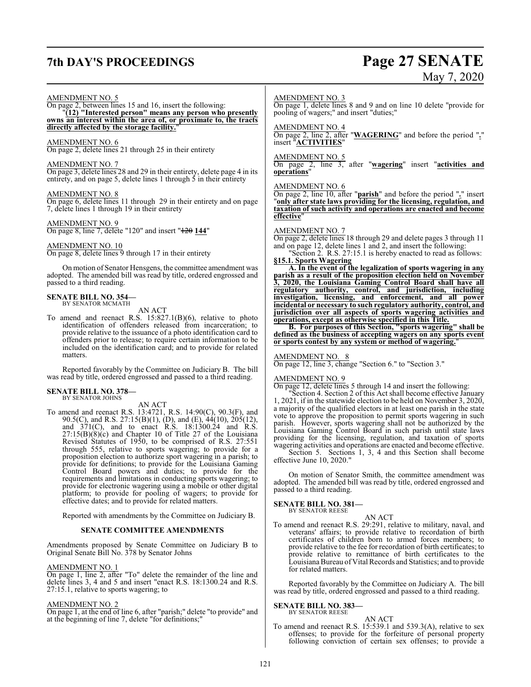## **7th DAY'S PROCEEDINGS Page 27 SENATE**

# May 7, 2020

#### AMENDMENT NO. 5

On page 2, between lines 15 and 16, insert the following: "**(12) "Interested person" means any person who presently owns an interest within the area of, or proximate to, the tracts directly affected by the storage facility.**"

#### AMENDMENT NO. 6

On page 2, delete lines 21 through 25 in their entirety

#### AMENDMENT NO. 7

On page 3, delete lines 28 and 29 in their entirety, delete page 4 in its entirety, and on page 5, delete lines 1 through  $\frac{1}{5}$  in their entirety

#### AMENDMENT NO. 8

On page 6, delete lines 11 through 29 in their entirety and on page 7, delete lines 1 through 19 in their entirety

AMENDMENT NO. 9

On page 8, line 7, delete "120" and insert "120 **144**"

#### AMENDMENT NO. 10

On page 8, delete lines 9 through 17 in their entirety

On motion of Senator Hensgens, the committee amendment was adopted. The amended bill was read by title, ordered engrossed and passed to a third reading.

#### **SENATE BILL NO. 354—** BY SENATOR MCMATH

AN ACT

To amend and reenact R.S. 15:827.1(B)(6), relative to photo identification of offenders released from incarceration; to provide relative to the issuance of a photo identification card to offenders prior to release; to require certain information to be included on the identification card; and to provide for related matters.

Reported favorably by the Committee on Judiciary B. The bill was read by title, ordered engrossed and passed to a third reading.

#### **SENATE BILL NO. 378—** BY SENATOR JOHNS

AN ACT

To amend and reenact R.S. 13:4721, R.S. 14:90(C), 90.3(F), and 90.5(C), and R.S. 27:15(B)(1), (D), and (E), 44(10), 205(12), and 371(C), and to enact R.S. 18:1300.24 and R.S. 27:15(B)(8)(c) and Chapter 10 of Title 27 of the Louisiana Revised Statutes of 1950, to be comprised of R.S. 27:551 through 555, relative to sports wagering; to provide for a proposition election to authorize sport wagering in a parish; to provide for definitions; to provide for the Louisiana Gaming Control Board powers and duties; to provide for the requirements and limitations in conducting sports wagering; to provide for electronic wagering using a mobile or other digital platform; to provide for pooling of wagers; to provide for effective dates; and to provide for related matters.

Reported with amendments by the Committee on Judiciary B.

#### **SENATE COMMITTEE AMENDMENTS**

Amendments proposed by Senate Committee on Judiciary B to Original Senate Bill No. 378 by Senator Johns

#### AMENDMENT NO. 1

On page 1, line 2, after "To" delete the remainder of the line and delete lines 3, 4 and 5 and insert "enact R.S. 18:1300.24 and R.S. 27:15.1, relative to sports wagering; to

#### AMENDMENT NO. 2

On page 1, at the end of line 6, after "parish;" delete "to provide" and at the beginning of line 7, delete "for definitions;"

#### AMENDMENT NO. 3

On page 1, delete lines 8 and 9 and on line 10 delete "provide for pooling of wagers;" and insert "duties;"

#### AMENDMENT NO. 4

On page 2, line 2, after "**WAGERING**" and before the period "**.**" insert "**ACTIVITIES**"

#### AMENDMENT NO. 5

On page 2, line 3, after "**wagering**" insert "**activities and operations**"

#### AMENDMENT NO. 6

On page 2, line 10, after "**parish**" and before the period "**.**" insert "**only after state laws providing for the licensing, regulation, and taxation of such activity and operations are enacted and become effective**"

#### AMENDMENT NO. 7

On page 2, delete lines 18 through 29 and delete pages 3 through 11 and on page 12, delete lines 1 and 2, and insert the following:

"Section 2. R.S. 27:15.1 is hereby enacted to read as follows: **§15.1. Sports Wagering**

**A. In the event of the legalization of sports wagering in any parish as a result of the proposition election held on November 3, 2020, the Louisiana Gaming Control Board shall have all regulatory authority, control, and jurisdiction, including investigation, licensing, and enforcement, and all power incidental or necessary to such regulatory authority, control, and jurisdiction over all aspects of sports wagering activities and operations, except as otherwise specified in this Title.**

**B. For purposes of this Section, "sports wagering" shall be defined as the business of accepting wagers on any sports event or sports contest by any system or method of wagering.**"

#### AMENDMENT NO. 8

On page 12, line 3, change "Section 6." to "Section 3."

#### AMENDMENT NO. 9

On page 12, delete lines 5 through 14 and insert the following:

"Section 4. Section 2 of this Act shall become effective January 1, 2021, if in the statewide election to be held on November 3, 2020, a majority of the qualified electors in at least one parish in the state vote to approve the proposition to permit sports wagering in such parish. However, sports wagering shall not be authorized by the Louisiana Gaming Control Board in such parish until state laws providing for the licensing, regulation, and taxation of sports wagering activities and operations are enacted and become effective.

Section 5. Sections 1, 3, 4 and this Section shall become effective June 10, 2020."

On motion of Senator Smith, the committee amendment was adopted. The amended bill was read by title, ordered engrossed and passed to a third reading.

**SENATE BILL NO. 381—** BY SENATOR REESE

#### AN ACT

To amend and reenact R.S. 29:291, relative to military, naval, and veterans' affairs; to provide relative to recordation of birth certificates of children born to armed forces members; to provide relative to the fee for recordation of birth certificates; to provide relative to remittance of birth certificates to the Louisiana Bureau of Vital Records and Statistics; and to provide for related matters.

Reported favorably by the Committee on Judiciary A. The bill was read by title, ordered engrossed and passed to a third reading.

#### **SENATE BILL NO. 383—** BY SENATOR REESE

AN ACT To amend and reenact R.S. 15:539.1 and 539.3(A), relative to sex offenses; to provide for the forfeiture of personal property following conviction of certain sex offenses; to provide a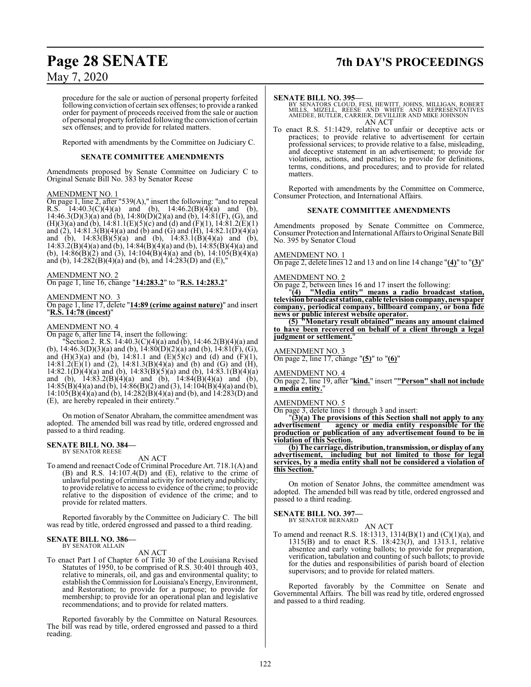### **Page 28 SENATE 7th DAY'S PROCEEDINGS**

### May 7, 2020

procedure for the sale or auction of personal property forfeited following conviction of certain sex offenses; to provide a ranked order for payment of proceeds received from the sale or auction of personal property forfeited following the conviction of certain sex offenses; and to provide for related matters.

Reported with amendments by the Committee on Judiciary C.

#### **SENATE COMMITTEE AMENDMENTS**

Amendments proposed by Senate Committee on Judiciary C to Original Senate Bill No. 383 by Senator Reese

#### AMENDMENT NO. 1

On page 1, line 2, after "539(A)," insert the following: "and to repeal R.S.  $14:40.3(C)(4)(a)$  and (b),  $14:46.2(B)(4)(a)$  and (b), 14:46.3(D)(3)(a) and (b), 14:80(D)(2)(a) and (b), 14:81(F), (G), and  $(H)(3)(a)$  and (b), 14:81.1(E)(5)(c) and (d) and (F)(1), 14:81.2(E)(1) and  $(2)$ , 14:81.3(B)(4)(a) and (b) and (G) and (H), 14:82.1(D)(4)(a) and (b),  $14:83(B)(5)(a)$  and (b),  $14:83.1(B)(4)(a)$  and (b), 14:83.2(B)(4)(a) and (b), 14:84(B)(4)(a) and (b), 14:85(B)(4)(a) and (b),  $14:\dot{8}6(\dot{B})(2)$  and  $(3)$ ,  $14:10\dot{4}(\dot{B})(4)(a)$  and  $(b)$ ,  $14:10\dot{5}(\dot{B})(4)(a)$ and (b),  $14:282(B)(4)(a)$  and (b), and  $14:283(D)$  and (E),"

AMENDMENT NO. 2

On page 1, line 16, change "**14:283.2**" to "**R.S. 14:283.2**"

#### AMENDMENT NO. 3

On page 1, line 17, delete "**14:89 (crime against nature)**" and insert "**R.S. 14:78 (incest)**"

#### AMENDMENT NO. 4

On page 6, after line 14, insert the following:

"Section 2. R.S. 14:40.3(C)(4)(a) and (b), 14:46.2(B)(4)(a) and (b), 14:46.3(D)(3)(a) and (b), 14:80(D)(2)(a) and (b), 14:81(F), (G), and  $(H)(3)(a)$  and  $(b)$ , 14:81.1 and  $(E)(5)(c)$  and  $(d)$  and  $(F)(1)$ ,  $14:81.2(E)(1)$  and  $(2)$ ,  $14:81.3(B)(4)(a)$  and  $(b)$  and  $(G)$  and  $(H)$ , 14:82.1(D)(4)(a) and (b), 14:83(B)(5)(a) and (b), 14:83.1(B)(4)(a) and (b), 14:83.2(B)(4)(a) and (b), 14:84(B)(4)(a) and (b),  $14:85(B)(4)(a)$  and (b),  $14:86(B)(2)$  and (3),  $14:104(B)(4)(a)$  and (b), 14:105(B)(4)(a) and (b), 14:282(B)(4)(a) and (b), and 14:283(D) and (E), are hereby repealed in their entirety."

On motion of Senator Abraham, the committee amendment was adopted. The amended bill was read by title, ordered engrossed and passed to a third reading.

### **SENATE BILL NO. 384—** BY SENATOR REESE

#### AN ACT

To amend and reenact Code of Criminal Procedure Art. 718.1(A) and (B) and R.S. 14:107.4(D) and (E), relative to the crime of unlawful posting of criminal activity for notoriety and publicity; to provide relative to access to evidence of the crime; to provide relative to the disposition of evidence of the crime; and to provide for related matters.

Reported favorably by the Committee on Judiciary C. The bill was read by title, ordered engrossed and passed to a third reading.

#### **SENATE BILL NO. 386—** BY SENATOR ALLAIN

AN ACT

To enact Part I of Chapter 6 of Title 30 of the Louisiana Revised Statutes of 1950, to be comprised of R.S. 30:401 through 403, relative to minerals, oil, and gas and environmental quality; to establish the Commission for Louisiana's Energy, Environment, and Restoration; to provide for a purpose; to provide for membership; to provide for an operational plan and legislative recommendations; and to provide for related matters.

Reported favorably by the Committee on Natural Resources. The bill was read by title, ordered engrossed and passed to a third reading.

#### **SENATE BILL NO. 395—**

BY SENATORS CLOUD, FESI, HEWITT, JOHNS, MILLIGAN, ROBERT<br>MILLS, MIZELL, REESE AND WHITE AND REPRESENTATIVES<br>AMEDEE, BUTLER, CARRIER, DEVILLIER AND MIKE JOHNSON AN ACT

To enact R.S. 51:1429, relative to unfair or deceptive acts or practices; to provide relative to advertisement for certain professional services; to provide relative to a false, misleading, and deceptive statement in an advertisement; to provide for violations, actions, and penalties; to provide for definitions, terms, conditions, and procedures; and to provide for related matters.

Reported with amendments by the Committee on Commerce, Consumer Protection, and International Affairs.

#### **SENATE COMMITTEE AMENDMENTS**

Amendments proposed by Senate Committee on Commerce, Consumer Protection and International Affairs to Original Senate Bill No. 395 by Senator Cloud

#### AMENDMENT NO. 1

On page 2, delete lines 12 and 13 and on line 14 change "**(4)**" to "**(3)**"

#### AMENDMENT NO. 2

On page 2, between lines 16 and 17 insert the following:

"**(4) "Media entity" means a radio broadcast station, television broadcast station, cable televisioncompany, newspaper company, periodical company, billboard company, or bona fide news or public interest website operator.**

**(5) "Monetary result obtained" means any amount claimed to have been recovered on behalf of a client through a legal judgment or settlement.**"

#### AMENDMENT NO. 3

On page 2, line 17, change "**(5)**" to "**(6)**"

#### AMENDMENT NO. 4

On page 2, line 19, after "**kind.**" insert "**"Person" shall not include a** media entity.

#### AMENDMENT NO. 5

On page 3, delete lines 1 through 3 and insert:

"**(3)(a) The provisions of this Section shall not apply to any agency** or media entity responsible for the **production or publication of any advertisement found to be in violation of this Section.**

**(b) The carriage, distribution, transmission, or display of any advertisement, including but not limited to those for legal services, by a media entity shall not be considered a violation of this Section.**"

On motion of Senator Johns, the committee amendment was adopted. The amended bill was read by title, ordered engrossed and passed to a third reading.

### **SENATE BILL NO. 397—** BY SENATOR BERNARD

AN ACT To amend and reenact R.S. 18:1313, 1314(B)(1) and (C)(1)(a), and 1315(B) and to enact R.S. 18:423(J), and 1313.1, relative absentee and early voting ballots; to provide for preparation, verification, tabulation and counting of such ballots; to provide for the duties and responsibilities of parish board of election supervisors; and to provide for related matters.

Reported favorably by the Committee on Senate and Governmental Affairs. The bill was read by title, ordered engrossed and passed to a third reading.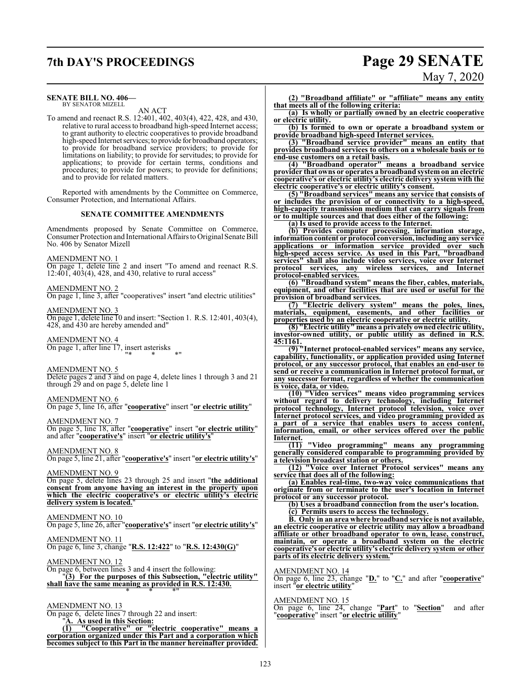## **7th DAY'S PROCEEDINGS Page 29 SENATE**

#### **SENATE BILL NO. 406—**

BY SENATOR MIZELL AN ACT

To amend and reenact R.S. 12:401, 402, 403(4), 422, 428, and 430, relative to rural access to broadband high-speed Internet access; to grant authority to electric cooperatives to provide broadband high-speed Internet services; to provide for broadband operators; to provide for broadband service providers; to provide for limitations on liability; to provide for servitudes; to provide for applications; to provide for certain terms, conditions and procedures; to provide for powers; to provide for definitions; and to provide for related matters.

Reported with amendments by the Committee on Commerce, Consumer Protection, and International Affairs.

#### **SENATE COMMITTEE AMENDMENTS**

Amendments proposed by Senate Committee on Commerce, Consumer Protection and International Affairs to Original Senate Bill No. 406 by Senator Mizell

#### AMENDMENT NO. 1

On page 1, delete line 2 and insert "To amend and reenact R.S. 12:401, 403(4), 428, and 430, relative to rural access"

#### AMENDMENT NO. 2

On page 1, line 3, after "cooperatives" insert "and electric utilities"

#### AMENDMENT NO. 3

On page 1, delete line 10 and insert: "Section 1. R.S. 12:401, 403(4), 428, and 430 are hereby amended and"

### AMENDMENT NO. 4

On page 1, after line 17, insert asterisks "\* \* \*"

#### AMENDMENT NO. 5

Delete pages 2 and 3 and on page 4, delete lines 1 through 3 and 21 through 29 and on page 5, delete line 1

### AMENDMENT NO. 6

On page 5, line 16, after "**cooperative**" insert "**or electric utility**"

AMENDMENT NO. 7 On page 5, line 18, after "**cooperative**" insert "**or electric utility**" and after "**cooperative's**" insert "**or electric utility's**"

#### AMENDMENT NO. 8

On page 5, line 21, after "**cooperative's**" insert "**or electric utility's**"

#### AMENDMENT NO. 9

On page 5, delete lines 23 through 25 and insert "**the additional consent from anyone having an interest in the property upon which the electric cooperative's or electric utility's electric delivery system is located.**"

#### AMENDMENT NO. 10

On page 5, line 26, after "**cooperative's**" insert "**or electric utility's**"

#### AMENDMENT NO. 11

On page 6, line 3, change "**R.S. 12:422**" to "**R.S. 12:430(G)**"

#### AMENDMENT NO. 12

On page 6, between lines 3 and 4 insert the following:

"**(3) For the purposes of this Subsection, "electric utility" shall have the same meaning as provided in R.S. 12:430.** \* \* \*"

#### AMENDMENT NO. 13

On page 6, delete lines 7 through 22 and insert: "**A. As used in this Section:**

**(1) "Cooperative" or "electric cooperative" means a corporation organized under this Part and a corporation which becomes subject to this Part in the manner hereinafter provided.**

# May 7, 2020

**(2) "Broadband affiliate" or "affiliate" means any entity that meets all of the following criteria:**

**(a) Is wholly or partially owned by an electric cooperative or electric utility.**

**(b) Is formed to own or operate a broadband system or provide broadband high-speed Internet services.**

**(3) "Broadband service provider" means an entity that provides broadband services to others on a wholesale basis or to end-use customers on a retail basis.**

**(4) "Broadband operator" means a broadband service provider that owns or operates a broadband systemon an electric cooperative's or electric utility's electric delivery system with the electric cooperative's or electric utility's consent.**

**(5) "Broadband services" means any service that consists of or includes the provision of or connectivity to a high-speed, high-capacity transmission medium that can carry signals from or to multiple sources and that does either of the following:**

**(a) Is used to provide access to the Internet.**

**(b) Provides computer processing, information storage, information content or protocol conversion, including any service applications or information service provided over such high-speed access service. As used in this Part, "broadband services" shall also include video services, voice over Internet protocol services, any wireless services, and Internet protocol-enabled services.**

**(6) "Broadband system" means the fiber, cables, materials, equipment, and other facilities that are used or useful for the provision of broadband services.**

**(7) "Electric delivery system" means the poles, lines, materials, equipment, easements, and other facilities or properties used by an electric cooperative or electric utility.**

**(8) "Electric utility" means a privately ownedelectric utility, investor-owned utility, or public utility as defined in R.S. 45:1161.**

**(9) "Internet protocol-enabled services" means any service, capability, functionality, or application provided using Internet protocol, or any successor protocol, that enables an end-user to send or receive a communication in Internet protocol format, or any successor format, regardless of whether the communication is voice, data, or video.**

**(10) "Video services" means video programming services without regard to delivery technology, including Internet protocol technology, Internet protocol television, voice over Internet protocol services, and video programming provided as a part of a service that enables users to access content, information, email, or other services offered over the public Internet.**

**(11) "Video programming" means any programming generally considered comparable to programming provided by a television broadcast station or others.**

**(12) "Voice over Internet Protocol services" means any service that does all of the following:**

**(a) Enables real-time, two-way voice communications that originate from or terminate to the user's location in Internet protocol or any successor protocol.**

**(b) Uses a broadband connection from the user's location.**

**(c) Permits users to access the technology.**

**B. Only in an area where broadband service is not available, an electric cooperative or electric utility may allow a broadband affiliate or other broadband operator to own, lease, construct, maintain, or operate a broadband system on the electric cooperative's or electric utility's electric delivery system or other parts of its electric delivery system.**"

#### AMENDMENT NO. 14

On page 6, line 23, change "**D.**" to "**C.**" and after "**cooperative**" insert "**or electric utility**"

#### AMENDMENT NO. 15

On page 6, line 24, change "**Part**" to "**Section**" and after "**cooperative**" insert "**or electric utility**"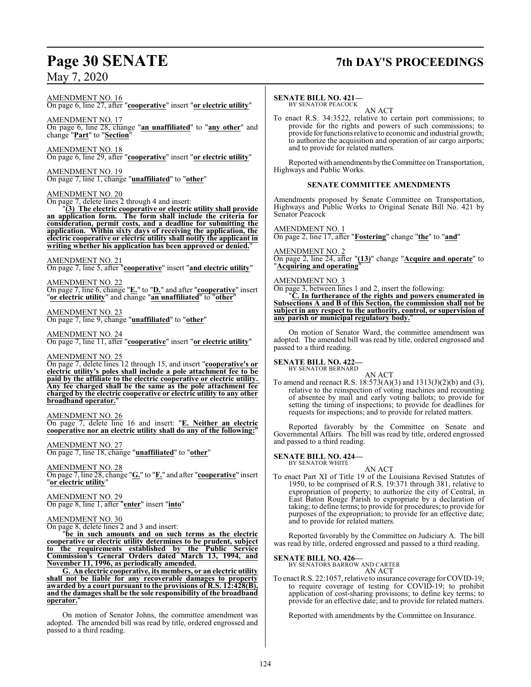## **Page 30 SENATE 7th DAY'S PROCEEDINGS**

AMENDMENT NO. 16

### On page 6, line 27, after "**cooperative**" insert "**or electric utility**"

AMENDMENT NO. 17 On page 6, line 28, change "**an unaffiliated**" to "**any other**" and change "**Part**" to "**Section**"

AMENDMENT NO. 18 On page 6, line 29, after "**cooperative**" insert "**or electric utility**"

AMENDMENT NO. 19 On page 7, line 1, change "**unaffiliated**" to "**other**"

#### AMENDMENT NO. 20

On page 7, delete lines 2 through 4 and insert:

"**(3) The electric cooperative or electric utility shall provide an application form. The form shall include the criteria for consideration, permit costs, and a deadline for submitting the application. Within sixty days of receiving the application, the electric cooperative or electric utility shall notify the applicant in writing whether his application has been approved or denied.**"

#### AMENDMENT NO. 21

On page 7, line 5, after "**cooperative**" insert "**and electric utility**"

AMENDMENT NO. 22 On page 7, line 6, change "**E.**" to "**D.**" and after "**cooperative**" insert "**or electric utility**" and change "**an unaffiliated**" to "**other**"

AMENDMENT NO. 23 On page 7, line 9, change "**unaffiliated**" to "**other**"

AMENDMENT NO. 24 On page 7, line 11, after "**cooperative**" insert "**or electric utility**"

AMENDMENT NO. 25

On page 7, delete lines 12 through 15, and insert "**cooperative's or electric utility's poles shall include a pole attachment fee to be paid by the affiliate to the electric cooperative or electric utility. Any fee charged shall be the same as the pole attachment fee charged by the electric cooperative or electric utility to any other broadband operator.**"

AMENDMENT NO. 26

On page 7, delete line 16 and insert: "**E. Neither an electric cooperative nor an electric utility shall do any of the following:**"

AMENDMENT NO. 27

On page 7, line 18, change "**unaffiliated**" to "**other**"

AMENDMENT NO. 28 On page 7, line 28, change "**G.**" to "**F.**" and after "**cooperative**" insert "**or electric utility**"

AMENDMENT NO. 29 On page 8, line 1, after "**enter**" insert "**into**"

#### AMENDMENT NO. 30

On page 8, delete lines 2 and 3 and insert:

"**be in such amounts and on such terms as the electric cooperative or electric utility determines to be prudent, subject to the requirements established by the Public Service Commission's General Orders dated March 13, 1994, and November 11, 1996, as periodically amended.**

**G. An electric cooperative, its members, or an electric utility shall not be liable for any recoverable damages to property awarded by a court pursuant to the provisions of R.S. 12:428(B), and the damages shall be the sole responsibility of the broadband operator.**"

On motion of Senator Johns, the committee amendment was adopted. The amended bill was read by title, ordered engrossed and passed to a third reading.

#### **SENATE BILL NO. 421—**

BY SENATOR PEACOCK AN ACT

To enact R.S. 34:3522, relative to certain port commissions; to provide for the rights and powers of such commissions; to provide for functions relative to economic and industrial growth; to authorize the acquisition and operation of air cargo airports; and to provide for related matters.

Reported with amendments by the Committee on Transportation, Highways and Public Works.

#### **SENATE COMMITTEE AMENDMENTS**

Amendments proposed by Senate Committee on Transportation, Highways and Public Works to Original Senate Bill No. 421 by Senator Peacock

#### AMENDMENT NO. 1

On page 2, line 17, after "**Fostering**" change "**the**" to "**and**"

### AMENDMENT NO. 2

On page 2, line 24, after "**(13)**" change "**Acquire and operate**" to "**Acquiring and operating**"

#### AMENDMENT NO. 3

On page 3, between lines 1 and 2, insert the following:

"**C. In furtherance of the rights and powers enumerated in Subsections A and B of this Section, the commission shall not be subject in any respect to the authority, control, or supervision of any parish or municipal regulatory body.**"

On motion of Senator Ward, the committee amendment was adopted. The amended bill was read by title, ordered engrossed and passed to a third reading.

### **SENATE BILL NO. 422—** BY SENATOR BERNARD

AN ACT To amend and reenact R.S. 18:573(A)(3) and 1313(J)(2)(b) and (3), relative to the reinspection of voting machines and recounting of absentee by mail and early voting ballots; to provide for setting the timing of inspections; to provide for deadlines for requests for inspections; and to provide for related matters.

Reported favorably by the Committee on Senate and Governmental Affairs. The bill was read by title, ordered engrossed and passed to a third reading.

## **SENATE BILL NO. 424—**<br>BY SENATOR WHITE

AN ACT To enact Part XI of Title 19 of the Louisiana Revised Statutes of 1950, to be comprised of R.S. 19:371 through 381, relative to expropriation of property; to authorize the city of Central, in East Baton Rouge Parish to expropriate by a declaration of taking; to define terms; to provide for procedures; to provide for purposes of the expropriation; to provide for an effective date; and to provide for related matters.

Reported favorably by the Committee on Judiciary A. The bill was read by title, ordered engrossed and passed to a third reading.

**SENATE BILL NO. 426—** BY SENATORS BARROW AND CARTER AN ACT

To enact R.S. 22:1057, relative to insurance coverage for COVID-19; to require coverage of testing for COVID-19; to prohibit application of cost-sharing provisions; to define key terms; to provide for an effective date; and to provide for related matters.

Reported with amendments by the Committee on Insurance.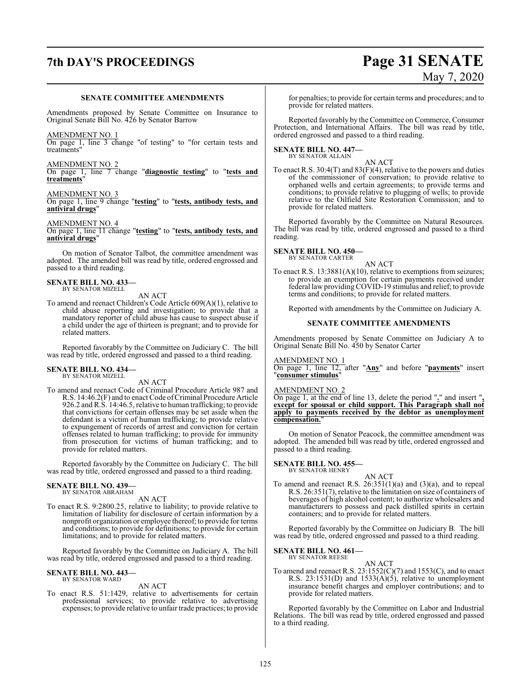## **7th DAY'S PROCEEDINGS Page 31 SENATE**

#### **SENATE COMMITTEE AMENDMENTS**

Amendments proposed by Senate Committee on Insurance to Original Senate Bill No. 426 by Senator Barrow

#### AMENDMENT NO. 1

On page 1, line 3 change "of testing" to "for certain tests and treatments"

#### AMENDMENT NO. 2

On page 1, line 7 change "**diagnostic testing**" to "**tests and treatments**"

#### AMENDMENT NO. 3

On page 1, line 9 change "**testing**" to "**tests, antibody tests, and antiviral drugs**"

AMENDMENT NO. 4 On page 1, line 11 change "**testing**" to "**tests, antibody tests, and antiviral drugs**"

On motion of Senator Talbot, the committee amendment was adopted. The amended bill was read by title, ordered engrossed and passed to a third reading.

#### **SENATE BILL NO. 433—** BY SENATOR MIZELL

AN ACT

To amend and reenact Children's Code Article 609(A)(1), relative to child abuse reporting and investigation; to provide that a mandatory reporter of child abuse has cause to suspect abuse if a child under the age of thirteen is pregnant; and to provide for related matters.

Reported favorably by the Committee on Judiciary C. The bill was read by title, ordered engrossed and passed to a third reading.

## **SENATE BILL NO. 434—** BY SENATOR MIZELL

AN ACT

To amend and reenact Code of Criminal Procedure Article 987 and R.S. 14:46.2(F) and to enact Code of Criminal Procedure Article 926.2 and R.S. 14:46.5, relative to human trafficking; to provide that convictions for certain offenses may be set aside when the defendant is a victim of human trafficking; to provide relative to expungement of records of arrest and conviction for certain offenses related to human trafficking; to provide for immunity from prosecution for victims of human trafficking; and to provide for related matters.

Reported favorably by the Committee on Judiciary C. The bill was read by title, ordered engrossed and passed to a third reading.

#### **SENATE BILL NO. 439—** BY SENATOR ABRAHAM

AN ACT

To enact R.S. 9:2800.25, relative to liability; to provide relative to limitation of liability for disclosure of certain information by a nonprofit organization or employee thereof; to provide for terms and conditions; to provide for definitions; to provide for certain limitations; and to provide for related matters.

Reported favorably by the Committee on Judiciary A. The bill was read by title, ordered engrossed and passed to a third reading.

## **SENATE BILL NO. 443—** BY SENATOR WARD

AN ACT

To enact R.S. 51:1429, relative to advertisements for certain professional services; to provide relative to advertising expenses; to provide relative to unfair trade practices; to provide

# May 7, 2020

for penalties; to provide for certain terms and procedures; and to provide for related matters.

Reported favorably by the Committee on Commerce, Consumer Protection, and International Affairs. The bill was read by title, ordered engrossed and passed to a third reading.

### **SENATE BILL NO. 447—** BY SENATOR ALLAIN

AN ACT To enact R.S. 30:4(T) and 83(F)(4), relative to the powers and duties of the commissioner of conservation; to provide relative to orphaned wells and certain agreements; to provide terms and conditions; to provide relative to plugging of wells; to provide relative to the Oilfield Site Restoration Commission; and to provide for related matters.

Reported favorably by the Committee on Natural Resources. The bill was read by title, ordered engrossed and passed to a third reading.

#### **SENATE BILL NO. 450—** BY SENATOR CARTER

AN ACT

To enact R.S. 13:3881(A)(10), relative to exemptions from seizures; to provide an exemption for certain payments received under federal law providing COVID-19 stimulus and relief; to provide terms and conditions; to provide for related matters.

Reported with amendments by the Committee on Judiciary A.

#### **SENATE COMMITTEE AMENDMENTS**

Amendments proposed by Senate Committee on Judiciary A to Original Senate Bill No. 450 by Senator Carter

#### AMENDMENT NO. 1

On page 1, line 12, after "**Any**" and before "**payments**" insert "**consumer stimulus**"

#### AMENDMENT NO. 2

On page 1, at the end of line 13, delete the period "**.**" and insert "**, except for spousal or child support. This Paragraph shall not apply to payments received by the debtor as unemployment compensation.**"

On motion of Senator Peacock, the committee amendment was adopted. The amended bill was read by title, ordered engrossed and passed to a third reading.

### **SENATE BILL NO. 455—** BY SENATOR HENRY

AN ACT To amend and reenact R.S.  $26:351(1)(a)$  and  $(3)(a)$ , and to repeal R.S. 26:351(7), relative to the limitation on size of containers of beverages of high alcohol content; to authorize wholesalers and manufacturers to possess and pack distilled spirits in certain containers; and to provide for related matters.

Reported favorably by the Committee on Judiciary B. The bill was read by title, ordered engrossed and passed to a third reading.

#### **SENATE BILL NO. 461—** BY SENATOR REESE

AN ACT To amend and reenact R.S.  $23:1552(C)(7)$  and  $1553(C)$ , and to enact R.S.  $23:1531(D)$  and  $1533(A)(5)$ , relative to unemployment insurance benefit charges and employer contributions; and to provide for related matters.

Reported favorably by the Committee on Labor and Industrial Relations. The bill was read by title, ordered engrossed and passed to a third reading.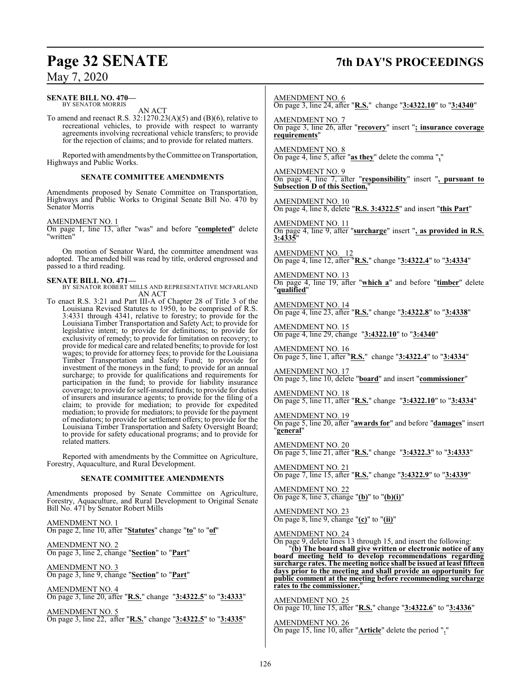#### **SENATE BILL NO. 470—** BY SENATOR MORRIS

AN ACT

To amend and reenact R.S. 32:1270.23(A)(5) and (B)(6), relative to recreational vehicles, to provide with respect to warranty agreements involving recreational vehicle transfers; to provide for the rejection of claims; and to provide for related matters.

Reported with amendments by the Committee on Transportation, Highways and Public Works.

#### **SENATE COMMITTEE AMENDMENTS**

Amendments proposed by Senate Committee on Transportation, Highways and Public Works to Original Senate Bill No. 470 by Senator Morris

#### AMENDMENT NO. 1

On page 1, line 13, after "was" and before "**completed**" delete "written"

On motion of Senator Ward, the committee amendment was adopted. The amended bill was read by title, ordered engrossed and passed to a third reading.

**SENATE BILL NO. 471—** BY SENATOR ROBERT MILLS AND REPRESENTATIVE MCFARLAND AN ACT

To enact R.S. 3:21 and Part III-A of Chapter 28 of Title 3 of the Louisiana Revised Statutes to 1950, to be comprised of R.S. 3:4331 through 4341, relative to forestry; to provide for the Louisiana Timber Transportation and Safety Act; to provide for legislative intent; to provide for definitions; to provide for exclusivity of remedy; to provide for limitation on recovery; to provide for medical care and related benefits; to provide for lost wages; to provide for attorney fees; to provide for the Louisiana Timber Transportation and Safety Fund; to provide for investment of the moneys in the fund; to provide for an annual surcharge; to provide for qualifications and requirements for participation in the fund; to provide for liability insurance coverage; to provide for self-insured funds; to provide for duties of insurers and insurance agents; to provide for the filing of a claim; to provide for mediation; to provide for expedited mediation; to provide for mediators; to provide for the payment of mediators; to provide for settlement offers; to provide for the Louisiana Timber Transportation and Safety Oversight Board; to provide for safety educational programs; and to provide for related matters.

Reported with amendments by the Committee on Agriculture, Forestry, Aquaculture, and Rural Development.

#### **SENATE COMMITTEE AMENDMENTS**

Amendments proposed by Senate Committee on Agriculture, Forestry, Aquaculture, and Rural Development to Original Senate Bill No. 471 by Senator Robert Mills

AMENDMENT NO. 1 On page 2, line 10, after "**Statutes**" change "**to**" to "**of**"

AMENDMENT NO. 2 On page 3, line 2, change "**Section**" to "**Part**"

AMENDMENT NO. 3 On page 3, line 9, change "**Section**" to "**Part**"

AMENDMENT NO. 4 On page 3, line 20, after "**R.S.**" change "**3:4322.5**" to "**3:4333**"

AMENDMENT NO. 5 On page 3, line 22, after "**R.S.**" change "**3:4322.5**" to "**3:4335**"

## **Page 32 SENATE 7th DAY'S PROCEEDINGS**

AMENDMENT NO. 6

On page 3, line 24, after "**R.S.**" change "**3:4322.10**" to "**3:4340**"

AMENDMENT NO. 7 On page 3, line 26, after "**recovery**" insert "**; insurance coverage requirements**"

AMENDMENT NO. 8 On page 4, line 5, after "**as they**" delete the comma "**,**"

AMENDMENT NO. 9 On page 4, line 7, after "**responsibility**" insert "**, pursuant to Subsection D of this Section,**"

AMENDMENT NO. 10 On page 4, line 8, delete "**R.S. 3:4322.5**" and insert "**this Part**"

AMENDMENT NO. 11 On page 4, line 9, after "**surcharge**" insert "**, as provided in R.S. 3:4335**"

AMENDMENT NO. 12 On page 4, line 12, after "**R.S.**" change "**3:4322.4**" to "**3:4334**"

AMENDMENT NO. 13 On page 4, line 19, after "**which a**" and before "**timber**" delete "**qualified**"

AMENDMENT NO. 14 On page 4, line 23, after "**R.S.**" change "**3:4322.8**" to "**3:4338**"

AMENDMENT NO. 15 On page 4, line 29, change "**3:4322.10**" to "**3:4340**"

AMENDMENT NO. 16 On page 5, line 1, after "**R.S.**" change "**3:4322.4**" to "**3:4334**"

AMENDMENT NO. 17 On page 5, line 10, delete "**board**" and insert "**commissioner**"

AMENDMENT NO. 18 On page 5, line 11, after "**R.S.**" change "**3:4322.10**" to "**3:4334**"

AMENDMENT NO. 19 On page 5, line 20, after "**awards for**" and before "**damages**" insert "**general**"

AMENDMENT NO. 20 On page 5, line 21, after "**R.S.**" change "**3:4322.3**" to "**3:4333**"

AMENDMENT NO. 21 On page 7, line 15, after "**R.S.**" change "**3:4322.9**" to "**3:4339**"

AMENDMENT NO. 22 On page 8, line 3, change "**(b)**" to "**(b)(i)**"

AMENDMENT NO. 23 On page 8, line 9, change "**(c)**" to "**(ii)**"

AMENDMENT NO. 24

On page 9, delete lines 13 through 15, and insert the following:

"**(b) The board shall give written or electronic notice of any board meeting held to develop recommendations regarding surcharge rates. The meeting notice shall be issued at least fifteen days prior to the meeting and shall provide an opportunity for public comment at the meeting before recommending surcharge** rates to the commissioner.

AMENDMENT NO. 25 On page 10, line 15, after "**R.S.**" change "**3:4322.6**" to "**3:4336**"

AMENDMENT NO. 26 On page 15, line 10, after "**Article**" delete the period "**.**"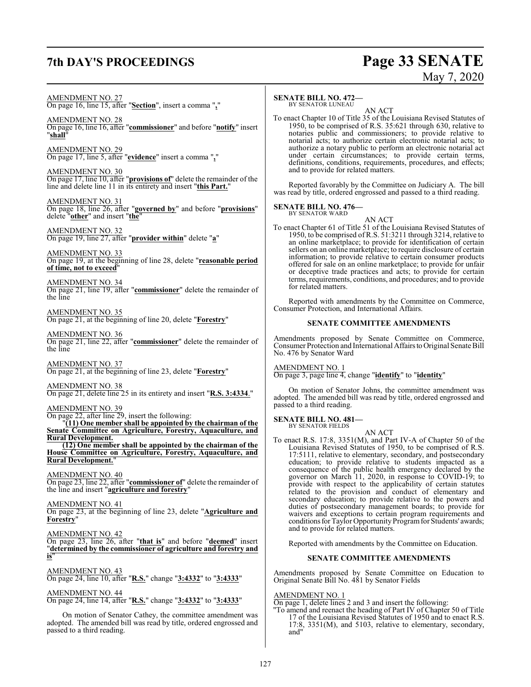### **7th DAY'S PROCEEDINGS Page 33 SENATE**

# May 7, 2020

AMENDMENT NO. 27

On page 16, line 15, after "**Section**", insert a comma "**,**"

AMENDMENT NO. 28 On page 16, line 16, after "**commissioner**" and before "**notify**" insert "**shall**"

AMENDMENT NO. 29 On page 17, line 5, after "**evidence**" insert a comma "**,**"

AMENDMENT NO. 30 On page 17, line 10, after "**provisions of**" delete the remainder of the line and delete line 11 in its entirety and insert "**this Part.**"

AMENDMENT NO. 31 On page 18, line 26, after "**governed by**" and before "**provisions**" delete "**other**" and insert "**the**"

AMENDMENT NO. 32 On page 19, line 27, after "**provider within**" delete "**a**"

AMENDMENT NO. 33 On page 19, at the beginning of line 28, delete "**reasonable period of time, not to exceed**"

AMENDMENT NO. 34 On page 21, line 19, after "**commissioner**" delete the remainder of the line

AMENDMENT NO. 35 On page 21, at the beginning of line 20, delete "**Forestry**"

AMENDMENT NO. 36 On page 21, line 22, after "**commissioner**" delete the remainder of the line

AMENDMENT NO. 37 On page 21, at the beginning of line 23, delete "**Forestry**"

AMENDMENT NO. 38 On page 21, delete line 25 in its entirety and insert "**R.S. 3:4334**."

AMENDMENT NO. 39

On page 22, after line 29, insert the following: "**(11) One member shall be appointed by the chairman of the Senate Committee on Agriculture, Forestry, Aquaculture, and Rural Development.**

**(12) One member shall be appointed by the chairman of the House Committee on Agriculture, Forestry, Aquaculture, and Rural Development.**"

AMENDMENT NO. 40

On page 23, line 22, after "**commissioner of**" delete the remainder of the line and insert "**agriculture and forestry**"

AMENDMENT NO. 41

On page 23, at the beginning of line 23, delete "**Agriculture and Forestry**"

AMENDMENT NO. 42

On page 23, line 26, after "**that is**" and before "**deemed**" insert "**determined by the commissioner of agriculture and forestry and is**"

#### AMENDMENT NO. 43

On page 24, line 10, after "**R.S.**" change "**3:4332**" to "**3:4333**"

AMENDMENT NO. 44

On page 24, line 14, after "**R.S.**" change "**3:4332**" to "**3:4333**"

On motion of Senator Cathey, the committee amendment was adopted. The amended bill was read by title, ordered engrossed and passed to a third reading.

#### **SENATE BILL NO. 472—**

BY SENATOR LUNEAU

AN ACT To enact Chapter 10 of Title 35 of the Louisiana Revised Statutes of 1950, to be comprised of R.S. 35:621 through 630, relative to notaries public and commissioners; to provide relative to notarial acts; to authorize certain electronic notarial acts; to authorize a notary public to perform an electronic notarial act under certain circumstances; to provide certain terms, definitions, conditions, requirements, procedures, and effects; and to provide for related matters.

Reported favorably by the Committee on Judiciary A. The bill was read by title, ordered engrossed and passed to a third reading.

## **SENATE BILL NO. 476—**<br>BY SENATOR WARD

AN ACT To enact Chapter 61 of Title 51 of the Louisiana Revised Statutes of 1950, to be comprised of R.S. 51:3211 through 3214, relative to an online marketplace; to provide for identification of certain sellers on an online marketplace; to require disclosure of certain information; to provide relative to certain consumer products offered for sale on an online marketplace; to provide for unfair or deceptive trade practices and acts; to provide for certain terms, requirements, conditions, and procedures; and to provide for related matters.

Reported with amendments by the Committee on Commerce, Consumer Protection, and International Affairs.

#### **SENATE COMMITTEE AMENDMENTS**

Amendments proposed by Senate Committee on Commerce, Consumer Protection and International AffairstoOriginal Senate Bill No. 476 by Senator Ward

#### AMENDMENT NO. 1

On page 3, page line 4, change "**identify**" to "**identity**"

On motion of Senator Johns, the committee amendment was adopted. The amended bill was read by title, ordered engrossed and passed to a third reading.

#### **SENATE BILL NO. 481—** BY SENATOR FIELDS

AN ACT

To enact R.S. 17:8, 3351(M), and Part IV-A of Chapter 50 of the Louisiana Revised Statutes of 1950, to be comprised of R.S. 17:5111, relative to elementary, secondary, and postsecondary education; to provide relative to students impacted as a consequence of the public health emergency declared by the governor on March 11, 2020, in response to COVID-19; to provide with respect to the applicability of certain statutes related to the provision and conduct of elementary and secondary education; to provide relative to the powers and duties of postsecondary management boards; to provide for waivers and exceptions to certain program requirements and conditions for Taylor Opportunity Program for Students' awards; and to provide for related matters.

Reported with amendments by the Committee on Education.

#### **SENATE COMMITTEE AMENDMENTS**

Amendments proposed by Senate Committee on Education to Original Senate Bill No. 481 by Senator Fields

#### AMENDMENT NO. 1

On page 1, delete lines 2 and 3 and insert the following:

"To amend and reenact the heading of Part IV of Chapter 50 of Title 17 of the Louisiana Revised Statutes of 1950 and to enact R.S. 17:8, 3351(M), and 5103, relative to elementary, secondary, and"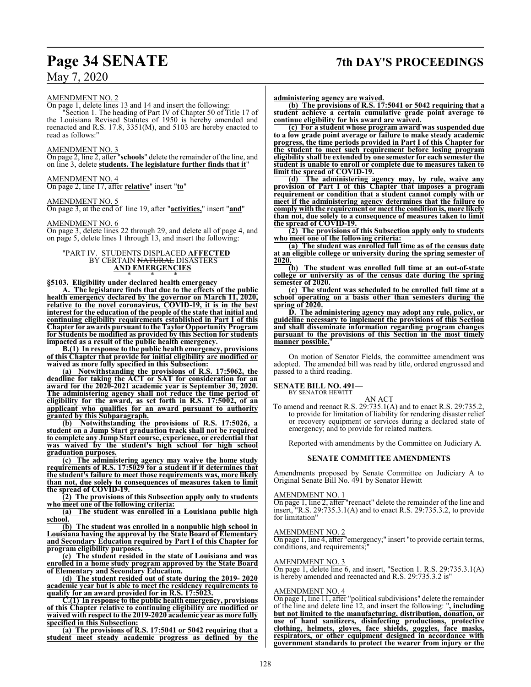## **Page 34 SENATE 7th DAY'S PROCEEDINGS**

#### AMENDMENT NO. 2

On page 1, delete lines 13 and 14 and insert the following:

"Section 1. The heading of Part IV of Chapter 50 of Title 17 of the Louisiana Revised Statutes of 1950 is hereby amended and reenacted and R.S. 17.8, 3351(M), and 5103 are hereby enacted to read as follows:"

#### AMENDMENT NO. 3

On page 2, line 2, after "**schools**" delete the remainder of the line, and on line 3, delete **students. The legislature further finds that it**"

#### AMENDMENT NO. 4

On page 2, line 17, after **relative**" insert "**to**"

#### AMENDMENT NO. 5

On page 3, at the end of line 19, after "**activities,**" insert "**and**"

#### AMENDMENT NO. 6

On page 3, delete lines 22 through 29, and delete all of page 4, and on page 5, delete lines 1 through 13, and insert the following:

#### "PART IV. STUDENTS DISPLACED **AFFECTED** BY CERTAIN NATURAL DISASTERS **AND EMERGENCIES** \* \* \*

### **§5103. Eligibility under declared health emergency**

**A. The legislature finds that due to the effects of the public health emergency declared by the governor on March 11, 2020, relative to the novel coronavirus, COVID-19, it is in the best interest for the education of the people of the state that initial and continuing eligibility requirements established in Part I of this Chapter for awards pursuant to the TaylorOpportunity Program for Students be modified as provided by this Section for students impacted as a result of the public health emergency.**

**B.(1) In response to the public health emergency, provisions of this Chapter that provide for initial eligibility are modified or waived as more fully specified in this Subsection:**

**(a) Notwithstanding the provisions of R.S. 17:5062, the deadline for taking the ACT or SAT for consideration for an award for the 2020-2021 academic year is September 30, 2020. The administering agency shall not reduce the time period of eligibility for the award, as set forth in R.S. 17:5002, of an applicant who qualifies for an award pursuant to authority granted by this Subparagraph.**

**(b) Notwithstanding the provisions of R.S. 17:5026, a student on a Jump Start graduation track shall not be required to complete any Jump Start course, experience, or credential that was waived by the student's high school for high school graduation purposes.**

**(c) The administering agency may waive the home study requirements of R.S. 17:5029 for a student if it determines that the student's failure to meet those requirements was, more likely than not, due solely to consequences of measures taken to limit the spread of COVID-19.**

**(2) The provisions of this Subsection apply only to students who meet one of the following criteria:**

**(a) The student was enrolled in a Louisiana public high school.**

**(b) The student was enrolled in a nonpublic high school in Louisiana having the approval by the State Board of Elementary and Secondary Education required by Part I of this Chapter for program eligibility purposes.**

**(c) The student resided in the state of Louisiana and was enrolled in a home study program approved by the State Board of Elementary and Secondary Education.**

**(d) The student resided out of state during the 2019- 2020 academic year but is able to meet the residency requirements to qualify for an award provided for in R.S. 17:5023.**

**C.(1) In response to the public health emergency, provisions of this Chapter relative to continuing eligibility are modified or waived with respect to the 2019-2020 academic year as more fully specified in this Subsection:**

**(a) The provisions of R.S. 17:5041 or 5042 requiring that a student meet steady academic progress as defined by the** **administering agency are waived.**

**(b) The provisions of R.S. 17:5041 or 5042 requiring that a student achieve a certain cumulative grade point average to continue eligibility for his award are waived.**

**(c) For a student whose program award was suspended due to a low grade point average or failure to make steady academic progress, the time periods provided in Part I of this Chapter for the student to meet such requirement before losing program eligibility shall be extended by one semester for each semester the student is unable to enroll or complete due to measures taken to limit the spread of COVID-19.**

**(d) The administering agency may, by rule, waive any provision of Part I of this Chapter that imposes a program requirement or condition that a student cannot comply with or meet if the administering agency determines that the failure to comply with the requirement or meet the condition is, more likely than not, due solely to a consequence of measures taken to limit the spread of COVID-19.**

**(2) The provisions of this Subsection apply only to students who meet one of the following criteria:**

**(a) The student was enrolled full time as of the census date at an eligible college or university during the spring semester of 2020.**

**(b) The student was enrolled full time at an out-of-state college or university as of the census date during the spring semester of 2020.**

**(c) The student was scheduled to be enrolled full time at a school operating on a basis other than semesters during the spring of 2020.**

**D. The administering agency may adopt any rule, policy, or guideline necessary to implement the provisions of this Section and shall disseminate information regarding program changes pursuant to the provisions of this Section in the most timely** manner possible.

On motion of Senator Fields, the committee amendment was adopted. The amended bill was read by title, ordered engrossed and passed to a third reading.

### **SENATE BILL NO. 491—**

BY SENATOR HEWITT

To amend and reenact R.S. 29:735.1(A) and to enact R.S. 29:735.2, to provide for limitation of liability for rendering disaster relief or recovery equipment or services during a declared state of emergency; and to provide for related matters.

AN ACT

Reported with amendments by the Committee on Judiciary A.

#### **SENATE COMMITTEE AMENDMENTS**

Amendments proposed by Senate Committee on Judiciary A to Original Senate Bill No. 491 by Senator Hewitt

#### AMENDMENT NO. 1

On page 1, line 2, after "reenact" delete the remainder of the line and insert, "R.S. 29:735.3.1(A) and to enact R.S. 29:735.3.2, to provide for limitation"

#### AMENDMENT NO. 2

 $\overline{\text{On page 1, line 4, after}}$ "emergency;" insert "to provide certain terms, conditions, and requirements;"

#### AMENDMENT NO. 3

On page 1, delete line 6, and insert, "Section 1. R.S. 29:735.3.1(A) is hereby amended and reenacted and R.S. 29:735.3.2 is"

#### AMENDMENT NO. 4

On page 1, line 11, after "political subdivisions" delete the remainder of the line and delete line 12, and insert the following: "**, including but not limited to the manufacturing, distribution, donation, or use of hand sanitizers, disinfecting productions, protective clothing, helmets, gloves, face shields, goggles, face masks, respirators, or other equipment designed in accordance with government standards to protect the wearer from injury or the**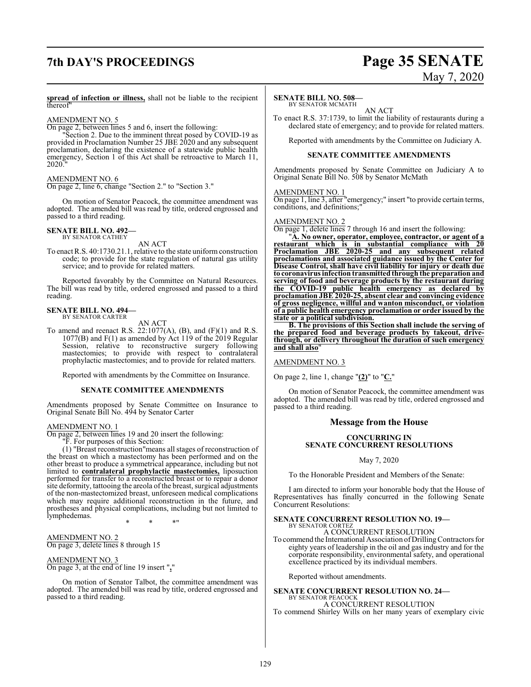## **7th DAY'S PROCEEDINGS Page 35 SENATE**

# May 7, 2020

**spread of infection or illness,** shall not be liable to the recipient thereof"

#### AMENDMENT NO. 5

On page 2, between lines 5 and 6, insert the following:

"Section 2. Due to the imminent threat posed by COVID-19 as provided in Proclamation Number 25 JBE 2020 and any subsequent proclamation, declaring the existence of a statewide public health emergency, Section 1 of this Act shall be retroactive to March 11, 2020.

#### AMENDMENT NO. 6

On page 2, line 6, change "Section 2." to "Section 3."

On motion of Senator Peacock, the committee amendment was adopted. The amended bill was read by title, ordered engrossed and passed to a third reading.

#### **SENATE BILL NO. 492—** BY SENATOR CATHEY

AN ACT

To enact R.S. 40:1730.21.1, relative to the state uniform construction code; to provide for the state regulation of natural gas utility service; and to provide for related matters.

Reported favorably by the Committee on Natural Resources. The bill was read by title, ordered engrossed and passed to a third reading.

#### **SENATE BILL NO. 494—** BY SENATOR CARTER

AN ACT

To amend and reenact R.S.  $22:1077(A)$ ,  $(B)$ , and  $(F)(1)$  and R.S. 1077(B) and  $F(1)$  as amended by Act 119 of the 2019 Regular Session, relative to reconstructive surgery following mastectomies; to provide with respect to contralateral prophylactic mastectomies; and to provide for related matters.

Reported with amendments by the Committee on Insurance.

#### **SENATE COMMITTEE AMENDMENTS**

Amendments proposed by Senate Committee on Insurance to Original Senate Bill No. 494 by Senator Carter

#### AMENDMENT NO. 1

On page 2, between lines 19 and 20 insert the following:

"F. For purposes of this Section:

(1) "Breast reconstruction"means all stages of reconstruction of the breast on which a mastectomy has been performed and on the other breast to produce a symmetrical appearance, including but not limited to **contralateral prophylactic mastectomies,** liposuction performed for transfer to a reconstructed breast or to repair a donor site deformity, tattooing the areola of the breast, surgical adjustments of the non-mastectomized breast, unforeseen medical complications which may require additional reconstruction in the future, and prostheses and physical complications, including but not limited to lymphedemas.

\* \* \*"

AMENDMENT NO. 2 On page 3, delete lines 8 through 15

AMENDMENT NO. 3 On page 3, at the end of line 19 insert "**,**"

On motion of Senator Talbot, the committee amendment was adopted. The amended bill was read by title, ordered engrossed and passed to a third reading.

#### **SENATE BILL NO. 508—**

BY SENATOR MCMATH AN ACT

To enact R.S. 37:1739, to limit the liability of restaurants during a declared state of emergency; and to provide for related matters.

Reported with amendments by the Committee on Judiciary A.

#### **SENATE COMMITTEE AMENDMENTS**

Amendments proposed by Senate Committee on Judiciary A to Original Senate Bill No. 508 by Senator McMath

#### AMENDMENT NO. 1

On page 1, line 3, after "emergency;" insert "to provide certain terms, conditions, and definitions;

#### AMENDMENT NO. 2

On page 1, delete lines 7 through 16 and insert the following:

"**A. No owner, operator, employee, contractor, or agent of a restaurant which is in substantial compliance with 20 Proclamation JBE 2020-25 and any subsequent related proclamations and associated guidance issued by the Center for Disease Control, shall have civil liability for injury or death due to coronavirus infection transmitted through the preparation and serving of food and beverage products by the restaurant during the COVID-19 public health emergency as declared by proclamation JBE 2020-25, absent clear and convincing evidence of gross negligence, willful and wanton misconduct, or violation of a public health emergency proclamation or order issued by the state or a political subdivision.**

**B. The provisions of this Section shall include the serving of the prepared food and beverage products by takeout, drivethrough, or delivery throughout the duration of such emergency and shall also**"

AMENDMENT NO. 3

On page 2, line 1, change "**(2)**" to "**C.**"

On motion of Senator Peacock, the committee amendment was adopted. The amended bill was read by title, ordered engrossed and passed to a third reading.

#### **Message from the House**

#### **CONCURRING IN SENATE CONCURRENT RESOLUTIONS**

#### May 7, 2020

To the Honorable President and Members of the Senate:

I am directed to inform your honorable body that the House of Representatives has finally concurred in the following Senate Concurrent Resolutions:

#### **SENATE CONCURRENT RESOLUTION NO. 19—** BY SENATOR CORTEZ

A CONCURRENT RESOLUTION

To commend the International Association ofDrillingContractors for eighty years of leadership in the oil and gas industry and for the corporate responsibility, environmental safety, and operational excellence practiced by its individual members.

Reported without amendments.

**SENATE CONCURRENT RESOLUTION NO. 24—** BY SENATOR PEACOCK A CONCURRENT RESOLUTION

To commend Shirley Wills on her many years of exemplary civic